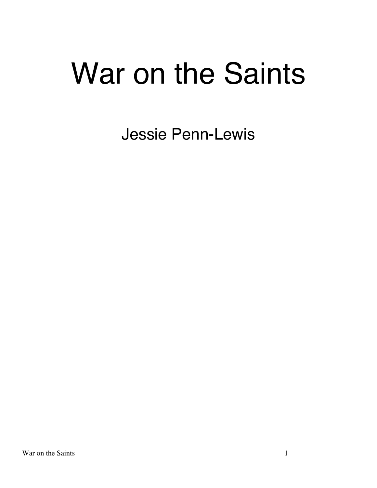# War on the Saints

Jessie Penn-Lewis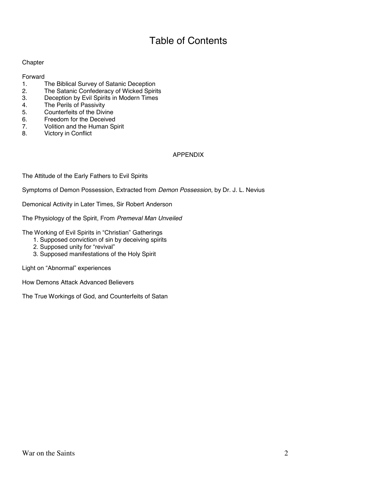# Table of Contents

# **Chapter**

Forward

- 1. The Biblical Survey of Satanic Deception<br>2. The Satanic Confederacy of Wicked Spirit
- The Satanic Confederacy of Wicked Spirits
- 3. Deception by Evil Spirits in Modern Times
- 4. The Perils of Passivity<br>5. Counterfeits of the Divi
- 5. Counterfeits of the Divine
- 6. Freedom for the Deceived<br>7. Volition and the Human Sp
- 7. Volition and the Human Spirit
- 8. Victory in Conflict

# APPENDIX

The Attitude of the Early Fathers to Evil Spirits

Symptoms of Demon Possession, Extracted from *Demon Possession*, by Dr. J. L. Nevius

Demonical Activity in Later Times, Sir Robert Anderson

The Physiology of the Spirit, From *Premeval Man Unveiled*

The Working of Evil Spirits in "Christian" Gatherings

- 1. Supposed conviction of sin by deceiving spirits
- 2. Supposed unity for "revival"
- 3. Supposed manifestations of the Holy Spirit

Light on "Abnormal" experiences

How Demons Attack Advanced Believers

The True Workings of God, and Counterfeits of Satan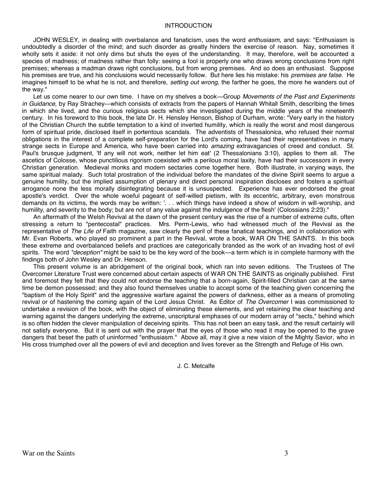#### INTRODUCTION

JOHN WESLEY, in dealing with overbalance and fanaticism, uses the word *enthusiasm,* and says: "Enthusiasm is undoubtedly a disorder of the mind; and such disorder as greatly hinders the exercise of reason. Nay, sometimes it wholly sets it aside: it not only dims but shuts the eyes of the understanding. It may, therefore, well be accounted a species of madness; of madness rather than folly: seeing a fool is properly one who draws wrong conclusions from right premises; whereas a madman draws right conclusions, but from wrong premises. And so does an enthusiast. Suppose his premises are true, and his conclusions would necessarily follow. But here lies his mistake: his *premises are false.* He imagines himself to be what he is not, and therefore, *setting out wrong,* the farther he goes, the more he wanders out of the way."

Let us come nearer to our own time. I have on my shelves a book—Group Movements of the Past and Experiments *in Guidance*, by Ray Strachey—which consists of extracts from the papers of Hannah Whitall Smith, describing the times in which she lived, and the curious religious sects which she investigated during the middle years of the nineteenth century. In his foreword to this book, the late Dr. H. Hensley Henson, Bishop of Durham, wrote: "Very early in the history of the Christian Church the subtle temptation to a kind of inverted humility, which is really the worst and most dangerous form of spiritual pride, disclosed itself in portentous scandals. The adventists of Thessalonica, who refused their normal obligations in the interest of a complete self-preparation for the Lord's coming, have had their representatives in many strange sects in Europe and America, who have been carried into *amazing* extravagancies of creed and conduct. St. Paul's brusque judgment, 'If any will not work, neither let him eat' (2 Thessalonians 3:10), applies to them all. The ascetics of Colosse, whose punctilious rigorism coexisted with a perilous moral laxity, have had their successors in every Christian generation. Medieval monks and modern sectaries come together here. Both illustrate, in varying ways, the same spiritual malady. Such total prostration of the individual before the mandates of the divine Spirit seems to argue a genuine humility, but the implied assumption of plenary and direct personal inspiration discloses and fosters a spiritual arrogance none the less morally disintegrating because it is unsuspected. Experience has ever endorsed the great apostle's verdict. Over the whole woeful pageant of self-willed pietism, with its eccentric, arbitrary, even monstrous demands on its victims, the words may be written: '. . . which things have indeed a show of wisdom in will-worship, and humility, and severity to the body; but are not of any value against the indulgence of the flesh' (Colossians 2:23)."

An aftermath of the Welsh Revival at the dawn of the present century was the rise of a number of extreme cults, often stressing a return to "pentecostal" practices. Mrs. Perm-Lewis, who had witnessed much of the Revival as the representative of *The Life of* Faith magazine, saw clearly the peril of these fanatical teachings, and in collaboration with Mr. Evan Roberts, who played so prominent a part in the Revival, wrote a book, WAR ON THE SAINTS. In this book these extreme and overbalanced beliefs and practices are categorically branded as the work of an invading host of evil spirits. The word "*deception*" might be said to be the key word of the book—a term which is in complete harmony with the findings both of John Wesley and Dr. Henson.

This present volume is an abridgement of the original book, which ran into seven editions. The Trustees of The Overcomer Literature Trust were concerned about certain aspects of WAR ON THE SAINTS as originally published. First and foremost they felt that they could not endorse the teaching that a born-again, Spirit-filled Christian can at the same time be demon possessed; and they also found themselves unable to accept some of the teaching given concerning the "baptism of the Holy Spirit" and the aggressive warfare against the powers of darkness, either as a means of promoting revival or of hastening the coming again of the Lord Jesus Christ. As Editor of *The Overcomer* I was commissioned to undertake a revision of the book, with the object of eliminating these elements, and yet retaining the clear teaching and warning against the dangers underlying the extreme, unscriptural emphases of our modern array of "sects," behind which is so often hidden the clever manipulation of deceiving spirits. This has not been an easy task, and the result certainly will not satisfy everyone. But it is sent out with the prayer that the eyes of those who read it may be opened to the grave dangers that beset the path of uninformed "enthusiasm." Above all, may it give a new vision of the Mighty Savior, who in His cross triumphed over all the powers of evil and deception and lives forever as the Strength and Refuge of His own.

J. C. Metcalfe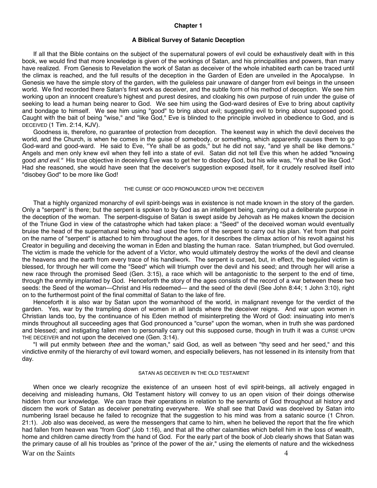#### **Chapter 1**

# **A Biblical Survey of Satanic Deception**

If all that the Bible contains on the subject of the supernatural powers of evil could be exhaustively dealt with in this book, we would find that more knowledge is given of the workings of Satan, and his principalities and powers, than many have realized. From Genesis to Revelation the work of Satan as deceiver of the whole inhabited earth can be traced until the climax is reached, and the full results of the deception in the Garden of Eden are unveiled in the Apocalypse. In Genesis we have the simple story of the garden, with the guileless pair unaware of danger from evil beings in the unseen world. We find recorded there Satan's first work as deceiver, and the subtle form of his method of deception. We see him working upon an innocent creature's highest and purest desires, and cloaking his own purpose of ruin under the guise of seeking to lead a human being nearer to God. We see him using the God-ward desires of Eve to bring about captivity and bondage to himself. We see him using "good" to bring about evil; suggesting evil to bring about supposed good. Caught with the bait of being "wise," and "like God," Eve is blinded to the principle involved in obedience to God, and is DECEIVED (1 Tim. 2:14, KJV).

Goodness is, therefore, no guarantee of protection from deception. The keenest way in which the devil deceives the world, and the Church, is when he comes in the guise of somebody, or something, which apparently causes them to go God-ward and good-ward. He said to Eve, "Ye shall be as gods," but he did not say, "and ye shall be like demons." Angels and men only knew evil when they fell into a state of evil. Satan did not tell Eve this when he added "knowing good *and evil.*" His true objective in deceiving Eve was to get her to disobey God, but his wile was, "Ye shall be like God." Had she reasoned, she would have seen that the deceiver's suggestion exposed itself, for it crudely resolved itself into "disobey God" to be more like God!

#### THE CURSE OF GOD PRONOUNCED UPON THE DECEIVER

That a highly organized monarchy of evil spirit-beings was in existence is not made known in the story of the garden. Only a "serpent" is there; but the serpent is spoken to by God as an intelligent being, carrying out a deliberate purpose in the deception of the woman. The serpent-disguise of Satan is swept aside by Jehovah as He makes known the decision of the Triune God in view of the catastrophe which had taken place: a "Seed" of the deceived woman would eventually bruise the head of the supernatural being who had used the form of the serpent to carry out his plan. Yet from that point on the name of "serpent" is attached to him throughout the ages, for it describes the climax action of his revolt against his Creator in beguiling and deceiving the woman in Eden and blasting the human race. Satan triumphed, but God overruled. The victim is made the vehicle for the advent of a Victor, who would ultimately destroy the works of the devil and cleanse the heavens and the earth from every trace of his handiwork. The serpent is cursed, but, in effect, the beguiled victim is blessed, for through her will come the "Seed" which will triumph over the devil and his seed; and through her will arise a new race through the promised Seed (Gen. 3:15), a race which will be antagonistic to the serpent to the end of time, through the enmity implanted by God. Henceforth the story of the ages consists of the record of a war between these two seeds: the Seed of the woman—Christ and His redeemed— and the seed of the devil (See John 8:44; 1 John 3:10), right on to the furthermost point of the final committal of Satan to the lake of fire.

Henceforth it is also war by Satan upon the womanhood of the world, in malignant revenge for the verdict of the garden. Yes, war by the trampling down of women in all lands where the deceiver reigns. And war upon women in Christian lands too, by the continuance of his Eden method of misinterpreting the Word of God: insinuating into men's minds throughout all succeeding ages that God pronounced a "curse" upon the woman, when in truth she was pardoned and blessed; and instigating fallen men to personally carry out this supposed curse, though in truth it was a CURSE UPON THE DECEIVER and not upon the deceived one (Gen. 3:14).

"I will put enmity between *thee* and the woman," said God, as well as between "thy seed and her seed," and this vindictive enmity of the hierarchy of evil toward women, and especially believers, has not lessened in its intensity from that day.

#### SATAN AS DECEIVER IN THE OLD TESTAMENT

War on the Saints 4 When once we clearly recognize the existence of an unseen host of evil spirit-beings, all actively engaged in deceiving and misleading humans, Old Testament history will convey to us an open vision of their doings otherwise hidden from our knowledge. We can trace their operations in relation to the servants of God throughout all history and discern the work of Satan as deceiver penetrating everywhere. We shall see that David was deceived by Satan into numbering Israel because he failed to recognize that the suggestion to his mind was from a satanic source (1 Chron. 21:1). Job also was deceived, as were the messengers that came to him, when he believed the report that the fire which had fallen from heaven was "from God" (Job 1:16), and that all the other calamities which befell him in the loss of wealth, home and children came directly from the hand of God. For the early part of the book of Job clearly shows that Satan was the primary cause of all his troubles as "prince of the power of the air," using the elements of nature and the wickedness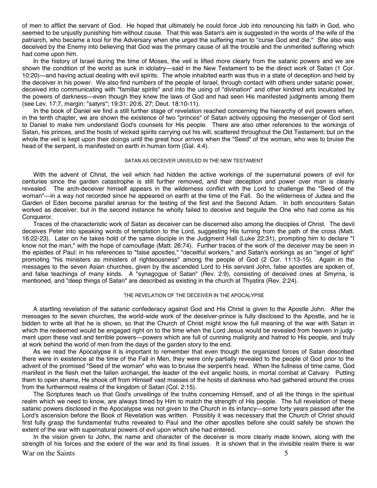of men to afflict the servant of God. He hoped that ultimately he could force Job into renouncing his faith in God, who seemed to be unjustly punishing him without cause. That this was Satan's aim is suggested in the words of the wife of the patriarch, who became a tool for the Adversary when she urged the suffering man to "curse God and die." She also was deceived by the Enemy into believing that God was the primary cause of all the trouble and the unmerited suffering which had come upon him.

In the history of Israel during the time of Moses, the veil is lifted more clearly from the satanic powers and we are shown the condition of the world as sunk in idolatry—said in the New Testament to be the direct work of Satan (1 Cor. 10:20)—and having actual dealing with evil spirits. The whole inhabited earth was thus in a state of deception and held by the deceiver in his power. We also find numbers of the people of Israel, through contact with others under satanic power, deceived into communicating with "familiar spirits" and into the using of "divination" and other kindred arts inculcated by the powers of darkness—even though they knew the laws of God and had seen His manifested judgments among them (see Lev. 17:7, margin: "satyrs"; 19:31: 20:6, 27; Deut. 18:10-11).

In the book of Daniel we find a still further stage of revelation reached concerning the hierarchy of evil powers when, in the tenth chapter, we are shown the existence of two "princes" of Satan actively opposing the messenger of God sent to Daniel to make him understand God's counsels for His people. There are also other references to the workings of Satan, his princes, and the hosts of wicked spirits carrying out his will, scattered throughout the Old Testament; but on the whole the veil is kept upon their doings until the great hour arrives when the "Seed" of the woman, who was to bruise the head of the serpent, is manifested on earth in human form (Gal. 4:4).

#### SATAN AS DECEIVER UNVEILED IN THE NEW TESTAMENT

With the advent of Christ, the veil which had hidden the active workings of the supernatural powers of evil for centuries since the garden catastrophe is still further removed, and their deception and power over man is clearly revealed. The arch-deceiver himself appears in the wilderness conflict with the Lord to challenge the "Seed of the woman"—in a way not recorded since he appeared on earth at the time of the Fall. So the wilderness of Judea and the Garden of Eden become parallel arenas for the testing of the first and the Second Adam. In both encounters Satan worked as deceiver, but in the second instance he wholly failed to deceive and beguile the One who had come as his Conqueror.

Traces of the characteristic work of Satan as deceiver can be discerned also among the disciples of Christ. The devil deceives Peter into speaking words of temptation to the Lord, suggesting His turning from the path of the cross (Matt. 16:22-23). Later on he takes hold of the same disciple in the Judgment Hall (Luke 22:31), prompting him to declare "I know not the man," with the hope of camouflage (Matt. 26:74). Further traces of the work of the deceiver may be seen in the epistles of Paul: in his references to "false apostles," "deceitful workers," and Satan's workings as an "angel of light" promoting "his ministers as ministers of righteousness" among the people of God (2 Cor. 11:13-15). Again in the messages to the seven Asian churches, given by the ascended Lord to His servant John, false apostles are spoken of, and false teachings of many kinds. A "synagogue of Satan" (Rev. 2:9), consisting of deceived ones at Smyrna, is mentioned, and "deep things of Satan" are described as existing in the church at Thyatira (Rev. 2:24).

# THE REVELATION OF THE DECEIVER IN THE APOCALYPSE

A startling revelation of the satanic confederacy against God and His Christ is given to the Apostle John. After the messages to the seven churches, the world-wide work of the deceiver-prince is fully disclosed to the Apostle, and he is bidden to write all that he is shown, so that the Church of Christ might know the full meaning of the war with Satan in which the redeemed would be engaged right on to the time when the Lord Jesus would be revealed from heaven in judgment upon these vast and terrible powers—powers which are full of cunning malignity and hatred to His people, and truly at work behind the world of men from the days of the garden story to the end.

As we read the Apocalypse it is important to remember that even though the organized forces of Satan described there were in existence at the time of the Fall in Men, they were only partially revealed to the people of God prior to the advent of the promised "Seed of the woman" who was to bruise the serpent's head. When the fullness of time came, God manifest in the flesh met the fallen archangel, the leader of the evil angelic hosts, in mortal combat at Calvary. Putting them to open shame, He shook off from Himself vast masses of the hosts of darkness who had gathered around the cross from the furthermost realms of the kingdom of Satan (Col. 2:15).

The Scriptures teach us that God's unveilings of the truths concerning Himself, and of all the things in the spiritual realm which we need to know, are always timed by Him to match the strength of His people. The full revelation of these satanic powers disclosed in the Apocalypse was not given to the Church in its infancy—some forty years passed after the Lord's ascension before the Book of Revelation was written. Possibly it was necessary that the Church of Christ should first fully grasp the fundamental truths revealed to Paul and the other apostles before she could safely be shown the extent of the war with supernatural powers of evil upon which she had entered.

War on the Saints  $\sim$  5 In the vision given to John, the name and character of the deceiver is more clearly made known, along with the strength of his forces and the extent of the war and its final issues. It is shown that in the invisible realm there is war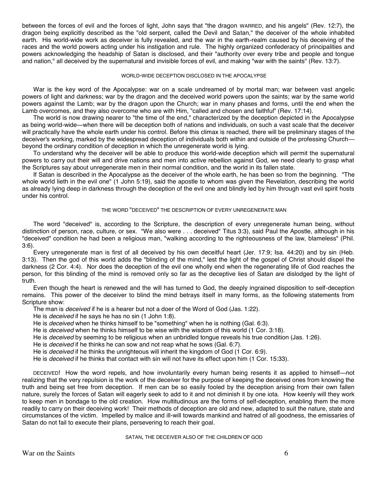between the forces of evil and the forces of light, John says that "the dragon WARRED, and his angels" (Rev. 12:7), the dragon being explicitly described as the "old serpent, called the Devil and Satan," the deceiver of the whole inhabited earth. His world-wide work as deceiver is fully revealed, and the war in the earth-realm caused by his deceiving of the races and the world powers acting under his instigation and rule. The highly organized confederacy of principalities and powers acknowledging the headship of Satan is disclosed, and their "authority over every tribe and people and tongue and nation," all deceived by the supernatural and invisible forces of evil, and making "war with the saints" (Rev. 13:7).

# WORLD-WIDE DECEPTION DISCLOSED IN THE APOCALYPSE

War is the key word of the Apocalypse: war on a scale undreamed of by mortal man; war between vast angelic powers of light and darkness; war by the dragon and the deceived world powers upon the saints; war by the same world powers against the Lamb; war by the dragon upon the Church; war in many phases and forms, until the end when the Lamb overcomes, and they also overcome who are with Him, "called and chosen and faithful" (Rev. 17:14).

The world is now drawing nearer to "the time of the end," characterized by the deception depicted in the Apocalypse as being world-wide—when there will be deception both of nations and individuals, on such a vast scale that the deceiver will practically have the whole earth under his control. Before this climax is reached, there will be preliminary stages of the deceiver's working, marked by the widespread deception of individuals both within and outside of the professing Church beyond the ordinary condition of deception in which the unregenerate world is lying.

To understand why the deceiver will be able to produce this world-wide deception which will permit the supernatural powers to carry out their will and drive nations and men into active rebellion against God, we need clearly to grasp what the Scriptures say about unregenerate men in their normal condition, and the world in its fallen state.

If Satan is described in the Apocalypse as the deceiver of the whole earth, he has been so from the beginning. "The whole world lieth in the evil one" (1 John 5:19), said the apostle to whom was given the Revelation, describing the world as already lying deep in darkness through the deception of the evil one and blindly led by him through vast evil spirit hosts under his control.

# THE WORD "DECEIVED" THE DESCRIPTION OF EVERY UNREGENERATE MAN

The word "deceived" is, according to the Scripture, the description of every unregenerate human being, without distinction of person, race, culture, or sex. "We also were . . . deceived" Titus 3:3), said Paul the Apostle, although in his "deceived" condition he had been a religious man, "walking according to the righteousness of the law, blameless" (Phil. 3:6).

Every unregenerate man is first of all deceived by his own deceitful heart (Jer. 17:9; Isa. 44:20) and by sin (Heb. 3:13). Then the god of this world adds the "blinding of the mind," lest the light of the gospel of Christ should dispel the darkness (2 Cor. 4:4). Nor does the deception of the evil one wholly end when the regenerating life of God reaches the person, for this blinding of the mind is removed only so far as the deceptive lies of Satan are dislodged by the light of truth.

Even though the heart is renewed and the will has turned to God, the deeply ingrained disposition to self-deception remains. This power of the deceiver to blind the mind betrays itself in many forms, as the following statements from Scripture show:

The man is *deceived* if he is a hearer but not a doer of the Word of God (Jas. 1:22).

He is *deceived* if he says he has no sin (1 John 1:8).

He is *deceived* when he thinks himself to be "something" when he is nothing (Gal. 6:3).

He is *deceived* when he thinks himself to be wise with the wisdom of this world (1 Cor. 3:18).

He is *deceived* by seeming to be religious when an unbridled tongue reveals his true condition (Jas. 1:26).

He is *deceived* if he thinks he can sow and not reap what he sows (Gal. 6:7).

He is *deceived* if he thinks the unrighteous will inherit the kingdom of God (1 Cor. 6:9).

He is *deceived* if he thinks that contact with sin will not have its effect upon him (1 Cor. 15:33).

DECEIVED! How the word repels, and how involuntarily every human being resents it as applied to himself-not realizing that the very repulsion is the work of the deceiver for the purpose of keeping the deceived ones from knowing the truth and being set free from deception. If men can be so easily fooled by the deception arising from their own fallen nature, surely the forces of Satan will eagerly seek to add to it and not diminish it by one iota. How keenly will they work to keep men in bondage to the old creation. How multitudinous are the forms of self-deception, enabling them the more readily to carry on their deceiving work! Their methods of deception are old and new, adapted to suit the nature, state and circumstances of the victim. Impelled by malice and ill-will towards mankind and hatred of all goodness, the emissaries of Satan do not fail to execute their plans, persevering to reach their goal.

# SATAN, THE DECEIVER ALSO OF THE CHILDREN OF GOD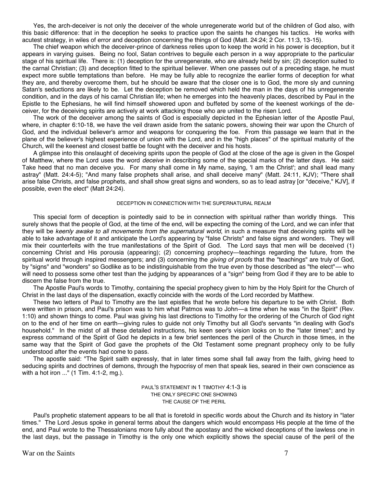Yes, the arch-deceiver is not only the deceiver of the whole unregenerate world but of the children of God also, with this basic difference: that in the deception he seeks to practice upon the saints he changes his tactics. He works with acutest strategy, in wiles of error and deception concerning the things of God (Matt. 24:24; 2 Cor. 11:3, 13-15).

The chief weapon which the deceiver-prince of darkness relies upon to keep the world in his power is deception, but it appears in varying guises. Being no fool, Satan contrives to beguile each person in a way appropriate to the particular stage of his spiritual life. There is: (1) deception for the unregenerate, who are already held by sin; (2) deception suited to the carnal Christian; (3) and deception fitted to the spiritual believer. When one passes out of a preceding stage, he must expect more subtle temptations than before. He may be fully able to recognize the earlier forms of deception for what they are, and thereby overcome them, but he should be aware that the closer one is to God, the more sly and cunning Satan's seductions are likely to be. Let the deception be removed which held the man in the days of his unregenerate condition, and in the days of his carnal Christian life; when he emerges into the heavenly places, described by Paul in the Epistle to the Ephesians, he will find himself showered upon and buffeted by some of the keenest workings of the deceiver, for the deceiving spirits are actively at work attacking those who are united to the risen Lord.

The work of the deceiver among the saints of God is especially depicted in the Ephesian letter of the Apostle Paul, where, in chapter 6:10-18, we have the veil drawn aside from the satanic powers, showing their war upon the Church of God, and the individual believer's armor and weapons for conquering the foe. From this passage we learn that in the plane of the believer's highest experience of union with the Lord, and in the "high places" of the spiritual maturity of the Church, will the keenest and closest battle be fought with the deceiver and his hosts.

A glimpse into this onslaught of deceiving spirits upon the people of God at the close of the age is given in the Gospel of Matthew, where the Lord uses the word *deceive* in describing some of the special marks of the latter days. He said: Take heed that no man deceive you. For many shall come in My name, saying, 'I am the Christ'; and shall lead many astray" (Matt. 24:4-5); "And many false prophets shall arise, and shall deceive many" (Matt. 24:11, KJV); "There shall arise false Christs, and false prophets, and shall show great signs and wonders, so as to lead astray [or "deceive," KJV], if possible, even the elect" (Matt 24:24).

#### DECEPTION IN CONNECTION WITH THE SUPERNATURAL REALM

This special form of deception is pointedly said to be in connection with spiritual rather than worldly things. This surely shows that the people of God, at the time of the end, will be expecting the coming of the Lord, and we can infer that they will be *keenly awake to all movements from the supernatural world*, in such a measure that deceiving spirits will be able to take advantage of it and anticipate the Lord's appearing by "false Christs" and false signs and wonders. They will mix their counterfeits with the true manifestations of the Spirit of God. The Lord says that men will be deceived (1) concerning Christ and His porousia (appearing); (2) concerning prophecy—teachings regarding the future, from the spiritual world through inspired messengers; and (3) concerning the *giving of proofs* that the "teachings" are truly of God, by "signs" and "wonders" so Godlike as to be indistinguishable from the true even by those described as "the elect"— who will need to possess some other test than the judging by appearances of a "sign" being from God if they are to be able to discern the false from the true.

The Apostle Paul's words to Timothy, containing the special prophecy given to him by the Holy Spirit for the Church of Christ in the last days of the dispensation, exactly coincide with the words of the Lord recorded by Matthew.

These two letters of Paul to Timothy are the last epistles that he wrote before his departure to be with Christ. Both were written in prison, and Paul's prison was to him what Patmos was to John—a time when he was "in the Spirit" (Rev. 1:10) and shown things to come. Paul was giving his last directions to Timothy for the ordering of the Church of God right on to the end of her time on earth—giving rules to guide not only Timothy but all God's servants "in dealing with God's household." In the midst of all these detailed instructions, his keen seer's vision looks on to the "later times"; and by express command of the Spirit of God he depicts in a few brief sentences the peril of the Church in those times, in the same way that the Spirit of God gave the prophets of the Old Testament some pregnant prophecy only to be fully understood after the events had come to pass.

The apostle said: "The Spirit saith expressly, that in later times some shall fall away from the faith, giving heed to seducing spirits and doctrines of demons, through the hypocrisy of men that speak lies, seared in their own conscience as with a hot iron ..." (1 Tim. 4:1-2, mg.).

> PAUL'S STATEMENT IN 1 TIMOTHY 4:1-3 is THE ONLY SPECIFIC ONE SHOWING THE CAUSE OF THE PERIL

Paul's prophetic statement appears to be all that is foretold in specific words about the Church and its history in "later times." The Lord Jesus spoke in general terms about the dangers which would encompass His people at the time of the end, and Paul wrote to the Thessalonians more fully about the apostasy and the wicked deceptions of the lawless one in the last days, but the passage in Timothy is the only one which explicitly shows the special cause of the peril of the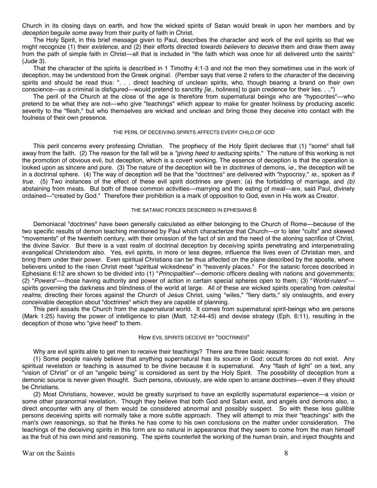Church in its closing days on earth, and how the wicked spirits of Satan would break in upon her members and by *deception* beguile some away from their purity of faith in Christ.

The Holy Spirit, in this brief message given to Paul, describes the character and work of the evil spirits so that we might recognize (1) their *existence,* and (2) their efforts directed *towards believers* to *deceive* them and draw them away from the path of simple faith in Christ—all that is included in "the faith which was once for all delivered unto the saints" (Jude 3).

That the character of the spirits is described in 1 Timothy 4:1-3 and not the men they sometimes use in the work of deception, may be understood from the Greek original. (Pember says that verse 2 refers to the *character* of the deceiving spirits and should be read thus: ". . . direct teaching of unclean spirits, who, though bearing a brand on their own conscience—as a criminal is disfigured—would pretend to sanctity *[ie.,* holiness] to gain credence for their lies. . ..")

The peril of the Church at the close of the age is therefore from supernatural beings who are "hypocrites"—who pretend to be what they are not—who give "teachings" which appear to make for greater holiness by producing ascetic severity to the "flesh," but who themselves are wicked and unclean and bring those they deceive into contact with the foulness of their own presence.

# THE PERIL OF DECEIVING SPIRITS AFFECTS EVERY CHILD OF GOD

This peril concerns every professing Christian. The prophecy of the Holy Spirit declares that (1) "some" shall fall away from the faith. (2) The reason for the fall will be a *"giving heed to seducing* spirits." The nature of this working is not the promotion of obvious evil, but deception, which is a covert working. The essence of deception is that the operation is looked upon as sincere and pure. (3) The nature of the deception will be in *doctrines* of demons, i*e.,* the deception will be in a doctrinal sphere. (4) The way of deception will be that the "doctrines" are delivered with "hypocrisy," *ie.,* spoken as if *true.* (5) Two instances of the effect of these evil spirit doctrines are given: (a) the forbidding of marriage, and *(b)*  abstaining from meats. But both of these common activities—marrying and the eating of meat—are, said Paul, divinely ordained—"created by God." Therefore their prohibition is a mark of opposition to God, even in His work as Creator.

# THE SATANIC FORCES DESCRIBED IN EPHESIANS 6

Demoniacal "doctrines" have been generally calculated as either belonging to the Church of Rome—because of the two specific results of demon teaching mentioned by Paul which characterize that Church—or to later "cults" and skewed "movements" of the twentieth century, with their omission of the fact of sin and the need of the atoning sacrifice of Christ, the divine Savior. But there is a vast realm of doctrinal deception by deceiving spirits penetrating and interpenetrating evangelical Christendom also. Yes, evil spirits, in more or less degree, influence the lives even of Christian men, and bring them under their power. Even spiritual Christians can be thus affected on the plane described by the apostle, where believers united to the risen Christ meet "spiritual wickedness" in "heavenly places." For the satanic forces described in Ephesians 6:12 are shown to be divided into (1) "Principalities"—demonic officers dealing with nations and governments; (2) "Powers"—-those having authority and power of action in certain special spheres open to them; (3) "World-rulers" spirits governing the darkness and blindness of the world at large. All of these are wicked spirits operating from *celestial realms,* directing their forces against the Church of Jesus Christ, using "wiles," "fiery darts," sly onslaughts, and every conceivable deception about "doctrines" which they are capable of planning.

This peril assails the Church from the *supernatural* world. It comes from supernatural spirit-beings who are persons (Mark 1:25) having the power of intelligence to plan (Matt. 12:44-45) and devise strategy (Eph. 6:11), resulting in the deception of those who "give heed" to them.

# How EVIL SPIRITS DECEIVE BY "DOCTRINES"

Why are evil spirits able to get men to receive their teachings? There are three basic reasons:

(1) Some people naively believe that anything supernatural has its source in God: occult forces do not exist. Any spiritual revelation or teaching is assumed to be divine because it is supernatural. Any "flash of light" on a text, any "vision of Christ" or of an "angelic being" is considered as sent by the Holy Spirit. The possibility of deception from a demonic source is never given thought. Such persons, obviously, are wide open to arcane doctrines—even if they should be Christians.

(2) Most Christians, however, would be greatly surprised to have an explicitly supernatural experience—a vision or some other paranormal revelation. Though they believe that both God and Satan exist, and angels and demons also, a direct encounter with any of them would be considered abnormal and possibly suspect. So with these less gullible persons deceiving spirits will normally take a more subtle approach. They will attempt to mix their "teachings´ with the man's own reasonings, so that he thinks he has come to his own conclusions on the matter under consideration. The teachings of the deceiving spirits in this form are so natural in appearance that they seem to come from the man himself as the fruit of his own mind and reasoning. The spirits counterfeit the working of the human brain, and inject thoughts and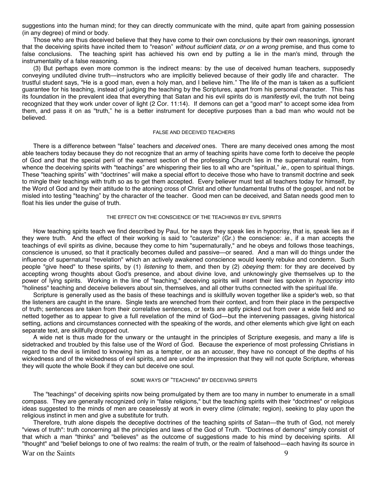suggestions into the human mind; for they can directly communicate with the mind, quite apart from gaining possession (in any degree) of mind or body.

Those who are thus deceived believe that they have come to their own conclusions by their own reasonings, ignorant that the deceiving spirits have incited them to "reason´ *without sufficient data, or on a wrong* premise, and thus come to false conclusions. The teaching spirit has achieved his own end by putting a lie in the man's mind, through the instrumentality of a false reasoning.

(3) But perhaps even more common is the indirect means: by the use of deceived human teachers, supposedly conveying undiluted divine truth—instructors who are implicitly believed because of their godly life and character. The trustful student says, "He is a good man, even a holy man, and I believe him.´ The life of the man is taken as a sufficient guarantee for his teaching, instead of judging the teaching by the Scriptures, apart from his personal character. This has its foundation in the prevalent idea that everything that Satan and his evil spirits do is *manifestly* evil, the truth not being recognized that they work under cover of light (2 Cor. 11:14). If demons can get a "good man" to accept some idea from them, and pass it on as "truth,´ he is a better instrument for deceptive purposes than a bad man who would not be believed.

# FALSE AND DECEIVED TEACHERS

There is a difference between "false´ teachers and *deceived* ones. There are many deceived ones among the most able teachers today because they do not recognize that an army of teaching spirits have come forth to deceive the people of God and that the special peril of the earnest section of the professing Church lies in the supernatural realm, from whence the deceiving spirits with "teachings" are whispering their lies to all who are "spiritual," *ie.*, open to spiritual things. These "teaching spirits" with "doctrines" will make a special effort to deceive those who have to transmit doctrine and seek to mingle their teachings with truth so as to get them accepted. Every believer must test all teachers today for himself, by the Word of God and by their attitude to the atoning cross of Christ and other fundamental truths of the gospel, and not be misled into testing "teaching´ by the character of the teacher. Good men can be deceived, and Satan needs good men to float his lies under the guise of truth.

# THE EFFECT ON THE CONSCIENCE OF THE TEACHINGS BY EVIL SPIRITS

How teaching spirits teach we find described by Paul, for he says they speak lies in hypocrisy, that is, speak lies as if they were truth. And the effect of their working is said to "cauterize" (Gr.) the conscience: *ie.,* if a man accepts the teachings of evil spirits as divine, because they come to him "supernaturally," and he obeys and follows those teachings, conscience is unused, so that it practically becomes dulled and passive—or seared. And a man will do things under the influence of supernatural "revelation" which an actively awakened conscience would keenly rebuke and condemn. Such people "give heed" to these spirits, by (1) *listening* to them, and then by (2) *obeying* them: for they are deceived by accepting wrong thoughts about God's presence, and about divine love, and unknowingly give themselves up to the power of lying spirits. Working in the line of "teaching," deceiving spirits will insert their lies spoken in *hypocrisy* into "holiness" teaching and deceive believers about sin, themselves, and all other truths connected with the spiritual life.

Scripture is generally used as the basis of these teachings and is skillfully woven together like a spider's web, so that the listeners are caught in the snare. Single texts are wrenched from their context, and from their place in the perspective of truth; sentences are taken from their correlative sentences, or texts are aptly picked out from over a wide field and so netted together as to appear to give a full revelation of the mind of God—but the intervening passages, giving historical setting, actions and circumstances connected with the speaking of the words, and other elements which give light on each separate text, are skillfully dropped out.

A wide net is thus made for the unwary or the untaught in the principles of Scripture exegesis, and many a life is sidetracked and troubled by this false use of the Word of God. Because the experience of most professing Christians in regard to the devil is limited to knowing him as a tempter, or as an accuser, they have no concept of the depths of his wickedness and of the wickedness of evil spirits, and are under the impression that they will not quote Scripture, whereas they will quote the whole Book if they can but deceive one soul.

# SOME WAYS OF "TEACHING" BY DECEIVING SPIRITS

The "teachings" of deceiving spirits now being promulgated by them are too many in number to enumerate in a small compass. They are generally recognized only in "false religions," but the teaching spirits with their "doctrines" or religious ideas suggested to the minds of men are ceaselessly at work in every clime (climate; region), seeking to play upon the religious instinct in men and give a substitute for truth.

Therefore, truth alone dispels the deceptive doctrines of the teaching spirits of Satan—the truth of God, not merely "views of truth": truth concerning all the principles and laws of the God of Truth. "Doctrines of demons" simply consist of that which a man "thinks" and "believes" as the outcome of suggestions made to his mind by deceiving spirits. All "thought" and "belief belongs to one of two realms: the realm of truth, or the realm of falsehood—each having its source in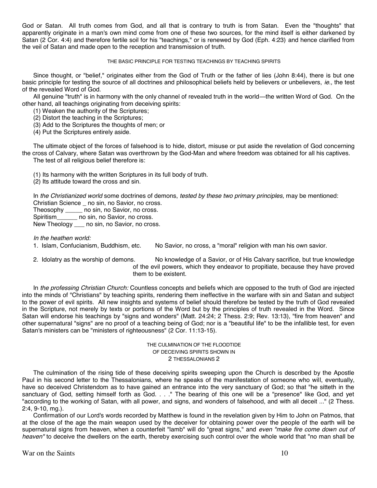God or Satan. All truth comes from God, and all that is contrary to truth is from Satan. Even the "thoughts" that apparently originate in a man's own mind come from one of these two sources, for the mind itself is either darkened by Satan (2 Cor. 4:4) and therefore fertile soil for his "teachings," or is renewed by God (Eph. 4:23) and hence clarified from the veil of Satan and made open to the reception and transmission of truth.

# THE BASIC PRINCIPLE FOR TESTING TEACHINGS BY TEACHING SPIRITS

Since thought, or "belief," originates either from the God of Truth or the father of lies (John 8:44), there is but one basic principle for testing the source of all doctrines and philosophical beliefs held by believers or unbelievers, *ie.,* the test of the revealed Word of God.

All genuine "truth" is in harmony with the only channel of revealed truth in the world—the written Word of God. On the other hand, all teachings originating from deceiving spirits:

- (1) Weaken the authority of the Scriptures;
- (2) Distort the teaching in the Scriptures;
- (3) Add to the Scriptures the thoughts of men; or
- (4) Put the Scriptures entirely aside.

The ultimate object of the forces of falsehood is to hide, distort, misuse or put aside the revelation of God concerning the cross of Calvary, where Satan was overthrown by the God-Man and where freedom was obtained for all his captives. The test of all religious belief therefore is:

(1) Its harmony with the written Scriptures in its full body of truth.

(2) Its attitude toward the cross and sin.

In *the Christianized world* some doctrines of demons, *tested by these two primary principles,* may be mentioned: Christian Science \_ no sin, no Savior, no cross.

Theosophy \_\_\_\_\_ no sin, no Savior, no cross.

Spiritism\_\_\_\_\_\_\_ no sin, no Savior, no cross.

New Theology \_\_\_ no sin, no Savior, no cross.

*In the heathen world:*

- 1. Islam, Confucianism, Buddhism, etc. No Savior, no cross, a "moral" religion with man his own savior.
- 
- 2. Idolatry as the worship of demons. No knowledge of a Savior, or of His Calvary sacrifice, but true knowledge of the evil powers, which they endeavor to propitiate, because they have proved them to be existent.

In *the professing Christian Church:* Countless concepts and beliefs which are opposed to the truth of God are injected into the minds of "Christians" by teaching spirits, rendering them ineffective in the warfare with sin and Satan and subject to the power of evil spirits. All new insights and systems of belief should therefore be tested by the truth of God revealed in the Scripture, not merely by texts or portions of the Word but by the principles of truth revealed in the Word. Since Satan will endorse his teachings by "signs and wonders" (Matt. 24:24; 2 Thess. 2:9; Rev. 13:13), "fire from heaven" and other supernatural "signs" are no proof of a teaching being of God; nor is a "beautiful life" to be the infallible test, for even Satan's ministers can be "ministers of righteousness" (2 Cor. 11:13-15).

> THE CULMINATION OF THE FLOODTIDE OF DECEIVING SPIRITS SHOWN IN 2 THESSALONIANS 2

The culmination of the rising tide of these deceiving spirits sweeping upon the Church is described by the Apostle Paul in his second letter to the Thessalonians, where he speaks of the manifestation of someone who will, eventually, have so deceived Christendom as to have gained an entrance into the very sanctuary of God; so that "he sitteth in the sanctuary of God, setting himself forth as God. . . ." The bearing of this one will be a "presence" like God, and yet "according to the working of Satan, with all power, and signs, and wonders of falsehood, and with all deceit ..." (2 Thess. 2:4, 9-10, mg.).

Confirmation of our Lord's words recorded by Matthew is found in the revelation given by Him to John on Patmos, that at the close of the age the main weapon used by the deceiver for obtaining power over the people of the earth will be supernatural signs from heaven, when a counterfeit "lamb" will do "great signs," and *even "make fire come down out of heaven"* to deceive the dwellers on the earth, thereby exercising such control over the whole world that "no man shall be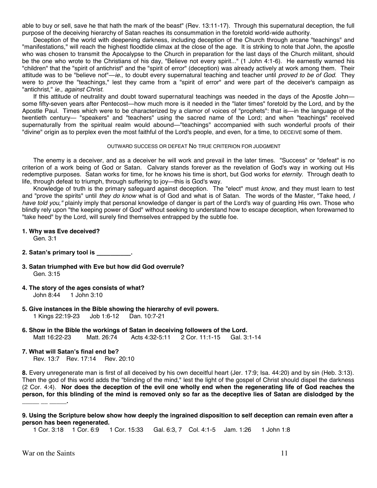able to buy or sell, save he that hath the mark of the beast" (Rev. 13:11-17). Through this supernatural deception, the full purpose of the deceiving hierarchy of Satan reaches its consummation in the foretold world-wide authority.

Deception of the world with deepening darkness, including deception of the Church through arcane "teachings" and "manifestations," will reach the highest floodtide climax at the close of the age. It is striking to note that John, the apostle who was chosen to transmit the Apocalypse to the Church in preparation for the last days of the Church militant, should be the one who wrote to the Christians of his day, "Believe not every spirit..." (1 John 4:1-6). He earnestly warned his "children" that the "spirit of antichrist" and the "spirit of error" (deception) was already actively at work among them. Their attitude was to be "believe not"-ie., to doubt every supernatural teaching and teacher until *proved to be of God.* They were to *prove* the "teachings," lest they came from a "spirit of error" and were part of the deceiver's campaign as "antichrist," *ie., against Christ.*

If this attitude of neutrality and doubt toward supernatural teachings was needed in the days of the Apostle John some fifty-seven years after Pentecost—how much more is it needed in the "later times" foretold by the Lord, and by the Apostle Paul. Times which were to be characterized by a clamor of voices of "prophets": that is—in the language of the twentieth century— "speakers" and "teachers" using the sacred name of the Lord; and when "teachings" received supernaturally from the spiritual realm would abound—"teachings" accompanied with such wonderful proofs of their "divine" origin as to perplex even the most faithful of the Lord's people, and even, for a time, to DECEIVE some of them.

#### OUTWARD SUCCESS OR DEFEAT No TRUE CRITERION FOR JUDGMENT

The enemy is a deceiver, and as a deceiver he will work and prevail in the later times. "Success" or "defeat" is no criterion of a work being of God or Satan. Calvary stands forever as the revelation of God's way in working out His redemptive purposes. Satan works for time, for he knows his time is short, but God works for *eternity.* Through death to life, through defeat to triumph, through suffering to joy-this is God's way.

Knowledge of truth is the primary safeguard against deception. The "elect" must *know,* and they must learn to test and "prove the spirits" until *they do know* what is of God and what is of Satan. The words of the Master, "Take heed, *I have told you,"* plainly imply that personal knowledge of danger is part of the Lord's way of guarding His own. Those who blindly rely upon "the keeping power of God" without seeking to understand how to escape deception, when forewarned to "take heed" by the Lord, will surely find themselves entrapped by the subtle foe.

# **1. Why was Eve deceived?**

Gen. 3:1

- 2. Satan's primary tool is \_\_\_\_\_\_\_\_\_.
- **3. Satan triumphed with Eve but how did God overrule?**  Gen. 3:15
- **4. The story of the ages consists of what?**  John 8:44 1 John 3:10
- **5. Give instances in the Bible showing the hierarchy of evil powers.**  1 Kings 22:19-23 Job 1:6-12 Dan. 10:7-21
- **6. Show in the Bible the workings of Satan in deceiving followers of the Lord.**  Matt 16:22-23 Matt. 26:74 Acts 4:32-5:11 2 Cor. 11:1-15 Gal. 3:1-14
- **7.** What will Satan's final end be?

Rev. 13:7 Rev. 17:14 Rev. 20:10

**8.** Every unregenerate man is first of all deceived by his own deceitful heart (Jer. 17:9; Isa. 44:20) and by sin (Heb. 3:13). Then the god of this world adds the "blinding of the mind," lest the light of the gospel of Christ should dispel the darkness (2 Cor. 4:4). **Nor does the deception of the evil one wholly end when the regenerating life of God reaches the person, for this blinding of the mind is removed only so far as the deceptive lies of Satan are dislodged by the \_\_\_\_\_ \_\_ \_\_\_\_\_.** 

1 Cor. 3:18 1 Cor. 6:9 1 Cor. 15:33 Gal. 6:3, 7 Col. 4:1-5 Jam. 1:26 1 John 1:8

**<sup>9.</sup> Using the Scripture below show how deeply the ingrained disposition to self deception can remain even after a person has been regenerated.**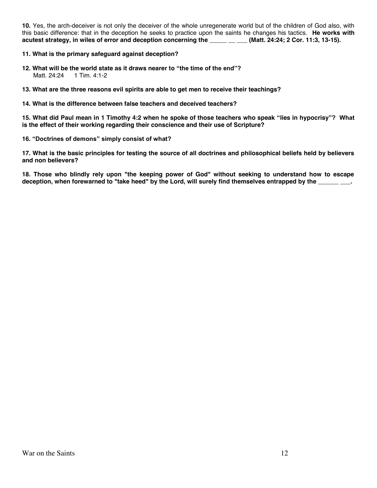**10.** Yes, the arch-deceiver is not only the deceiver of the whole unregenerate world but of the children of God also, with this basic difference: that in the deception he seeks to practice upon the saints he changes his tactics. **He works with acutest strategy, in wiles of error and deception concerning the \_\_\_\_\_ \_\_ \_\_\_ (Matt. 24:24; 2 Cor. 11:3, 13-15).** 

- **11. What is the primary safeguard against deception?**
- **12. What will be the world state as it draws nearer to** "the time of the end"? Matt. 24:24 1 Tim. 4:1-2
- **13. What are the three reasons evil spirits are able to get men to receive their teachings?**
- **14. What is the difference between false teachers and deceived teachers?**

**15. What did Paul mean in 1 Timothy 4:2 when he spoke of those teachers who speak** "**lies in hypocrisy**"? What **is the effect of their working regarding their conscience and their use of Scripture?** 

**16.** "Doctrines of demons" simply consist of what?

**17. What is the basic principles for testing the source of all doctrines and philosophical beliefs held by believers and non believers?** 

**18. Those who blindly rely upon "the keeping power of God" without seeking to understand how to escape**  deception, when forewarned to "take heed" by the Lord, will surely find themselves entrapped by the **with the wave**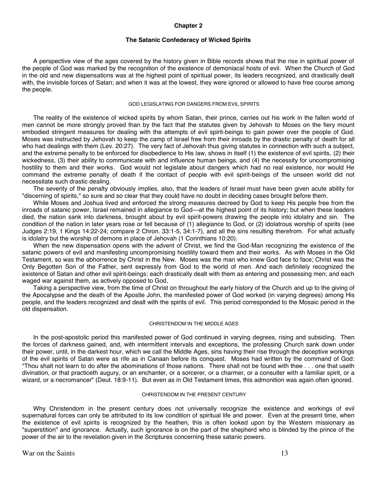# **Chapter 2**

# **The Satanic Confederacy of Wicked Spirits**

A perspective view of the ages covered by the history given in Bible records shows that the rise in spiritual power of the people of God was marked by the recognition of the existence of demoniacal hosts of evil. When the Church of God in the old and new dispensations was at the highest point of spiritual power, its leaders recognized, and drastically dealt with, the invisible forces of Satan; and when it was at the lowest, they were ignored or allowed to have free course among the people.

#### GOD LEGISLATING FOR DANGERS FROM EVIL SPIRITS

The reality of the existence of wicked spirits by whom Satan, their prince, carries out his work in the fallen world of men cannot be more strongly proved than by the fact that the statutes given by Jehovah to Moses on the fiery mount embodied stringent measures for dealing with the attempts of evil spirit-beings to gain power over the people of God. Moses was instructed by Jehovah to keep the camp of Israel free from their inroads by the drastic penalty of death for all who had dealings with them (Lev. 20:27). The very fact of Jehovah thus giving statutes in connection with such a subject, and the extreme penalty to be enforced for disobedience to His law, shows in itself (1) the existence of evil spirits, (2) their wickedness, (3) their ability to communicate with and influence human beings, and (4) the necessity for uncompromising hostility to them and their works. God would not legislate about dangers which had no real existence, nor would He command the extreme penalty of death if the contact of people with evil spirit-beings of the unseen world did not necessitate such drastic dealing.

The severity of the penalty obviously implies, also, that the leaders of Israel must have been given acute ability for "discerning of spirits," so sure and so clear that they could have no doubt in deciding cases brought before them.

While Moses and Joshua lived and enforced the strong measures decreed by God to keep His people free from the inroads of satanic power, Israel remained in allegiance to God—at the highest point of its history; but when these leaders died, the nation sank into darkness, brought about by evil spirit-powers drawing the people into idolatry and sin. The condition of the nation in later years rose or fell because of (1) allegiance to God, or (2) idolatrous worship of spirits (see Judges 2:19, 1 Kings 14:22-24; compare 2 Chron. 33:1-5, 34:1-7), and all the sins resulting therefrom. For what actually is idolatry but the worship of demons in place of Jehovah (1 Corinthians 10:20).

When the new dispensation opens with the advent of Christ, we find the God-Man recognizing the existence of the satanic powers of evil and manifesting uncompromising hostility toward them and their works. As with Moses in the Old Testament, so was the abhorrence by Christ in the New. Moses was the man who knew God face to face; Christ was the Only Begotten Son of the Father, sent expressly from God to the world of men. And each definitely recognized the existence of Satan and other evil spirit-beings; each drastically dealt with them as entering and possessing men; and each waged war against them, as actively opposed to God,

Taking a perspective view, from the time of Christ on throughout the early history of the Church and up to the giving of the Apocalypse and the death of the Apostle John, the manifested power of God worked (in varying degrees) among His people, and the leaders recognized and dealt with the spirits of evil. This period corresponded to the Mosaic period in the old dispensation.

# CHRISTENDOM IN THE MIDDLE AGES

In the post-apostolic period this manifested power of God continued in varying degrees, rising and subsiding. Then the forces of darkness gained, and, with intermittent intervals and exceptions, the professing Church sank down under their power, until, in the darkest hour, which we call the Middle Ages, sins having their rise through the deceptive workings of the evil spirits of Satan were as rife as in Canaan before its conquest. Moses had written by the command of God: "Thou shalt not learn to do after the abominations of those nations. There shall not be found with thee . . . one that useth divination, or that practiceth augury, or an enchanter, or a sorcerer, or a charmer, or a consulter with a familiar spirit, or a wizard, or a necromancer" (Deut. 18:9-11). But even as in Old Testament times, this admonition was again often ignored.

# CHRISTENDOM IN THE PRESENT CENTURY

Why Christendom in the present century does not universally recognize the existence and workings of evil supernatural forces can only be attributed to its low condition of spiritual life and power. Even at the present time, when the existence of evil spirits is recognized by the heathen, this is often looked upon by the Western missionary as "superstition" and ignorance. Actually, such ignorance is on the part of the shepherd who is blinded by the prince of the power of the air to the revelation given in the Scriptures concerning these satanic powers.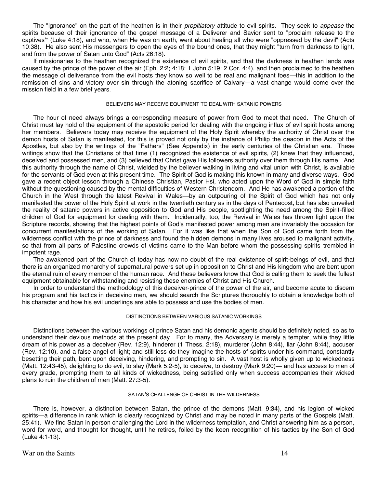The "ignorance" on the part of the heathen is in their *propitiatory* attitude to evil spirits. They seek to *appease* the spirits because of their ignorance of the gospel message of a Deliverer and Savior sent to "proclaim release to the captives'\* (Luke 4:18), and who, when He was on earth, went about healing all who were "oppressed by the devil" (Acts 10:38). He also sent His messengers to open the eyes of the bound ones, that they might "turn from darkness to light, and from the power of Satan unto God" (Acts 26:18).

If missionaries to the heathen recognized the existence of evil spirits, and that the darkness in heathen lands was caused by the prince of the power of the air (Eph. 2:2; 4:18; 1 John 5:19; 2 Cor. 4:4), and then proclaimed to the heathen the message of deliverance from the evil hosts they know so well to be real and malignant foes—this in addition to the remission of sins and victory over sin through the atoning sacrifice of Calvary—a vast change would come over the mission field in a few brief years.

#### BELIEVERS MAY RECEIVE EQUIPMENT TO DEAL WITH SATANIC POWERS

The hour of need always brings a corresponding measure of power from God to meet that need. The Church of Christ must lay hold of the equipment of the apostolic period for dealing with the ongoing influx of evil spirit hosts among her members. Believers today may receive the equipment of the Holy Spirit whereby the authority of Christ over the demon hosts of Satan is manifested, for this is proved not only by the instance of Philip the deacon in the Acts of the Apostles, but also by the writings of the "Fathers" (See Appendix) in the early centuries of the Christian era. These writings show that the Christians of that time (1) recognized the existence of evil spirits, (2) knew that they influenced, deceived and possessed men, and (3) believed that Christ gave His followers authority over them through His name. And this authority through the name of Christ, wielded by the believer walking in living and vital union with Christ, is available for the servants of God even at this present time. The Spirit of God is making this known in many and diverse ways. God gave a recent object lesson through a Chinese Christian, Pastor Hsi, who acted upon the Word of God in simple faith without the questioning caused by the mental difficulties of Western Christendom. And He has awakened a portion of the Church in the West through the latest Revival in Wales—by an outpouring of the Spirit of God which has not only manifested the power of the Holy Spirit at work in the twentieth century as in the days of Pentecost, but has also unveiled the reality of satanic powers in active opposition to God and His people, spotlighting the need among the Spirit-filled children of God for equipment for dealing with them. Incidentally, too, the Revival in Wales has thrown light upon the Scripture records, showing that the highest points of God's manifested power among men are invariably the occasion for concurrent manifestations of the working of Satan. For it was like that when the Son of God came forth from the wilderness conflict with the prince of darkness and found the hidden demons in many lives aroused to malignant activity, so that from all parts of Palestine crowds of victims came to the Man before whom the possessing spirits trembled in impotent rage.

The awakened part of the Church of today has now no doubt of the real existence of spirit-beings of evil, and that there is an organized monarchy of supernatural powers set up in opposition to Christ and His kingdom who are bent upon the eternal ruin of every member of the human race. And these believers know that God is calling them to seek the fullest equipment obtainable for withstanding and resisting these enemies of Christ and His Church.

In order to understand the methodology of this deceiver-prince of the power of the air, and become acute to discern his program and his tactics in deceiving men, we should search the Scriptures thoroughly to obtain a knowledge both of his character and how his evil underlings are able to possess and use the bodies of men.

# DISTINCTIONS BETWEEN VARIOUS SATANIC WORKINGS

Distinctions between the various workings of prince Satan and his demonic agents should be definitely noted, so as to understand their devious methods at the present day. For to many, the Adversary is merely a tempter, while they little dream of his power as a deceiver (Rev. 12:9), hinderer (1 Thess. 2:18), murderer (John 8:44), liar (John 8:44), accuser (Rev. 12:10), and a false angel of light; and still less do they imagine the hosts of spirits under his command, constantly besetting their path, bent upon deceiving, hindering, and prompting to sin. A vast host is wholly given up to wickedness (Matt. 12:43-45), delighting to do evil, to slay (Mark 5:2-5), to deceive, to destroy (Mark 9:20)— and has access to men of every grade, prompting them to all kinds of wickedness, being satisfied only when success accompanies their wicked plans to ruin the children of men (Matt. 27:3-5).

# SATAN'S CHALLENGE OF CHRIST IN THE WILDERNESS

There is, however, a distinction between Satan, the prince of the demons (Matt. 9:34), and his legion of wicked spirits—a difference in rank which is clearly recognized by Christ and may be noted in many parts of the Gospels (Matt. 25:41). We find Satan in person challenging the Lord in the wilderness temptation, and Christ answering him as a person, word for word, and thought for thought, until he retires, foiled by the keen recognition of his tactics by the Son of God (Luke 4:1-13).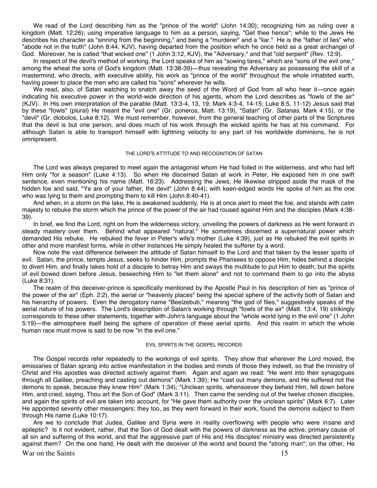We read of the Lord describing him as the "prince of the world" (John 14:30); recognizing him as ruling over a kingdom (Matt. 12:26); using imperative language to him as a person, saying, "Get thee hence"; while to the Jews He describes his character as "sinning from the beginning," and being a "murderer" and a "liar." He is the "father of lies" who "abode not in the truth" (John 8:44, KJV), having departed from the position which he once held as a great archangel of God. Moreover, he is called "that wicked one" (1 John 3:12, KJV), the "Adversary," and that "old serpent" (Rev. 12:9).

In respect of the devil's method of working, the Lord speaks of him as "sowing tares," which are "sons of the evil one," among the wheat the sons of God's kingdom (Matt. 13:38-39)—thus revealing the Adversary as possessing the skill of a mastermind, who directs, with executive ability, his work as "prince of the world" throughout the whole inhabited earth, having power to place the men who are called his "sons" wherever he wills.

We read, also, of Satan watching to snatch away the seed of the Word of God from all who hear it—once again indicating his executive power in the world-wide direction of his agents, whom the Lord describes as "fowls of the air" (KJV). In His own interpretation of the parable (Matt. 13:3-4, 13, 19; Mark 4:3-4, 14-15; Luke 8:5, 11-12) Jesus said that by these "fowls" (plural) He meant the "evil one" (Gr. poneros, Matt. 13:19), "Satan" (Gr. *Satanas,* Mark 4:15), or the "devil" (Gr. diobolos, Luke 8:12). We must remember, however, from the general teaching of other parts of the Scriptures that the devil is but one person, and does much of his work through the wicked spirits he has at his command. For although Satan is able to transport himself with lightning velocity to any part of his worldwide dominions, he is not omnipresent.

# THE LORD'S ATTITUDE TO AND RECOGNITION OF SATAN

The Lord was always prepared to meet again the antagonist whom He had foiled in the wilderness, and who had left Him only "for a season" (Luke 4:13). So when He discerned Satan at work in Peter, He exposed him in one swift sentence, even mentioning his name (Matt. 16:23). Addressing the Jews, He likewise stripped aside the mask of the hidden foe and said, "Ye are of your father, the devil" (John 8:44); with keen-edged words He spoke of him as the one who was lying to them and prompting them to kill Him (John 8:40-41).

And when, in a storm on the lake, He is awakened suddenly, He is at once alert to meet the foe, and stands with calm majesty to rebuke the storm which the prince of the power of the air had roused against Him and the disciples (Mark 4:38- 39).

In brief, we find the Lord, right on from the wilderness victory, unveiling the powers of darkness as He went forward in steady mastery over them. Behind what appeared "natural," He sometimes discerned a supernatural power which demanded His rebuke. He rebuked the fever in Peter's wife's mother (Luke 4:39), just as He rebuked the evil spirits in other and more manifest forms, while in other instances He simply healed the sufferer by a word.

Now note the vast difference between the attitude of Satan himself to the Lord and that taken by the lesser spirits of evil. Satan, the prince, tempts Jesus, seeks to hinder Him, prompts the Pharisees to oppose Him, hides behind a disciple to divert Him, and finally takes hold of a disciple to betray Him and sways the multitude to put Him to death; but the spirits of evil bowed down before Jesus, beseeching Him to "let them alone" and not to command them to go into the abyss (Luke 8:31).

The realm of this deceiver-prince is specifically mentioned by the Apostle Paul in his description of him as "prince of the power of the air" (Eph. 2:2), the aerial or "heavenly places" being the special sphere of the activity both of Satan and his hierarchy of powers. Even the derogatory name "Beelzebub," meaning "the god of flies," suggestively speaks of the aerial nature of his powers. The Lord's description of Satan's working through "fowls of the air" (Matt. 13:4, 19) strikingly corresponds to these other statements, together with John's language about the "whole world lying in the evil one" (1 John 5:19)—the atmosphere itself being the sphere of operation of these aerial spirits. And this realm in which the whole human race must move is said to be now "in the evil one."

#### EVIL SPIRITS IN THE GOSPEL RECORDS

The Gospel records refer repeatedly to the workings of evil spirits. They show that wherever the Lord moved, the emissaries of Satan sprang into active manifestation in the bodies and minds of those they indwelt, so that the ministry of Christ and His apostles was directed actively against them. Again and again we read: "He went into their synagogues through all Galilee, preaching and casting out demons" (Mark 1:39); He "cast out many demons, and He suffered not the demons to speak, because they knew Him" (Mark 1:34); "Unclean spirits, whensoever they beheld Him, fell down before Him, and cried, saying, Thou art the Son of God" (Mark 3:11). Then came the sending out of the twelve chosen disciples, and again the spirits of evil are taken into account, for "He gave them authority over the unclean spirits" (Mark 6:7). Later He appointed seventy other messengers; they too, as they went forward in their work, found the demons subject to them through His name (Luke 10:17).

Are we to conclude that Judea, Galilee and Syria were in reality overflowing with people who were insane and epileptic? Is it not evident, rather, that the Son of God dealt with the powers of darkness as the active, primary cause of all sin and suffering of this world, and that the aggressive part of His and His disciples' ministry was directed persistently against them? On the one hand, He dealt with the deceiver of the world and bound the "strong man"; on the other, He

# War on the Saints 15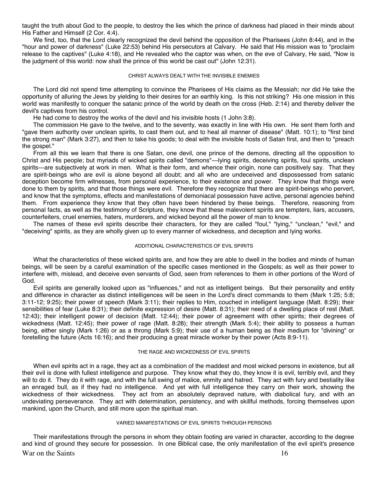taught the truth about God to the people, to destroy the lies which the prince of darkness had placed in their minds about His Father and Himself (2 Cor. 4:4).

We find, too, that the Lord clearly recognized the devil behind the opposition of the Pharisees (John 8:44), and in the "hour and power of darkness" (Luke 22:53) behind His persecutors at Calvary. He said that His mission was to "proclaim release to the captives" (Luke 4:18), and He revealed who the captor was when, on the eve of Calvary, He said, "Now is the judgment of this world: now shall the prince of this world be cast out" (John 12:31).

# CHRIST ALWAYS DEALT WITH THE INVISIBLE ENEMIES

The Lord did not spend time attempting to convince the Pharisees of His claims as the Messiah; nor did He take the opportunity of alluring the Jews by yielding to their desires for an earthly king. Is this not striking? His one mission in this world was manifestly to conquer the satanic prince of the world by death on the cross (Heb. 2:14) and thereby deliver the devil's captives from his control.

He had come to destroy the works of the devil and his invisible hosts (1 John 3:8).

The commission He gave to the twelve, and to the seventy, was exactly in line with His own. He sent them forth and "gave them authority over unclean spirits, to cast them out, and to heal all manner of disease" (Matt. 10:1); to "first bind the strong man" (Mark 3:27), and then to take his goods; to deal with the invisible hosts of Satan first, and then to "preach the gospel."

From all this we learn that there is one Satan, one devil, one prince of the demons, directing all the opposition to Christ and His people; but myriads of wicked spirits called "demons"—Iving spirits, deceiving spirits, foul spirits, unclean spirits—are subjectively at work in men. What is their form, and whence their origin, none can positively say. That they are spirit-beings who are evil is alone beyond all doubt; and all who are undeceived and dispossessed from satanic deception become firm witnesses, from personal experience, to their existence and power. They know that things were done to them by spirits, and that those things were evil. Therefore they recognize that there are spirit-beings who pervert, and know that the symptoms, effects and manifestations of demoniacal possession have active, personal agencies behind them. From experience they know that they often have been hindered by these beings. Therefore, reasoning from personal facts, as well as the testimony of Scripture, they know that these malevolent spirits are tempters, liars, accusers, counterfeiters, cruel enemies, haters, murderers, and wicked beyond all the power of man to know.

The names of these evil spirits describe their characters, for they are called "foul," "lying," "unclean," "evil," and "deceiving" spirits, as they are wholly given up to every manner of wickedness, and deception and lying works.

#### ADDITIONAL CHARACTERISTICS OF EVIL SPIRITS

What the characteristics of these wicked spirits are, and how they are able to dwell in the bodies and minds of human beings, will be seen by a careful examination of the specific cases mentioned in the Gospels; as well as their power to interfere with, mislead, and deceive even servants of God, seen from references to them in other portions of the Word of God.

Evil spirits are generally looked upon as "influences," and not as intelligent beings. But their personality and entity and difference in character as distinct intelligences will be seen in the Lord's direct commands to them (Mark 1:25; 5:8; 3:11-12; 9:25); their power of speech (Mark 3:11); their replies to Him, couched in intelligent language (Matt. 8:29); their sensibilities of fear (Luke 8:31); their definite expression of desire (Matt. 8:31); their need of a dwelling place of rest (Matt. 12:43); their intelligent power of decision (Matt. 12:44); their power of agreement with other spirits; their degrees of wickedness (Matt. 12:45); their power of rage (Matt. 8:28); their strength (Mark 5:4); their ability to possess a human being, either singly (Mark 1:26) or as a throng (Mark 5:9); their use of a human being as their medium for "divining" or foretelling the future (Acts 16:16); and their producing a great miracle worker by their power (Acts 8:9-11).

# THE RAGE AND WICKEDNESS OF EVIL SPIRITS

When evil spirits act in a rage, they act as a combination of the maddest and most wicked persons in existence, but all their evil is done with fullest intelligence and purpose. They know what they do, they know it is evil, terribly evil, and they will to do it. They do it with rage, and with the full swing of malice, enmity and hatred. They act with fury and bestiality like an enraged bull, as if they had no intelligence. And yet with full intelligence they carry on their work, showing the wickedness of their wickedness. They act from an absolutely depraved nature, with diabolical fury, and with an undeviating perseverance. They act with determination, persistency, and with skillful methods, forcing themselves upon mankind, upon the Church, and still more upon the spiritual man.

#### VARIED MANIFESTATIONS OF EVIL SPIRITS THROUGH PERSONS

War on the Saints 16 Their manifestations through the persons in whom they obtain footing are varied in character, according to the degree and kind of ground they secure for possession. In one Biblical case, the only manifestation of the evil spirit's presence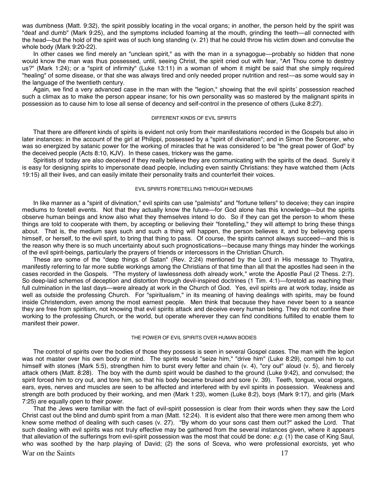was dumbness (Matt. 9:32), the spirit possibly locating in the vocal organs; in another, the person held by the spirit was "deaf and dumb" (Mark 9:25), and the symptoms included foaming at the mouth, grinding the teeth—all connected with the head—but the hold of the spirit was of such long standing (v. 21) that he could throw his victim down and convulse the whole body (Mark 9:20-22).

In other cases we find merely an "unclean spirit," as with the man in a synagogue—probably so hidden that none would know the man was thus possessed, until, seeing Christ, the spirit cried out with fear, "Art Thou come to destroy us?" (Mark 1:24); or a "spirit of infirmity" (Luke 13:11) in a woman of whom it might be said that she simply required "healing" of some disease, or that she was always tired and only needed proper nutrition and rest—as some would say in the language of the twentieth century.

Again, we find a very advanced case in the man with the "legion," showing that the evil spirits' possession reached such a climax as to make the person appear insane; for his own personality was so mastered by the malignant spirits in possession as to cause him to lose all sense of decency and self-control in the presence of others (Luke 8:27).

#### DIFFERENT KINDS OF EVIL SPIRITS

That there are different kinds of spirits is evident not only from their manifestations recorded in the Gospels but also in later instances: in the account of the girl at Philippi, possessed by a "spirit of divination"; and in Simon the Sorcerer, who was so energized by satanic power for the working of miracles that he was considered to be "the great power of God" by the deceived people (Acts 8:10, KJV). In these cases, trickery was the game.

Spiritists of today are also deceived if they really believe they are communicating with the spirits of the dead. Surely it is easy for designing spirits to impersonate dead people, including even saintly Christians: they have watched them (Acts 19:15) all their lives, and can easily imitate their personality traits and counterfeit their voices.

#### EVIL SPIRITS FORETELLING THROUGH MEDIUMS

In like manner as a "spirit of divination," evil spirits can use "palmists" and "fortune tellers" to deceive; they can inspire mediums to foretell events. Not that they actually know the future—for God alone has this knowledge—but the spirits observe human beings and know also what they themselves intend to do. So if they can get the person to whom these things are told to cooperate with them, by accepting or believing their "foretelling," they will attempt to bring these things about. That is, the medium says such and such a thing will happen, the person believes it, and by believing opens himself, or herself, to the evil spirit, to bring that thing to pass. Of course, the spirits cannot always succeed—and this is the reason why there is so much uncertainty about such prognostications—because many things may hinder the workings of the evil spirit-beings, particularly the prayers of friends or intercessors in the Christian Church.

These are some of the "deep things of Satan" (Rev. 2:24) mentioned by the Lord in His message to Thyatira, manifestly referring to far more subtle workings among the Christians of that time than all that the apostles had seen in the cases recorded in the Gospels. "The mystery of lawlessness doth already work," wrote the Apostle Paul (2 Thess. 2:7). So deep-laid schemes of deception and distortion through devil-inspired doctrines (1 Tim. 4:1)—foretold as reaching their full culmination in the last days—were already at work in the Church of God. Yes, evil spirits are at work today, inside as well as outside the professing Church. For "spiritualism," in its meaning of having dealings with spirits, may be found inside Christendom, even among the most earnest people. Men think that because they have never been to a seance they are free from spiritism, not knowing that evil spirits attack and deceive every human being. They do not confine their working to the professing Church, or the world, but operate wherever they can find conditions fulfilled to enable them to manifest their power.

#### THE POWER OF EVIL SPIRITS OVER HUMAN BODIES

The control of spirits over the bodies of those they possess is seen in several Gospel cases. The man with the legion was not master over his own body or mind. The spirits would "seize him," "drive him" (Luke 8:29), compel him to cut himself with stones (Mark 5:5), strengthen him to burst every fetter and chain (v. 4), "cry out" aloud (v. 5), and fiercely attack others (Matt. 8:28). The boy with the dumb spirit would be dashed to the ground (Luke 9:42), and convulsed; the spirit forced him to cry out, and tore him, so that his body became bruised and sore (v. 39). Teeth, tongue, vocal organs, ears, eyes, nerves and muscles are seen to be affected and interfered with by evil spirits in possession. Weakness and strength are both produced by their working, and men (Mark 1:23), women (Luke 8:2), boys (Mark 9:17), and girls (Mark 7:25) are equally open to their power.

War on the Saints 17 That the Jews were familiar with the fact of evil-spirit possession is clear from their words when they saw the Lord Christ cast out the blind and dumb spirit from a man (Matt. 12:24). It is evident also that there were men among them who knew some method of dealing with such cases (v. 27). "By whom do your sons cast them out?" asked the Lord. That such dealing with evil spirits was not truly effective may be gathered from the several instances given, where it appears that alleviation of the sufferings from evil-spirit possession was the most that could be done: *e.g.* (1) the case of King Saul, who was soothed by the harp playing of David; (2) the sons of Sceva, who were professional exorcists, yet who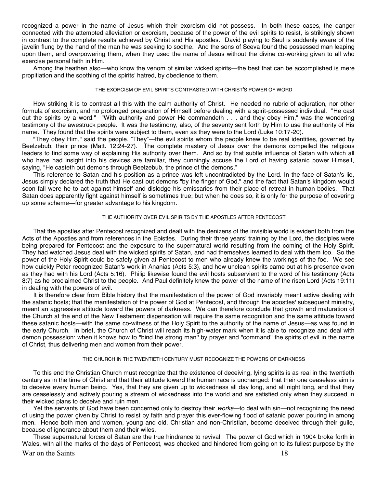recognized a power in the name of Jesus which their exorcism did not possess. In both these cases, the danger connected with the attempted alleviation or exorcism, because of the power of the evil spirits to resist, is strikingly shown in contrast to the complete results achieved by Christ and His apostles. David playing to Saul is suddenly aware of the javelin flung by the hand of the man he was seeking to soothe. And the sons of Sceva found the possessed man leaping upon them, and overpowering them, when they used the name of Jesus without the divine co-working given to all who exercise personal faith in Him.

Among the heathen also—who know the venom of similar wicked spirits—the best that can be accomplished is mere propitiation and the soothing of the spirits' hatred, by obedience to them.

#### THE EXORCISM OF EVIL SPIRITS CONTRASTED WITH CHRIST'S POWER OF WORD

How striking it is to contrast all this with the calm authority of Christ. He needed no rubric of adjuration, nor other formula of exorcism, and no prolonged preparation of Himself before dealing with a spirit-possessed individual. "He cast out the spirits by a word." "With authority and power He commandeth . . . and they obey Him," was the wondering testimony of the awestruck people. It was the testimony, also, of the seventy sent forth by Him to use the authority of His name. They found that the spirits were subject to them, even as they were to the Lord (Luke 10:17-20).

"They obey Him," said the people. "They"—the evil spirits whom the people knew to be real identities, governed by Beelzebub, their prince (Matt. 12:24-27). The complete mastery of Jesus over the demons compelled the religious leaders to find some way of explaining His authority over them. And so by that subtle influence of Satan with which all who have had insight into his devices are familiar, they cunningly accuse the Lord of having satanic power Himself, saying. "He casteth out demons through Beelzebub, the prince of the demons."

This reference to Satan and his position as a prince was left uncontradicted by the Lord. In the face of Satan's lie, Jesus simply declared the truth that He cast out demons "by the finger of God," and the fact that Satan's kingdom would soon fall were he to act against himself and dislodge his emissaries from their place of retreat in human bodies. That Satan does apparently fight against himself is sometimes true; but when he does so, it is only for the purpose of covering up some scheme-for greater advantage to his kingdom.

# THE AUTHORITY OVER EVIL SPIRITS BY THE APOSTLES AFTER PENTECOST

That the apostles after Pentecost recognized and dealt with the denizens of the invisible world is evident both from the Acts of the Apostles and from references in the Epistles. During their three years' training by the Lord, the disciples were being prepared for Pentecost and the exposure to the supernatural world resulting from the coming of the Holy Spirit. They had watched Jesus deal with the wicked spirits of Satan, and had themselves learned to deal with them too. So the power of the Holy Spirit could be safely given at Pentecost to men who already knew the workings of the foe. We see how quickly Peter recognized Satan's work in Ananias (Acts 5:3), and how unclean spirits came out at his presence even as they had with his Lord (Acts 5:16). Philip likewise found the evil hosts subservient to the word of his testimony (Acts 8:7) as he proclaimed Christ to the people. And Paul definitely knew the power of the name of the risen Lord (Acts 19:11) in dealing with the powers of evil.

It is therefore clear from Bible history that the manifestation of the power of God invariably meant active dealing with the satanic hosts; that the manifestation of the power of God at Pentecost, and through the apostles' subsequent ministry, meant an aggressive attitude toward the powers of darkness. We can therefore conclude that growth and maturation of the Church at the end of the New Testament dispensation will require the same recognition and the same attitude toward these satanic hosts—with the same co-witness of the Holy Spirit to the authority of the name of Jesus—as was found in the early Church. In brief, the Church of Christ will reach its high-water mark when it is able to recognize and deal with demon possession: when it knows how to "bind the strong man'' by prayer and "command'' the spirits of evil in the name of Christ, thus delivering men and women from their power.

# THE CHURCH IN THE TWENTIETH CENTURY MUST RECOGNIZE THE POWERS OF DARKNESS

To this end the Christian Church must recognize that the existence of deceiving, lying spirits is as real in the twentieth century as in the time of Christ and that their attitude toward the human race is unchanged: that their one ceaseless aim is to deceive every human being. Yes, that they are given up to wickedness all day long, and all night long, and that they are ceaselessly and actively pouring a stream of wickedness into the world and are satisfied only when they succeed in their wicked plans to deceive and ruin men.

Yet the servants of God have been concerned only to destroy their *works*—to deal with sin—not recognizing the need of using the power given by Christ to resist by faith and prayer this ever-flowing flood of satanic power pouring in among men. Hence both men and women, young and old, Christian and non-Christian, become deceived through their guile, because of ignorance about them and their wiles.

War on the Saints 18 These supernatural forces of Satan are the true hindrance to revival. The power of God which in 1904 broke forth in Wales, with all the marks of the days of Pentecost, was checked and hindered from going on to its fullest purpose by the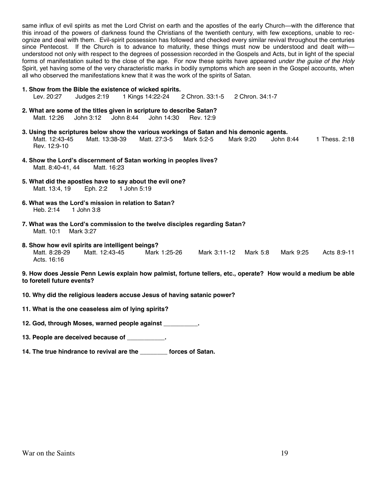same influx of evil spirits as met the Lord Christ on earth and the apostles of the early Church—with the difference that this inroad of the powers of darkness found the Christians of the twentieth century, with few exceptions, unable to recognize and deal with them. Evil-spirit possession has followed and checked every similar revival throughout the centuries since Pentecost. If the Church is to advance to maturity, these things must now be understood and dealt with understood not only with respect to the degrees of possession recorded in the Gospels and Acts, but in light of the special forms of manifestation suited to the close of the age. For now these spirits have appeared *under the guise of the Holy*  Spirit, yet having some of the very characteristic marks in bodily symptoms which are seen in the Gospel accounts, when all who observed the manifestations knew that it was the work of the spirits of Satan.

- **1. Show from the Bible the existence of wicked spirits.**  Lev. 20:27 Judges 2:19 1 Kings 14:22-24 2 Chron. 33:1-5 2 Chron. 34:1-7 **2. What are some of the titles given in scripture to describe Satan?**  Matt. 12:26 John 3:12 John 8:44 John 14:30 Rev. 12:9 **3. Using the scriptures below show the various workings of Satan and his demonic agents.**  Matt. 12:43-45 Matt. 13:38-39 Matt. 27:3-5 Mark 5:2-5 Mark 9:20 John 8:44 1 Thess. 2:18 Rev. 12:9-10 **4.** Show the Lord's discernment of Satan working in peoples lives? Matt. 8:40-41, 44 Matt. 16:23 **5. What did the apostles have to say about the evil one?** Matt. 13:4, 19 Eph. 2:2 1 John 5:19 **6. What was the Lord's mission in relation to Satan?**<br>Heb. 2:14 1 John 3:8 1 John  $3:8$ **7.** What was the Lord's commission to the twelve disciples regarding Satan? Matt. 10:1 Mark 3:27 **8. Show how evil spirits are intelligent beings?**  Matt. 8:28-29 Matt. 12:43-45 Mark 1:25-26 Mark 3:11-12 Mark 5:8 Mark 9:25 Acts 8:9-11
- **9. How does Jessie Penn Lewis explain how palmist, fortune tellers, etc., operate? How would a medium be able to foretell future events?**
- **10. Why did the religious leaders accuse Jesus of having satanic power?**
- **11. What is the one ceaseless aim of lying spirits?**
- **12. God, through Moses, warned people against \_\_\_\_\_\_\_\_\_\_.**
- **13. People are deceived because of \_\_\_\_\_\_\_\_\_\_\_.**
- **14. The true hindrance to revival are the \_\_\_\_\_\_\_\_ forces of Satan.**

Acts. 16:16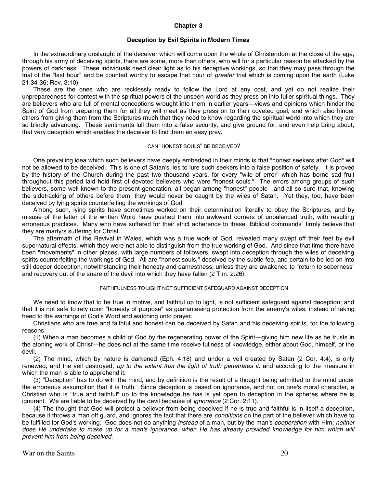# **Chapter 3**

# **Deception by Evil Spirits in Modern Times**

In the extraordinary onslaught of the deceiver which will come upon the whole of Christendom at the close of the age, through his army of deceiving spirits, there are some, more than others, who will for a particular reason be attacked by the powers of darkness. These individuals need clear light as to his deceptive workings, so that they may pass through the trial of the "last hour´ and be counted worthy to escape that hour of *greater* trial which is coming upon the earth (Luke 21:34-36; Rev. 3:10).

These are the ones who are recklessly ready to follow the Lord at any cost, and yet do not realize their unpreparedness for contest with the spiritual powers of the unseen world as they press on into fuller spiritual things. They are believers who are full of mental conceptions wrought into them in earlier years—views and opinions which hinder the Spirit of God from preparing them for all they will meet as they press on to their coveted goal, and which also hinder others from giving them from the Scriptures much that they need to know regarding the spiritual world into which they are so blindly advancing. These sentiments lull them into a false security, and give ground for, and even help bring about, that very deception which enables the deceiver to find them an easy prey.

#### CAN "HONEST SOULS" BE DECEIVED?

One prevailing idea which such believers have deeply embedded in their minds is that "honest seekers after God" will not be allowed to be deceived. This is one of Satan's lies to lure such seekers into a false position of safety. It is proved by the history of the Church during the past two thousand years, for every "wile of error" which has borne sad fruit throughout this period laid hold first of devoted believers who were "honest souls." The errors among groups of such believers, some well known to the present generation, all began among "honest" people—and all so sure that, knowing the sidetracking of others before them, they would never be caught by the wiles of Satan. Yet they, too, have been deceived by lying spirits counterfeiting the workings of God.

Among such, lying spirits have sometimes worked on their determination literally to obey the Scriptures, and by misuse of the letter of the written Word have pushed them into awkward corners of unbalanced truth, with resulting erroneous practices. Many who have suffered for their strict adherence to these "Biblical commands" firmly believe that they are martyrs suffering for Christ.

The aftermath of the Revival in Wales, which was a true work of God, revealed many swept off their feet by evil supernatural effects, which they were not able to distinguish from the true working of God. And since that time there have been "movements" in other places, with large numbers of followers, swept into deception through the wiles of deceiving spirits counterfeiting the workings of God. All are "honest souls," deceived by the subtle foe, and certain to be led on into still deeper deception, notwithstanding their honesty and earnestness, unless they are awakened to "return to soberness" and recovery out of the snare of the devil into which they have fallen (2 Tim. 2:26).

# FAITHFULNESS TO LIGHT NOT SUFFICIENT SAFEGUARD AGAINST DECEPTION

We need to know that to be true in motive, and faithful up to light, is not sufficient safeguard against deception; and that it is not safe to rely upon "honesty of purpose" as guaranteeing protection from the enemy's wiles, instead of taking heed to the warnings of God's Word and watching unto prayer.

Christians who are true and faithful and honest can be deceived by Satan and his deceiving spirits, for the following reasons:

(1) When a man becomes a child of God by the regenerating power of the Spirit—giving him new life as he trusts in the atoning work of Christ—he does not at the same time receive fullness of knowledge, either about God, himself, or the devil.

(2) The mind, which by nature is darkened (Eph. 4:18) and under a veil created by Satan (2 Cor. 4:4), is only renewed, and the veil destroyed, *up to the extent that the light of truth penetrates it*, and according to the measure in which the man is able to apprehend it.

(3) "Deception" has to do with the mind, and by definition is the result of a thought being admitted to the mind under the erroneous assumption that it is truth. Since deception is based on ignorance, and not on one's moral character, a Christian who is "true and faithful" up to the knowledge he has is yet open to deception in the spheres where he is ignorant. We are liable to be deceived by the devil because of *ignorance* (2 Cor. 2:11).

(4) The thought that God will protect a believer from being deceived if he is true and faithful is in itself a deception, because it throws a man off guard, and ignores the fact that there are *conditions* on the part of the believer which have to be fulfilled for God's working. God does not do anything *instead* of a man, but by the man's *cooperation* with Him; *neither does He undertake to make up for a man's ignorance, when He has already provided knowledge for him which will prevent him from being deceived.*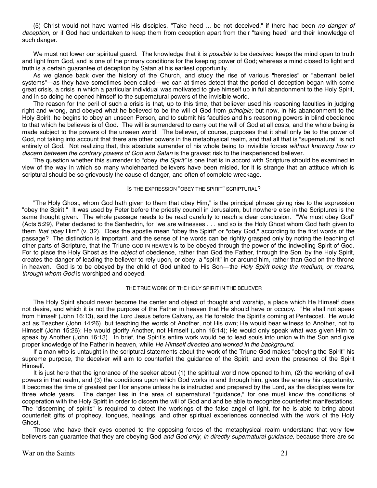(5) Christ would not have warned His disciples, "Take heed ... be not deceived," if there had been *no danger of deception,* or if God had undertaken to keep them from deception apart from their "taking heed" and their knowledge of such danger.

We must not lower our spiritual guard. The knowledge that it is *possible* to be deceived keeps the mind open to truth and light from God, and is one of the primary conditions for the keeping power of God; whereas a mind closed to light and truth is a certain guarantee of deception by Satan at his earliest opportunity.

As we glance back over the history of the Church, and study the rise of various "heresies" or "aberrant belief systems"—as they have sometimes been called—we can at times detect that the period of deception began with some great crisis, a crisis in which a particular individual was motivated to give himself up in full abandonment to the Holy Spirit, and in so doing he opened himself to the supernatural powers of the invisible world.

The reason for the peril of such a crisis is that, up to this time, that believer used his reasoning faculties in judging right and wrong, and obeyed what he believed to be the will of God from *principle;* but now, in his abandonment to the Holy Spirit, he begins to obey an unseen Person, and to submit his faculties and his reasoning powers in blind obedience to that which he believes is of God. The will is surrendered to carry out the will of God at all costs, and the whole being is made subject to the powers of the unseen world. The believer, of course, purposes that it shall only be to the power of God, not taking into account that there are other powers in the metaphysical realm, and that all that is "supernatural" is not entirely of God. Not realizing that, this absolute surrender of his whole being to invisible forces *without knowing how to*  discern between the contrary powers of God and Satan is the gravest risk to the inexperienced believer.

The question whether this surrender to "obey *the Spirit*" is one that is in accord with Scripture should be examined in view of the way in which so many wholehearted believers have been misled, for it is strange that an attitude which is scriptural should be so grievously the cause of danger, and often of complete wreckage.

#### Is THE EXPRESSION "OBEY THE SPIRIT" SCRIPTURAL?

"The Holy Ghost, whom God hath given to them that obey Him," is the principal phrase giving rise to the expression "obey the Spirit." It was used by Peter before the priestly council in Jerusalem, but nowhere else in the Scriptures is the same thought given. The whole passage needs to be read carefully to reach a clear conclusion. "We must obey God" (Acts 5:29), Peter declared to the Sanhedrin, for "we are witnesses . . . and so is the Holy Ghost whom God hath given to them *that obey* Him" (v. 32). Does the apostle mean "obey the Spirit" or "obey God," according to the first words of the passage? The distinction is important, and the sense of the words can be rightly grasped only by noting the teaching of other parts of Scripture, that the Triune GOD IN HEAVEN is to be obeyed through the power of the indwelling Spirit of God. For to place the Holy Ghost as the *object* of obedience, rather than God the Father, through the Son, by the Holy Spirit, creates the danger of leading the believer to rely upon, or obey, a "spirit" in or around him, rather than God on the throne in heaven. God is to be obeyed by the child of God united to His Son—the *Holy Spirit being the medium, or means, through whom God* is worshiped and obeyed.

#### THE TRUE WORK OF THE HOLY SPIRIT IN THE BELIEVER

The Holy Spirit should never become the center and object of thought and worship, a place which He Himself does not desire, and which it is not the purpose of the Father in heaven that He should have or occupy. "He shall not speak from Himself (John 16:13), said the Lord Jesus before Calvary, as He foretold the Spirit's coming at Pentecost. He would act as Teacher (John 14:26), but teaching the words of Another, not His own; He would bear witness to Another, not to Himself (John 15:26); He would glorify Another, not Himself (John 16:14); He would only speak what was given Him to speak by Another (John 16:13). In brief, the Spirit's entire work would be to lead souls into union with the Son and give proper knowledge of the Father in heaven, while *He Himself directed and worked in the background.*

If a man who is untaught in the scriptural statements about the work of the Triune God makes "obeying the Spirit" his supreme purpose, the deceiver will aim to counterfeit the guidance of the Spirit, and even the presence of the Spirit Himself.

It is just here that the ignorance of the seeker about (1) the spiritual world now opened to him, (2) the working of evil powers in that realm, and (3) the conditions upon which God works in and through him, gives the enemy his opportunity. It becomes the time of greatest peril for anyone unless he is instructed and prepared by the Lord, as the disciples were for three whole years. The danger lies in the area of supernatural "guidance," for one must know the conditions of cooperation with the Holy Spirit in order to discern the will of God and and be able to recognize counterfeit manifestations. The "discerning of spirits" is required to detect the workings of the false angel of light, for he is able to bring about counterfeit gifts of prophecy, tongues, healings, and other spiritual experiences connected with the work of the Holy Ghost.

Those who have their eyes opened to the opposing forces of the metaphysical realm understand that very few believers can guarantee that they are obeying God *and God only, in directly supernatural guidance,* because there are so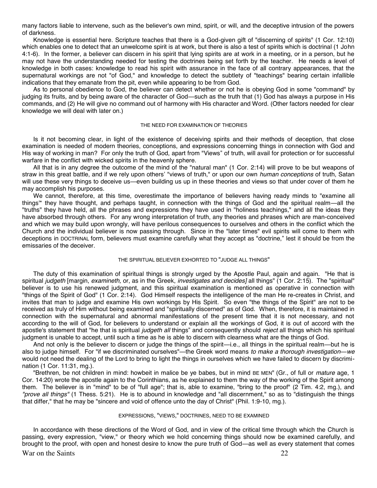many factors liable to intervene, such as the believer's own mind, spirit, or will, and the deceptive intrusion of the powers of darkness.

Knowledge is essential here. Scripture teaches that there is a God-given gift of "discerning of spirits" (1 Cor. 12:10) which enables one to detect that an unwelcome spirit is at work, but there is also a test of spirits which is doctrinal (1 John 4:1-6). In the former, a believer can discern in his spirit that lying spirits are at work in a meeting, or in a person, but he may not have the understanding needed for testing the doctrines being set forth by the teacher. He needs a level of knowledge in both cases: knowledge to read his spirit with assurance in the face of all contrary appearances, that the supernatural workings are not "of God," and knowledge to detect the subtlety of "teachings" bearing certain infallible indications that they emanate from the pit, even while appearing to be from God.

As to personal obedience to God, the believer can detect whether or not he is obeying God in some "command" by judging its fruits, and by being aware of the character of God—such as the truth that (1) God has always a purpose in His commands, and (2) He will give no command out of harmony with His character and Word. (Other factors needed for clear knowledge we will deal with later on.)

#### THE NEED FOR EXAMINATION OF THEORIES

Is it not becoming clear, in light of the existence of deceiving spirits and their methods of deception, that close examination is needed of modern theories, conceptions, and expressions concerning things in connection with God and His way of working in man? For only the truth of God, apart from "Views" of truth, will avail for protection or for successful warfare in the conflict with wicked spirits in the heavenly sphere.

All that is in any degree the outcome of the mind of the "natural man" (1 Cor. 2:14) will prove to be but weapons of straw in this great battle, and if we rely upon others' "views of truth," or upon our own *human conceptions* of truth, Satan will use these very things to deceive us—even building us up in these theories and views so that under cover of them he may accomplish his purposes.

We cannot, therefore, at this time, overestimate the importance of believers having ready minds to "examine all things'\* they have thought, and perhaps taught, in connection with the things of God and the spiritual realm—all the "truths" they have held, all the phrases and expressions they have used in "holiness teachings," and all the ideas they have absorbed through others. For any wrong interpretation of truth, any theories and phrases which are man-conceived and which we may build upon wrongly, will have perilous consequences to ourselves and others in the conflict which the Church and the individual believer is now passing through. Since in the "later times" evil spirits will come to them with deceptions in DOCTRINAL form, believers must examine carefully what they accept as "doctrine,´ lest it should be from the emissaries of the deceiver.

# THE SPIRITUAL BELIEVER EXHORTED TO "JUDGE ALL THINGS"

The duty of this examination of spiritual things is strongly urged by the Apostle Paul, again and again. "He that is spiritual *judgeth* [margin, *examineth,* or, as in the Greek, *investigates and decides]* all things" (1 Cor. 2:15). The "spiritual" believer is to use his renewed judgment, and this spiritual examination is mentioned as operative in connection with "things of the Spirit of God" (1 Cor. 2:14). God Himself respects the intelligence of the man He re-creates in Christ, and invites that man to judge and examine His own workings by His Spirit. So even "the things of the Spirit" are not to be received as truly of Him without being examined and "spiritually discerned" as of God. When, therefore, it is maintained in connection with the supernatural and abnormal manifestations of the present time that it is not necessary, and not according to the will of God, for believers to understand or explain all the workings of God, it is out of accord with the apostle's statement that "he that is spiritual *judgeth all* things´ and consequently should *reject* all things which his spiritual judgment is unable to accept, until such a time as he is able to discern with clearness what are the things of God.

And not only is the believer to discern or judge the things of the spirit—i.e., all things in the spiritual realm—but he is also to judge himself. For "if we discriminated ourselves"—the Greek word means *to make a thorough investigation—we* would not need the dealing of the Lord to bring to light the things in ourselves which we have failed to discern by discrimination (1 Cor. 11:31, mg.).

"Brethren, be not children in mind: howbeit in malice be ye babes, but in mind BE MEN" (Gr., of full or *mature* age, 1 Cor. 14:20) wrote the apostle again to the Corinthians, as he explained to them the way of the working of the Spirit among them. The believer is in "mind" to be of "full age"; that is, able to examine, "bring to the proof" (2 Tim. 4:2, mg.), and *"prove all things"* (1 Thess. 5:21). He is to abound in knowledge and "all discernment," so as to "distinguish the things that differ," that he may be "sincere and void of offence unto the day of Christ" (Phil. 1:9-10, mg.).

# EXPRESSIONS, "VIEWS," DOCTRINES, NEED TO BE EXAMINED

War on the Saints 22 In accordance with these directions of the Word of God, and in view of the critical time through which the Church is passing, every expression, "view," or theory which we hold concerning things should now be examined carefully, and brought to the proof, with open and honest desire to know the pure truth of God—as well as every statement that comes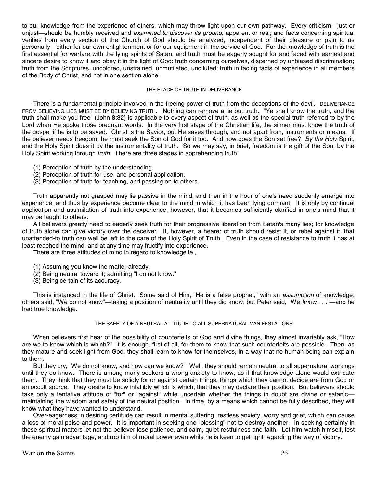to our knowledge from the experience of others, which may throw light upon our own pathway. Every criticism—just or unjust—should be humbly received and *examined to discover its ground*, apparent or real; and facts concerning spiritual verities from every section of the Church of God should be analyzed, independent of their pleasure or pain to us personally—either for our own enlightenment or for our equipment in the service of God. For the knowledge of truth is the first essential for warfare with the lying spirits of Satan, and truth must be eagerly sought for and faced with earnest and sincere desire to know it and obey it in the light of God: truth concerning ourselves, discerned by unbiased discrimination; truth from the Scriptures, uncolored, unstrained, unmutilated, undiluted; truth in facing facts of experience in all members of the Body of Christ, and not in one section alone.

# THE PLACE OF TRUTH IN DELIVERANCE

There is a fundamental principle involved in the freeing power of truth from the deceptions of the devil. DELIVERANCE FROM BELIEVING LIES MUST BE BY BELIEVING TRUTH. Nothing can remove a lie but truth. "Ye shall know the truth, and the truth shall make you free" (John 8:32) is applicable to every aspect of truth, as well as the special truth referred to by the Lord when He spoke those pregnant words. In the very first stage of the Christian life, the sinner must know the truth of the gospel if he is to be saved. Christ is the Savior, but He saves through, and not apart from, instruments or means. If the believer needs freedom, he must seek the Son of God for it too. And how does the Son set free? *By the Holy* Spirit, and the Holy Spirit does it by the instrumentality of truth. So we may say, in brief, freedom is the gift of the Son, by the Holy Spirit working through *truth.* There are three stages in apprehending truth:

- (1) Perception of truth by the understanding.
- (2) Perception of truth for use, and personal application.
- (3) Perception of truth for teaching, and passing on to others.

Truth apparently not grasped may lie passive in the mind, and then in the hour of one's need suddenly emerge into experience, and thus by experience become clear to the mind in which it has been lying dormant. It is only by continual application and assimilation of truth into experience, however, that it becomes sufficiently clarified in one's mind that it may be taught to others.

All believers greatly need to eagerly seek truth for their progressive liberation from Satan's many lies; for knowledge of truth alone can give victory over the deceiver. If, however, a hearer of truth should resist it, or rebel against it, that unattended-to truth can well be left to the care of the Holy Spirit of Truth. Even in the case of resistance to truth it has at least reached the mind, and at any time may fructify into experience.

There are three attitudes of mind in regard to knowledge ie.,

- (1) Assuming you know the matter already.
- (2) Being neutral toward it; admitting "I do not know."
- (3) Being certain of its accuracy.

This is instanced in the life of Christ. Some said of Him, "He is a false prophet," with an *assumption* of knowledge; others said, "We do not know"—taking a position of neutrality until they did know; but Peter said, "We *know . .* ."—and he had true knowledge.

# THE SAFETY OF A NEUTRAL ATTITUDE TO ALL SUPERNATURAL MANIFESTATIONS

When believers first hear of the possibility of counterfeits of God and divine things, they almost invariably ask, "How are we to know which is which?" It is enough, first of all, for them to know that such counterfeits are possible. Then, as they mature and seek light from God, they shall learn to know for themselves, in a way that no human being can explain to them.

But they cry, "We do not know, and how can we know?" Well, they should remain neutral to all supernatural workings until they do know. There is among many seekers a wrong anxiety to know, as if that knowledge alone would extricate them. They think that they must be solidly for or against certain things, things which they cannot decide are from God or an occult source. They desire to know infallibly which is which, that they may declare their position. But believers should take only a tentative attitude of "for" or "against" while uncertain whether the things in doubt are divine or satanic maintaining the wisdom and safety of the neutral position. In time, by a means which cannot be fully described, they will know what they have wanted to understand.

Over-eagerness in desiring certitude can result in mental suffering, restless anxiety, worry and grief, which can cause a loss of moral poise and power. It is important in seeking one "blessing" not to destroy another. In seeking certainty in these spiritual matters let not the believer lose patience, and calm, quiet restfulness and faith. Let him watch himself, lest the enemy gain advantage, and rob him of moral power even while he is keen to get light regarding the way of victory.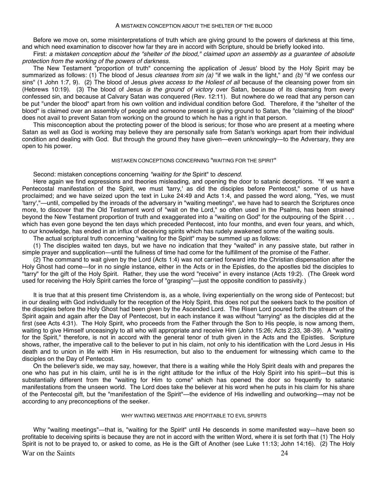Before we move on, some misinterpretations of truth which are giving ground to the powers of darkness at this time, and which need examination to discover how far they are in accord with Scripture, should be briefly looked into.

First: *a mistaken conception about the "shelter of the blood," claimed upon an assembly as a guarantee of absolute protection from the working of the powers of darkness.*

The New Testament "proportion of truth" concerning the application of Jesus' blood by the Holy Spirit may be summarized as follows: (1) The blood of Jesus *cleanses from sin (a)* "if we walk in the light," and *(b)* "if we confess our sins" (1 John 1:7, 9). (2) The blood of Jesus *gives access to the Holiest of all* because of the cleansing power from sin (Hebrews 10:19). (3) The blood of Jesus *is the ground of victory* over Satan, because of its cleansing from every confessed sin, and because at Calvary Satan was conquered (Rev. 12:11). But nowhere do we read that any person can be put "under the blood" apart from his own volition and individual condition before God. Therefore, if the "shelter of the blood" is claimed over an assembly of people and someone present is giving ground to Satan, the "claiming of the blood" does not avail to prevent Satan from working on the ground to which he has a right in that person.

This misconception about the protecting power of the blood is serious; for those who are present at a meeting where Satan as well as God is working may believe they are personally safe from Satan's workings apart from their individual condition and dealing with God. But through the ground they have given—even unknowingly—to the Adversary, they are open to his power.

#### MISTAKEN CONCEPTIONS CONCERNING "WAITING FOR THE SPIRIT"

Second: mistaken conceptions concerning *"waiting for the* Spirit" to *descend.*

Here again we find expressions and theories misleading, and opening the door to satanic deceptions. "If we want a Pentecostal manifestation of the Spirit, we must 'tarry,' as did the disciples before Pentecost," some of us have proclaimed; and we have seized upon the text in Luke 24:49 and Acts 1:4, and passed the word along, "Yes, we must 'tarry',"—until, compelled by the inroads of the adversary in "waiting meetings", we have had to search the Scriptures once more, to discover that the Old Testament word of "wait on the Lord," so often used in the Psalms, has been strained beyond the New Testament proportion of truth and exaggerated into a "waiting on God" for the outpouring of the Spirit . . . which has even gone beyond the ten days which preceded Pentecost, into four months, and even four years, and which, to our knowledge, has ended in an influx of deceiving spirits which has rudely awakened some of the waiting souls.

The actual scriptural truth concerning "waiting for the Spirit" may be summed up as follows:

(1) The disciples waited ten days, but we have no indication that they "waited" in any passive state, but rather in simple prayer and supplication—until the fullness of time had come for the fulfillment of the promise of the Father.

(2) The command to wait given by the Lord (Acts 1:4) was not carried forward into the Christian dispensation after the Holy Ghost had come—for in no single instance, either in the Acts or in the Epistles, do the apostles bid the disciples to "tarry" for the gift of the Holy Spirit. Rather, they use the word "receive" in every instance (Acts 19:2). (The Greek word used for receiving the Holy Spirit carries the force of "grasping"—just the opposite condition to passivity.)

It is true that at this present time Christendom is, as a whole, living experientially on the wrong side of Pentecost; but in our dealing with God individually for the reception of the Holy Spirit, this does not put the seekers back to the position of the disciples before the Holy Ghost had been given by the Ascended Lord. The Risen Lord poured forth the stream of the Spirit again and again after the Day of Pentecost, but in each instance it was without "tarrying" as the disciples did at the first (see Acts 4:31). The Holy Spirit, who proceeds from the Father through the Son to His people, is now among them, waiting to give Himself unceasingly to all who will appropriate and receive Him (John 15:26; Acts 2:33, 38-39). A "waiting for the Spirit," therefore, is not in accord with the general tenor of truth given in the Acts and the Epistles. Scripture shows, rather, the imperative call to the believer to put in his claim, not only to his identification with the Lord Jesus in His death and to union in life with Him in His resurrection, but also to the enduement for witnessing which came to the disciples on the Day of Pentecost.

On the believer's side, we may say, however, that there is a waiting while the Holy Spirit deals with and prepares the one who has put in his claim, until he is in the right attitude for the influx of the Holy Spirit into his spirit—but this is substantially different from the "waiting for Him to come" which has opened the door so frequently to satanic manifestations from the unseen world. The Lord does take the believer at his word when he puts in his claim for his share of the Pentecostal gift, but the "manifestation of the Spirit"—the evidence of His indwelling and outworking—may not be according to any preconceptions of the seeker.

# WHY WAITING MEETINGS ARE PROFITABLE TO EVIL SPIRITS

War on the Saints 24 Why "waiting meetings"—that is, "waiting for the Spirit" until He descends in some manifested way—have been so profitable to deceiving spirits is because they are not in accord with the written Word, where it is set forth that (1) The Holy Spirit is not to be prayed to, or asked to come, as He is the Gift of Another (see Luke 11:13; John 14:16). (2) The Holy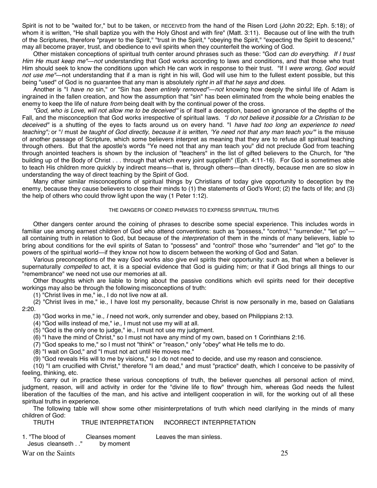Spirit is not to be "waited for," but to be taken, or RECEIVED from the hand of the Risen Lord (John 20:22; Eph. 5:18); of whom it is written, "He shall baptize you with the Holy Ghost and with fire" (Matt. 3:11). Because out of line with the truth of the Scriptures, therefore "prayer to the Spirit," "trust in the Spirit," "obeying the Spirit," "expecting the Spirit to descend," may all become prayer, trust, and obedience to evil spirits when they counterfeit the working of God.

Other mistaken conceptions of spiritual truth center around phrases such as these: "God *can do everything. If I trust Him He must keep me"*—*not* understanding that God works according to laws and conditions, and that those who trust Him should seek to know the conditions upon which He can work in response to their trust. "If I *were wrong, God would not use me"*—not understanding that if a man is right in his will, God will use him to the fullest extent possible, but this being "used" of God is no guarantee that any man is absolutely *right in all that he says and does.*

Another is "I *have no* sin," or "Sin has *been entirely removed"*—*not* knowing how deeply the sinful life of Adam is ingrained in the fallen creation, and how the assumption that "sin" has been eliminated from the whole being enables the enemy to keep the life of nature *from* being dealt with by the continual power of the cross.

*"God, who is Love, will not allow me to be deceived''* is of itself a deception, based on ignorance of the depths of the Fall, and the misconception that God works irrespective of spiritual laws. "I *do not believe it possible for a Christian to be deceived"* is a shutting of the eyes to facts around us on every hand. "I *have had too long an experience to need teaching";* or "/ must *be taught of God directly, because it is written, 'Ye need not that any man teach you'"* is the misuse of another passage of Scripture, which some believers interpret as meaning that they are to refuse all spiritual teaching through others. But that the apostle's words "Ye need not that any man teach you" did not preclude God from teaching through anointed teachers is shown by the inclusion of "teachers" in the list of gifted believers to the Church, for "the building up of the Body of Christ . . . through that which every joint supplieth" (Eph. 4:11-16). For God is sometimes able to teach His children more quickly by indirect means—that is, through others—than directly, because men are so slow in understanding the way of direct teaching by the Spirit of God.

Many other similar misconceptions of spiritual things by Christians of today give opportunity to deception by the enemy, because they cause believers to close their minds to (1) the statements of God's Word; (2) the facts of life; and (3) the help of others who could throw light upon the way (1 Peter 1:12).

# THE DANGERS OF COINED PHRASES TO EXPRESS SPIRITUAL TRUTHS

Other dangers center around the coining of phrases to describe some special experience. This includes words in familiar use among earnest children of God who attend conventions: such as "possess," "control," "surrender," "let go"all containing truth in relation to God, but because of the *interpretation* of them in the minds of many believers, liable to bring about conditions for the evil spirits of Satan to "possess" and "control" those who "surrender" and "let go" to the powers of the spiritual world—if they know not how to discern between the working of God and Satan.

Various preconceptions of the way God works also give evil spirits their opportunity: such as, that when a believer is supernaturally *compelled* to act, it is a special evidence that God is guiding him; or that if God brings all things to our "remembrance" we need not use our memories at all.

Other thoughts which are liable to bring about the passive conditions which evil spirits need for their deceptive workings may also be through the following misconceptions of truth:

(1) "Christ lives in me," ie., I do not live now at all.

(2) "Christ lives in me," ie.*,* I have lost my personality, because Christ is now personally in me, based on Galatians 2:20.

(3) "God works in me," ie*., I* need not work, only surrender and obey, based on Philippians 2:13.

(4) "God wills instead of me," i*e.,* I must not use my will at all.

(5) "God is the only one to judge," ie.*,* I must not use my judgment.

(6) "I have the mind of Christ," so I must not have any mind of my own, based on 1 Corinthians 2:16.

(7) "God speaks to me," so I must not "think" or "reason," only "obey" what He tells me to do.

(8) "I wait on God," and "I must not act until He moves me."

(9) "God reveals His will to me by visions," so I do not need to decide, and use my reason and conscience.

(10) "I am crucified with Christ," therefore "I am dead," and must "practice" death, which I conceive to be passivity of feeling, thinking, etc.

To carry out in practice these various conceptions of truth, the believer quenches all personal action of mind, iudament. reason, will and activity in order for the "divine life to flow" through him, whereas God needs the fullest liberation of the faculties of the man, and his active and intelligent cooperation in will, for the working out of all these spiritual truths in experience.

The following table will show some other misinterpretations of truth which need clarifying in the minds of many children of God:

TRUTH TRUE INTERPRETATION INCORRECT INTERPRETATION

1. "The blood of Cleanses moment Leaves the man sinless. Jesus cleanseth . ." by moment

War on the Saints 25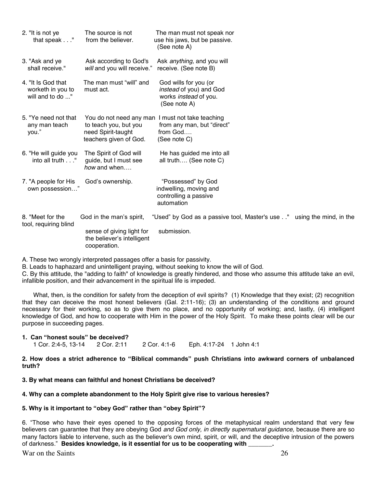| 2. "It is not ye<br>that speak"                             | The source is not<br>from the believer.                                 | The man must not speak nor<br>use his jaws, but be passive.<br>(See note A)                                |
|-------------------------------------------------------------|-------------------------------------------------------------------------|------------------------------------------------------------------------------------------------------------|
| 3. "Ask and ye<br>shall receive."                           | Ask according to God's<br>will and you will receive."                   | Ask <i>anything</i> , and you will<br>receive. (See note B)                                                |
| 4. "It Is God that<br>worketh in you to<br>will and to do " | The man must "will" and<br>must act.                                    | God wills for you (or<br>instead of you) and God<br>works instead of you.<br>(See note A)                  |
| 5. "Ye need not that<br>any man teach<br>you."              | to teach you, but you<br>need Spirit-taught<br>teachers given of God.   | You do not need any man I must not take teaching<br>from any man, but "direct"<br>from God<br>(See note C) |
| 6. "He will guide you<br>into all truth"                    | The Spirit of God will<br>guide, but I must see<br>how and when         | He has guided me into all<br>all truth (See note C)                                                        |
| 7. "A people for His<br>own possession"                     | God's ownership.                                                        | "Possessed" by God<br>indwelling, moving and<br>controlling a passive<br>automation                        |
| 8. "Meet for the<br>tool, requiring blind                   | God in the man's spirit,                                                | "Used" by God as a passive tool, Master's use" using the mind, in the                                      |
|                                                             | sense of giving light for<br>the believer's intelligent<br>cooperation. | submission.                                                                                                |

A. These two wrongly interpreted passages offer a basis for passivity.

B. Leads to haphazard and unintelligent praying, without seeking to know the will of God.

C. By this attitude, the "adding to faith" of knowledge is greatly hindered, and those who assume this attitude take an evil, infallible position, and their advancement in the spiritual life is impeded.

What, then, is the condition for safety from the deception of evil spirits? (1) Knowledge that they exist; (2) recognition that they can deceive the most honest believers (Gal. 2:11-16); (3) an understanding of the conditions and ground necessary for their working, so as to give them no place, and no opportunity of working; and, lastly, (4) intelligent knowledge of God, and how to cooperate with Him in the power of the Holy Spirit. To make these points clear will be our purpose in succeeding pages.

**1.** Can "honest souls" be deceived?

1 Cor. 2:4-5, 13-14 2 Cor. 2:11 2 Cor. 4:1-6 Eph. 4:17-24 1 John 4:1

**2.** How does a strict adherence to "**B**iblical commands" push Christians into awkward corners of unbalanced **truth?**

**3. By what means can faithful and honest Christians be deceived?** 

# **4. Why can a complete abandonment to the Holy Spirit give rise to various heresies?**

# **5.** Why is it important to "obey God" rather than "obey Spirit"?

6. "Those who have their eyes opened to the opposing forces of the metaphysical realm understand that very few believers can guarantee that they are obeying God *and God only, in directly supernatural guidance,* because there are so many factors liable to intervene, such as the believer's own mind, spirit, or will, and the deceptive intrusion of the powers of darkness." Besides knowledge, is it essential for us to be cooperating with

War on the Saints 26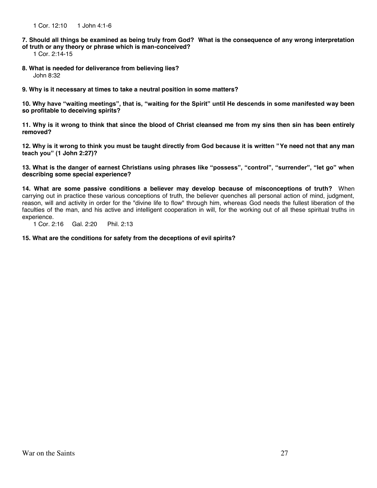**7. Should all things be examined as being truly from God? What is the consequence of any wrong interpretation of truth or any theory or phrase which is man-conceived?** 

1 Cor. 2:14-15

**8. What is needed for deliverance from believing lies?**  John 8:32

**9. Why is it necessary at times to take a neutral position in some matters?** 

**10.** Why have "waiting meetings", that is, "waiting for the Spirit" until He descends in some manifested w**ay been so profitable to deceiving spirits?** 

**11. Why is it wrong to think that since the blood of Christ cleansed me from my sins then sin has been entirely removed?** 

**12.** Why is it wrong to think you must be taught directly from God because it is written "**Ye need not that any man**  teach you" (**1 John 2:27)?**

**13.** What is the danger of earnest Christians using phrases like "possess", "control", "surrender", "let go" when **describing some special experience?** 

**14. What are some passive conditions a believer may develop because of misconceptions of truth?** When carrying out in practice these various conceptions of truth, the believer quenches all personal action of mind, judgment, reason, will and activity in order for the "divine life to flow" through him, whereas God needs the fullest liberation of the faculties of the man, and his active and intelligent cooperation in will, for the working out of all these spiritual truths in experience.

1 Cor. 2:16 Gal. 2:20 Phil. 2:13

**15. What are the conditions for safety from the deceptions of evil spirits?**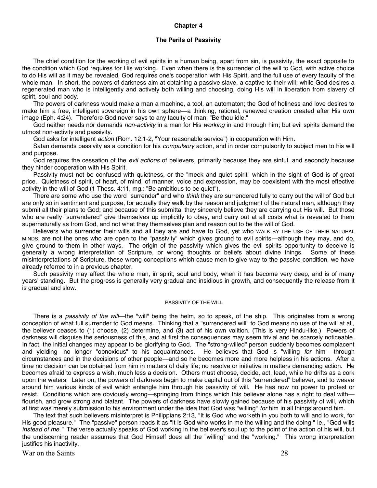# **Chapter 4**

# **The Perils of Passivity**

The chief condition for the working of evil spirits in a human being, apart from sin, is passivity, the exact opposite to the condition which God requires for His working. Even when there is the surrender of the will to God, with active choice to do His will as it may be revealed, God requires one's cooperation with His Spirit, and the full use of every faculty of the whole man. In short, the powers of darkness aim at obtaining a passive slave, a captive to their will; while God desires a regenerated man who is intelligently and actively both willing and choosing, doing His will in liberation from slavery of spirit, soul and body.

The powers of darkness would make a man a machine, a tool, an automaton; the God of holiness and love desires to make him a free, intelligent sovereign in his own sphere—a thinking, rational, renewed creation created after His own image (Eph. 4:24). Therefore God never says to any faculty of man, "Be thou idle."

God neither needs nor demands *non-activity* in a man for His *working* in and through him; but evil spirits demand the utmost non-activity and passivity.

God asks for intelligent *action* (Rom. 12:1-2, "Your reasonable service") in cooperation with Him.

Satan demands passivity as a condition for his *compulsory* action, and in order compulsorily to subject men to his will and purpose.

God requires the cessation of the *evil actions* of believers, primarily because they are sinful, and secondly because they hinder cooperation with His Spirit.

Passivity must not be confused with quietness, or the "meek and quiet spirit" which in the sight of God is of great price. Quietness of spirit, of heart, of mind, of manner, voice and expression, may be coexistent with the most effective activity in the will of God (1 Thess. 4:11, mg.: "Be ambitious to be quiet").

There are some who use the word "surrender" and who *think* they are surrendered fully to carry out the will of God but are only so in sentiment and purpose, for actually they walk by the reason and judgment of the natural man, although they submit all their plans to God; and because of this submittal they sincerely believe they are carrying out His will. But those who are really "surrendered" give themselves up implicitly to obey, and carry out at all costs what is revealed to them supernaturally as from God, and not what they themselves plan and reason out to be the will of God.

Believers who surrender their wills and all they are and have to God, yet who WALK BY THE USE OF THEIR NATURAL MINDS, are not the ones who are open to the "passivity" which gives ground to evil spirits—although they may, and do, give ground to them in other ways. The origin of the passivity which gives the evil spirits opportunity to deceive is generally a wrong interpretation of Scripture, or wrong thoughts or beliefs about divine things. Some of these misinterpretations of Scripture, these wrong conceptions which cause men to give way to the passive condition, we have already referred to in a previous chapter.

Such passivity may affect the whole man, in spirit, soul and body, when it has become very deep, and is of many years' standing. But the progress is generally very gradual and insidious in growth, and consequently the release from it is gradual and slow.

#### PASSIVITY OF THE WILL

There is a *passivity of the will*—the "will" being the helm, so to speak, of the ship. This originates from a wrong conception of what full surrender to God means. Thinking that a "surrendered will" to God means no use of the will at all, the believer ceases to (1) choose, (2) determine, and (3) act of his own volition. (This is very Hindu-like.) Powers of darkness will disguise the seriousness of this, and at first the consequences may seem trivial and be scarcely noticeable. In fact, the initial changes may appear to be glorifying to God. The "strong-willed" person suddenly becomes complacent and yielding—no longer "obnoxious" to his acquaintances. He believes that God is "willing *for* him"—through circumstances and in the decisions of other people—and so he becomes more and more helpless in his actions. After a time no decision can be obtained from him in matters of daily life; no resolve or initiative in matters demanding action. He becomes afraid to express a wish, much less a decision. Others must choose, decide, act, lead, while he drifts as a cork upon the waters. Later on, the powers of darkness begin to make capital out of this "surrendered" believer, and to weave around him various kinds of evil which entangle him through his passivity of will. He has now no power to protest or resist. Conditions which are obviously wrong—springing from things which this believer alone has a right to deal with flourish, and grow strong and blatant. The powers of darkness have slowly gained because of his passivity of will, which at first was merely submission to his environment under the idea that God was "willing" *for* him in all things around him.

The text that such believers misinterpret is Philippians 2:13, "It is God who worketh in you both to will and to work, for His good pleasure." The "passive" person reads it as "It is God who works in me the willing and the doing," ie*.,* "God wills *instead of me."* The verse actually speaks of God working in the believer's soul up to the point of the action of his will, but the undiscerning reader assumes that God Himself does all the "willing" and the "working." This wrong interpretation justifies his inactivity.

War on the Saints 28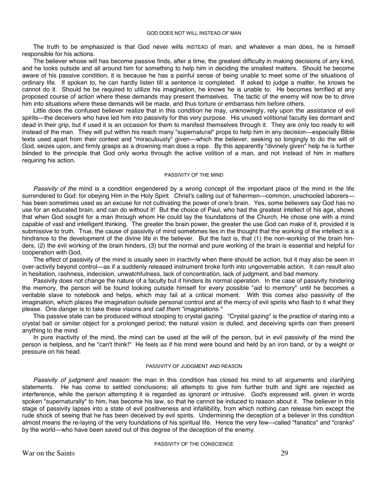The truth to be emphasized is that God never wills INSTEAD of man, and whatever a man does, he is himself responsible for his actions.

The believer whose will has become passive finds, after a time, the greatest difficulty in making decisions of any kind, and he looks outside and all around him for something to help him in deciding the smallest matters. Should he become aware of his passive condition, it is because he has a painful sense of being unable to meet some of the situations of ordinary life. If spoken to, he can hardly listen till a sentence is completed. If asked to judge a matter, he knows he cannot do it. Should he be required to utilize his imagination, he knows he is unable to. He becomes terrified at any proposed course of action where these demands may present themselves. The tactic of the enemy will now be to drive him into situations where these demands will be made, and thus torture or embarrass him before others.

Little does the confused believer realize that in this condition he may, unknowingly, rely upon the *assistance* of evil spirits—the deceivers who have led him into passivity for this very purpose. His unused volitional faculty lies dormant and dead in their grip, but if used it is an occasion for them to manifest themselves through it. They are only too ready to will instead of the man. They will put within his reach many "supernatural" props to help him in any decision—especially Bible texts used apart from their context and "miraculously" given-which the believer, seeking so longingly to do the will of God, seizes upon, and firmly grasps as a drowning man does a rope. By this apparently "divinely given" help he is further blinded to the principle that God only works through the active volition of a man, and not instead of him in matters requiring his action.

#### PASSIVITY OF THE MIND

*Passivity of the* mind is a condition engendered by a wrong concept of the important place of the mind in the life surrendered to God: for obeying Him in the Holy Spirit. Christ's calling out of fishermen—common, unschooled laborers has been sometimes used as an excuse for not cultivating the power of one's brain. Yes, some believers say God has no use for an educated brain, and can do without it! But the choice of Paul, who had the greatest intellect of his age, shows that when God sought for a man through whom He could lay the foundations of the Church, He chose one with a mind capable of vast and intelligent thinking. The greater the brain power, the greater the use God can make of it, provided it is submissive to truth. True, the cause of passivity of mind sometimes lies in the thought that the working of the intellect is a hindrance to the development of the divine life in the believer. But the fact is, that (1) the non-working of the brain hinders, (2) the evil working of the brain hinders, (3) but the normal and pure working of the brain is essential and helpful for cooperation with God,

The effect of passivity of the mind is usually seen in inactivity when there should be action, but it may also be seen in over-activity beyond control—as if a suddenly released instrument broke forth into ungovernable action. It can result also in hesitation, rashness, indecision, unwatchfulness, lack of concentration, lack of judgment, and bad memory.

Passivity does not change the nature of a faculty but it hinders its normal operation. In the case of passivity hindering the memory, the person will be found looking outside himself for every possible "aid to memory" until he becomes a veritable slave to notebook and helps, which may fail at a critical moment. With this comes also passivity of the imagination, which places the imagination outside personal control and at the mercy of evil spirits who flash to it what they please. One danger is to take these visions and *call them "imaginations."*

This passive state can be produced without stooping to crystal gazing. "Crystal gazing" is the practice of staring into a crystal ball or similar object for a prolonged period; the natural vision is dulled, and deceiving spirits can then present anything to the mind.

In pure inactivity of the mind, the mind can be used at the will of the person, but in evil passivity of the mind the person is helpless, and he "can't think!" He feels as if his mind were bound and held by an iron band, or by a weight or pressure on his head.

# PASSIVITY OF JUDGMENT AND REASON

*Passivity of judgment and reason:* the man in this condition has closed his mind to all arguments and clarifying statements. He has come to settled conclusions; all attempts to give him further truth and light are rejected as interference, while the person attempting it is regarded as ignorant or intrusive. God's expressed will, given in words spoken "supernaturally" to him, has become his law, so that he cannot be induced to reason about it. The believer in this stage of passivity lapses into a state of evil positiveness and infallibility, from which nothing can release him except the rude shock of seeing that he has been deceived by evil spirits. Undermining the deception of a believer in this condition almost means the re-laying of the very foundations of his spiritual life. Hence the very few—called "fanatics" and "cranks" by the world—who have been saved out of this degree of the deception of the enemy.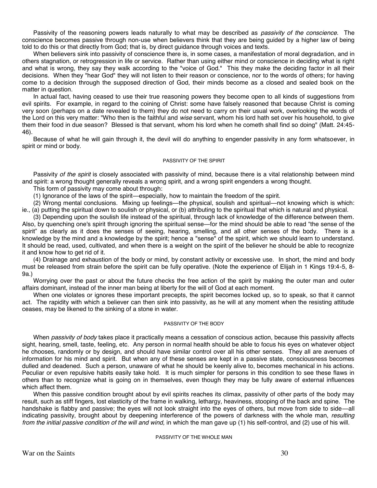Passivity of the reasoning powers leads naturally to what may be described as *passivity of the conscience.* The conscience becomes passive through non-use when believers think that they are being guided by a higher law of being told to do this or that directly from God; that is, by direct guidance through voices and texts.

When believers sink into passivity of conscience there is, in some cases, a manifestation of moral degradation, and in others stagnation, or retrogression in life or service. Rather than using either mind or conscience in deciding what is right and what is wrong, they say they walk according to the "voice of God." This they make the deciding factor in all their decisions. When they "hear God" they will not listen to their reason or conscience, nor to the words of others; for having come to a decision through the supposed direction of God, their minds become as a closed and sealed book on the matter in question.

In actual fact, having ceased to use their true reasoning powers they become open to all kinds of suggestions from evil spirits. For example, in regard to the coining of Christ: some have falsely reasoned that because Christ is coming very soon (perhaps on a date revealed to them) they do not need to carry on their usual work, overlooking the words of the Lord on this very matter: "Who then is the faithful and *wise* servant, whom his lord hath set over his household, to give them their food in due season? Blessed is that servant, whom his lord when he cometh shall find so doing" (Matt. 24:45- 46).

Because of what he will gain through it, the devil will do anything to engender passivity in any form whatsoever, in spirit or mind or body.

# PASSIVITY OF THE SPIRIT

Passivity *of the spirit* is closely associated with passivity of mind, because there is a vital relationship between mind and spirit: a wrong thought generally reveals a wrong spirit, and a wrong spirit engenders a wrong thought.

This form of passivity may come about through:

 $(1)$  Ignorance of the laws of the spirit—especially, how to maintain the freedom of the spirit.

(2) Wrong mental conclusions. Mixing up feelings—the physical, soulish and spiritual—not knowing which is which:

ie., (a) putting the spiritual down to soulish or physical, or (b) attributing to the spiritual that which is natural and physical. (3) Depending upon the soulish life instead of the spiritual, through lack of knowledge of the difference between them.

Also, by quenching one's spirit through ignoring the spiritual sense—for the mind should be able to read "the sense of the spirit" as clearly as it does the senses of seeing, hearing, smelling, and all other senses of the body. There is a knowledge by the mind and a knowledge by the spirit; hence a "sense" of the spirit, which we should learn to understand. It should be read, used, cultivated, and when there is a weight on the spirit of the believer he should be able to recognize it and know how to get rid of it.

(4) Drainage and exhaustion of the body or mind, by constant activity or excessive use. In short, the mind and body must be released from strain before the spirit can be fully operative. (Note the experience of Elijah in 1 Kings 19:4-5, 8- 9a.)

Worrying over the past or about the future checks the free action of the spirit by making the outer man and outer affairs dominant, instead of the inner man being at liberty for the will of God at each moment.

When one violates or ignores these important precepts, the spirit becomes locked up, so to speak, so that it cannot act. The rapidity with which a believer can then sink into passivity, as he will at any moment when the resisting attitude ceases, may be likened to the sinking of a stone in water.

# PASSIVITY OF THE BODY

When *passivity of body* takes place it practically means a cessation of conscious action, because this passivity affects sight, hearing, smell, taste, feeling, etc. Any person in normal health should be able to focus his eyes on whatever object he chooses, randomly or by design, and should have similar control over all his other senses. They all are avenues of information for his mind and spirit. But when any of these senses are kept in a passive state, consciousness becomes dulled and deadened. Such a person, unaware of what he should be keenly alive to, becomes mechanical in his actions. Peculiar or even repulsive habits easily take hold. It is much simpler for persons in this condition to see these flaws in others than to recognize what is going on in themselves, even though they may be fully aware of external influences which affect them.

When this passive condition brought about by evil spirits reaches its climax, passivity of other parts of the body may result, such as stiff fingers, lost elasticity of the frame in walking, lethargy, heaviness, stooping of the back and spine. The handshake is flabby and passive; the eyes will not look straight into the eyes of others, but move from side to side—all indicating passivity, brought about by deepening interference of the powers of darkness with the whole man, *resulting from the initial passive condition of the will and wind,* in which the man gave up (1) his self-control, and (2) use of his will.

#### PASSIVITY OF THE WHOLE MAN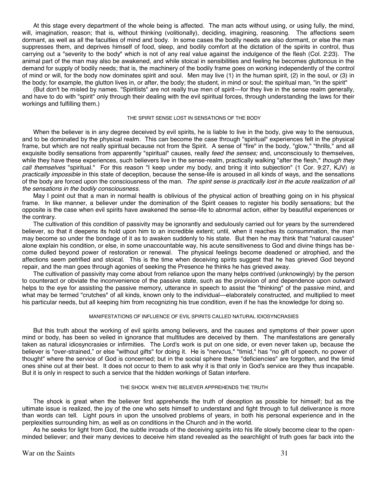At this stage every department of the whole being is affected. The man acts without using, or using fully, the mind, will, imagination, reason; that is, without thinking (volitionally), deciding, imagining, reasoning. The affections seem dormant, as well as all the faculties of mind and body. In some cases the bodily needs are also dormant, or else the man suppresses them, and deprives himself of food, sleep, and bodily comfort at the dictation of the spirits in control, thus carrying out a "severity to the body" which is not of any real value against the indulgence of the flesh (Col. 2:23). The animal part of the man may also be awakened, and while stoical in sensibilities and feeling he becomes gluttonous in the demand for supply of bodily needs; that is, the machinery of the bodily frame goes on working independently of the control of mind or will, for the body now dominates spirit and soul. Men may live (1) in the human spirit, (2) in the soul, or (3) in the body; for example, the glutton lives in, or after, the body; the student, in mind or soul; the spiritual man, "in the spirit"

(But don't be misled by names. "Spiritists" are not really true men of spirit—for they live in the sense realm generally, and have to do with "spirit" only through their dealing with the evil spiritual forces, through understanding the laws for their workings and fulfilling them.)

# THE SPIRIT SENSE LOST IN SENSATIONS OF THE BODY

When the believer is in any degree deceived by evil spirits, he is liable to live in the body, give way to the sensuous, and to be dominated by the physical realm. This can become the case through "spiritual" experiences felt in the physical frame, but which are not really spiritual because not from the Spirit. A sense of "fire" in the body, "glow," "thrills," and all exquisite bodily sensations from apparently "spiritual" causes, really *feed the senses;* and, unconsciously to themselves, while they have these experiences, such believers live in the sense-realm, practically walking "after the flesh," *though they call themselves* "spiritual." For this reason "I keep under my body, and bring it into subjection" (1 Cor. 9:27, KJV) *is practically impossible* in this state of deception, because the sense-life is aroused in all kinds of ways, and the sensations of the body are forced upon the consciousness of the man. *The spirit sense is practically lost in the acute realization of all the sensations in the bodily consciousness.*

May I point out that a man in normal health is oblivious of the physical action of breathing going on in his physical frame. In like manner, a believer under the domination of the Spirit ceases to register his bodily sensations; but the opposite is the case when evil spirits have awakened the sense-life to abnormal action, either by beautiful experiences or the contrary.

The cultivation of this condition of passivity may be ignorantly and sedulously carried out for years by the surrendered believer, so that it deepens its hold upon him to an incredible extent; until, when it reaches its consummation, the man may become so under the bondage of it as to awaken suddenly to his state. But then he may think that "natural causes" alone explain his condition, or else, in some unaccountable way, his acute sensitiveness to God and divine things has become dulled beyond power of restoration or renewal. The physical feelings become deadened or atrophied, and the affections seem petrified and stoical. This is the time when deceiving spirits suggest that he has grieved God beyond repair, and the man goes through agonies of seeking the Presence he thinks he has grieved away.

The cultivation of passivity may come about from reliance upon the many helps contrived (unknowingly) by the person to counteract or obviate the inconvenience of the passive state, such as the provision of and dependence upon outward helps to the eye for assisting the passive memory, utterance in speech to assist the "thinking" of the passive mind, and what may be termed "crutches" of all kinds, known only to the individual—elaborately constructed, and multiplied to meet his particular needs, but all keeping him from recognizing his true condition, even if he has the knowledge for doing so.

#### MANIFESTATIONS OF INFLUENCE OF EVIL SPIRITS CALLED NATURAL IDIOSYNCRASIES

But this truth about the working of evil spirits among believers, and the causes and symptoms of their power upon mind or body, has been so veiled in ignorance that multitudes are deceived by them. The manifestations are generally taken as natural idiosyncrasies or infirmities. The Lord's work is put on one side, or even never taken up, because the believer is "over-strained," or else "without gifts" for doing it. He is "nervous," "timid," has "no gift of speech, no power of thought" where the service of God is concerned; but in the social sphere these "deficiencies" are forgotten, and the timid ones shine out at their best. It does not occur to them to ask why it is that only in God's service are they thus incapable. But it is only in respect to such a service that the hidden workings of Satan interfere.

### THE SHOCK WHEN THE BELIEVER APPREHENDS THE TRUTH

The shock is great when the believer first apprehends the truth of deception as possible for himself; but as the ultimate issue is realized, the joy of the one who sets himself to understand and fight through to full deliverance is more than words can tell. Light pours in upon the unsolved problems of years, in both his personal experience and in the perplexities surrounding him, as well as on conditions in the Church and in the world.

As he seeks for light from God, the subtle inroads of the deceiving spirits into his life slowly become clear to the openminded believer; and their many devices to deceive him stand revealed as the searchlight of truth goes far back into the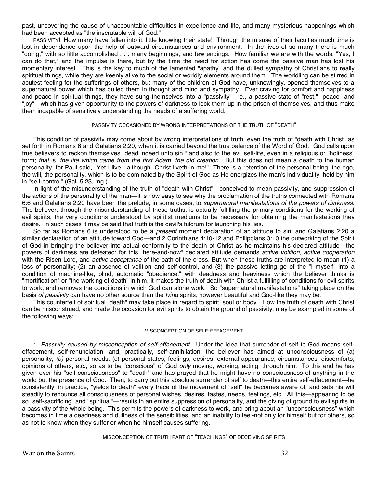past, uncovering the cause of unaccountable difficulties in experience and life, and many mysterious happenings which had been accepted as "the inscrutable will of God."

PASSIVITY! How many have fallen into it, little knowing their state! Through the misuse of their faculties much time is lost in dependence upon the help of outward circumstances and environment. In the lives of so many there is much "doing," with so little accomplished . . . many beginnings, and few endings. How familiar we are with the words, "Yes, I can do that," and the impulse is there, but by the time the need for action has come the passive man has lost his momentary interest. This is the key to much of the lamented "apathy" and the dulled sympathy of Christians to really spiritual things, while they are keenly alive to the social or worldly elements around them. The worldling can be stirred in acutest feeling for the sufferings of others, but many of the children of God have, unknowingly, opened themselves to a supernatural power which has dulled them in thought and mind and sympathy. Ever craving for comfort and happiness and peace in spiritual things, they have sung themselves into a "passivity"—ie., a passive state of "rest," "peace" and "joy"—which has given opportunity to the powers of darkness to lock them up in the prison of themselves, and thus make them incapable of sensitively understanding the needs of a suffering world.

# PASSIVITY OCCASIONED BY WRONG INTERPRETATIONS OF THE TRUTH OF "DEATH"

This condition of passivity may come about by wrong interpretations of truth, even the truth of "death with Christ" as set forth in Romans 6 and Galatians 2:20, when it is carried beyond the true balance of the Word of God. God calls upon true believers to reckon themselves "dead indeed unto sin," and also to the evil self-life, even in a religious or "holiness" form; *that* is, *the life which came from the first Adam, the old creation*. But this does not mean a death to the human personality, for Paul said, "Yet I live," although "Christ liveth in me!" There is a retention of the personal being, the ego, the will, the personality, which is to be dominated by the Spirit of God as He energizes the man's individuality, held by him in "self-control" (Gal. 5:23, mg.).

In light of the misunderstanding of the truth of "death with Christ"-conceived to mean passivity, and suppression of the actions of the personality of the man—it is now easy to see why the proclamation of the truths connected with Romans 6:6 and Galatians 2:20 have been the prelude, in some cases, to *supernatural manifestations of the powers of darkness.*  The believer, through the misunderstanding of these truths, is actually fulfilling the primary conditions for the working of evil spirits, the very conditions understood by spiritist mediums to be necessary for obtaining the manifestations they desire. In such cases it may be said that truth is the devil's fulcrum for launching his lies.

So far as Romans 6 is understood to be a *present* moment declaration of an attitude to sin, and Galatians 2:20 a similar declaration of an attitude toward God—and 2 Corinthians 4:10-12 and Philippians 3:10 the outworking of the Spirit of God in bringing the believer into actual conformity to the death of Christ as he maintains his declared attitude—the powers of darkness are defeated; for this "here-and-now" declared attitude demands *active volition, active cooperation*  with the Risen Lord, and *active acceptance* of the path of the cross. But when these truths are interpreted to mean (1) a loss of personality; (2) an absence of volition and self-control, and (3) the passive letting go of the "I myself" into a condition of machine-like, blind, automatic "obedience," with deadness and heaviness which the believer thinks is "mortification" or "the working of death" in him, it makes the truth of death with Christ a fulfilling of conditions for evil spirits to work, and removes the conditions in which God can alone work. So "supernatural manifestations" taking place on the basis *of passivity* can have no other source than the *lying* spirits, however beautiful and God-like they may be.

This counterfeit of spiritual "death" may take place in regard to spirit, soul or body. How the truth of death with Christ can be misconstrued, and made the occasion for evil spirits to obtain the ground of passivity, may be exampled in some of the following ways:

#### MISCONCEPTION OF SELF-EFFACEMENT

1. *Passivity caused by misconception of self-effacement.* Under the idea that surrender of self to God means selfeffacement, self-renunciation, and, practically, self-annihilation, the believer has aimed at unconsciousness of (a) personality, *(b)* personal needs, (c) personal states, feelings, desires, external appearance, circumstances, discomforts, opinions of others, etc., so as to be "conscious" of God *only* moving, working, acting, through him. To this end he has given over his "self-consciousness" to "death" and has prayed that he might have no consciousness of anything in the world but the presence of God. Then, to carry out this absolute surrender of self to death—this entire self-effacement—he consistently, in practice, "yields to death" every trace of the movement of "self" he becomes aware of, and sets his will steadily to renounce all consciousness of personal wishes, desires, tastes, needs, feelings, etc. All this—appearing to be so "self-sacrificing" and "spiritual"—results in an entire suppression of personality, and the giving of ground to evil spirits in a passivity of the whole being. This permits the powers of darkness to work, and bring about an "unconsciousness´ which becomes in time a deadness and dullness of the sensibilities, and an inability to feel-not only for himself but for others, so as not to know when they suffer or when he himself causes suffering.

# MISCONCEPTION OF TRUTH PART OF "TEACHINGS" OF DECEIVING SPIRITS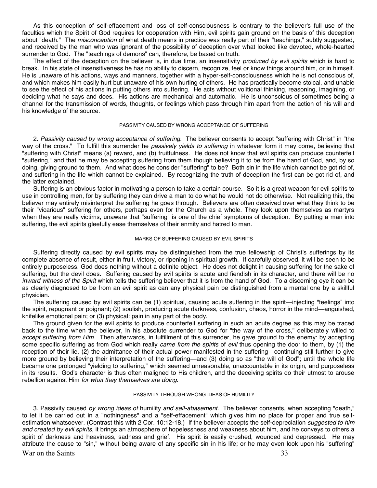As this conception of self-effacement and loss of self-consciousness is contrary to the believer's full use of the faculties which the Spirit of God requires for cooperation with Him, evil spirits gain ground on the basis of this deception about "death." The *misconception* of what death means in practice was really part of their "teachings," subtly suggested, and received by the man who was ignorant of the possibility of deception over what looked like devoted, whole-hearted surrender to God. The "teachings of demons" can, therefore, be based on truth.

The effect of the deception on the believer is, in due time, an insensitivity *produced by evil spirits* which is hard to break. In his state of insensitiveness he has no ability to discern, recognize, feel or know things around him, or in himself. He is unaware of his actions, ways and manners, together with a hyper-self-consciousness which he is not conscious of, and which makes him easily hurt but unaware of his own hurting of others. He has practically become stoical, and unable to see the effect of his actions in putting others into suffering. He acts without volitional thinking, reasoning, imagining, or deciding what he says and does. His actions are mechanical and automatic. He is unconscious of sometimes being a channel for the transmission of words, thoughts, or feelings which pass through him apart from the action of his will and his knowledge of the source.

#### PASSIVITY CAUSED BY WRONG ACCEPTANCE OF SUFFERING

2. *Passivity caused by wrong acceptance of suffering.* The believer consents to accept "suffering with Christ" in "the way of the cross." To fulfill this surrender he *passively yields to suffering* in whatever form it may come, believing that "suffering with Christ" means (a) reward, and (b) fruitfulness. He does not know that evil spirits can produce counterfeit "suffering," and that he may be accepting suffering from them though believing it to be from the hand of God, and, by so doing, giving ground to them. And what does he consider "suffering" to be? Both sin in the life which cannot be got rid of, and suffering in the life which cannot be explained. By recognizing the truth of deception the first can be got rid of, and the latter explained.

Suffering is an obvious factor in motivating a person to take a certain course. So it is a great weapon for evil spirits to use in controlling men, for by suffering they can drive a man to do what he would not do otherwise. Not realizing this, the believer may entirely misinterpret the suffering he goes through. Believers are often deceived over what they think to be their "vicarious" suffering for others, perhaps even for the Church as a whole. They look upon themselves as martyrs when they are really victims, unaware that "suffering" is one of the chief symptoms of deception. By putting a man into suffering, the evil spirits gleefully ease themselves of their enmity and hatred to man.

#### MARKS OF SUFFERING CAUSED BY EVIL SPIRITS

Suffering directly caused by evil spirits may be distinguished from the true fellowship of Christ's sufferings by its complete absence of result, either in fruit, victory, or ripening in spiritual growth. If carefully observed, it will be seen to be entirely purposeless. God does nothing without a definite object. He does not delight in causing suffering for the sake of suffering, but the devil does. Suffering caused by evil spirits is acute and fiendish in its character, and there will be no *inward witness of the Spirit* which tells the suffering believer that it is from the hand of God. To a discerning eye it can be as clearly diagnosed to be from an evil spirit as can any physical pain be distinguished from a mental one by a skillful physician.

The suffering caused by evil spirits can be (1) spiritual, causing acute suffering in the spirit—injecting "feelings" into the spirit, repugnant or poignant; (2) soulish, producing acute darkness, confusion, chaos, horror in the mind—anguished, knifelike emotional pain; or (3) physical: pain in any part of the body.

The ground given for the evil spirits to produce counterfeit suffering in such an acute degree as this may be traced back to the time when the believer, in his absolute surrender to God for "the way of the cross," deliberately willed to *accept suffering from Him.* Then afterwards, in fulfillment of this surrender, he gave ground to the enemy: by accepting some specific suffering as from God which really *came from the spirits* of *evil* thus opening the door to them, by (1) the reception of their lie, (2) the admittance of their actual power manifested in the suffering—continuing still further to give more ground by believing their interpretation of the suffering—and (3) doing so as "the will of God"; until the whole life became one prolonged "yielding to suffering," which seemed unreasonable, unaccountable in its origin, and purposeless in its results. God's character is thus often maligned to His children, and the deceiving spirits do their utmost to arouse rebellion against Him *for what they themselves are doing.*

#### PASSIVITY THROUGH WRONG IDEAS OF HUMILITY

War on the Saints 33 3. Passivity caused *by wrong ideas of* humility *and self-abasement.* The believer consents, when accepting "death," to let it be carried out in a "nothingness" and a "self-effacement" which gives him no place for proper and true selfestimation whatsoever. (Contrast this with 2 Cor. 10:12-18.) If the believer accepts the self-depreciation *suggested to him and created by evil spirits,* it brings an atmosphere of hopelessness and weakness about him, and he conveys to others a spirit of darkness and heaviness, sadness and grief. His spirit is easily crushed, wounded and depressed. He may attribute the cause to "sin," without being aware of any specific sin in his life; or he may even look upon his "suffering"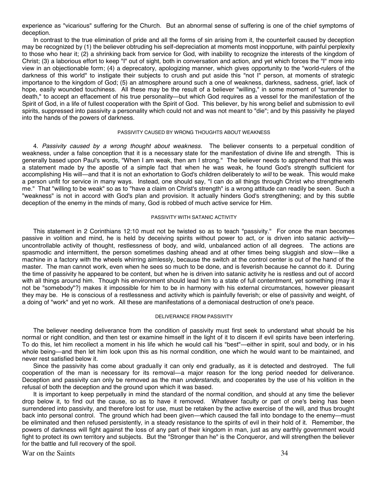experience as "vicarious" suffering for the Church. But an abnormal sense of suffering is one of the chief symptoms of deception.

In contrast to the true elimination of pride and all the forms of sin arising from it, the counterfeit caused by deception may be recognized by (1) the believer obtruding his self-depreciation at moments most inopportune, with painful perplexity to those who hear it; (2) a shrinking back from service for God, with inability to recognize the interests of the kingdom of Christ; (3) a laborious effort to keep "I" out of sight, both in conversation and action, and yet which forces the "I" more into view in an objectionable form; (4) a deprecatory, apologizing manner, which gives opportunity to the "world-rulers of the darkness of this world" to instigate their subjects to crush and put aside this "not I" person, at moments of strategic importance to the kingdom of God; (5) an atmosphere around such a one of weakness, darkness, sadness, grief, lack of hope, easily wounded touchiness. All these may be the result of a believer "willing," in some moment of "surrender to death," to accept an effacement of his true personality—but which God requires as a vessel for the manifestation of the Spirit of God, in a life of fullest cooperation with the Spirit of God. This believer, by his wrong belief and submission to evil spirits, suppressed into passivity a personality which could not and was not meant to "die"; and by this passivity he played into the hands of the powers of darkness.

# PASSIVITY CAUSED BY WRONG THOUGHTS ABOUT WEAKNESS

4. *Passivity caused by a wrong thought about weakness.* The believer consents to a perpetual condition of weakness, under a false conception that it is a necessary state for the manifestation of divine life and strength. This is generally based upon Paul's words, "When I am weak, then am I strong." The believer needs to apprehend that this was a statement made by the apostle of a simple fact that when he was weak, he found God's strength sufficient for accomplishing His will—and that it is not an exhortation to God's children deliberately to *will* to be weak. This would make a person unfit for service in many ways. Instead, one should say, "I can do all things through Christ who strengtheneth me." That "willing to be weak" so as to "have a claim on Christ's strength" is a wrong attitude can readily be seen. Such a "weakness" is not in accord with God's plan and provision. It actually hinders God's strengthening; and by this subtle deception of the enemy in the minds of many, God is robbed of much active service for Him.

# PASSIVITY WITH SATANIC ACTIVITY

This statement in 2 Corinthians 12:10 must not be twisted so as to teach "passivity." For once the man becomes passive in volition and mind, he is held by deceiving spirits without power to act, or is driven into satanic *activity* uncontrollable activity of thought, restlessness of body, and wild, unbalanced action of all degrees. The actions are spasmodic and intermittent, the person sometimes dashing ahead and at other times being sluggish and slow—like a machine in a factory with the wheels whirring aimlessly, because the switch at the control center is out of the hand of the master. The man cannot work, even when he sees so much to be done, and is feverish because he cannot do it. During the time of passivity he appeared to be content, but when he is driven into satanic activity he is restless and out of accord with all things around him. Though his environment should lead him to a state of full contentment, yet something (may it not be "somebody"?) makes it impossible for him to be in harmony with his external circumstances, however pleasant they may be. He is conscious of a restlessness and activity which is painfully feverish; or else of passivity and weight, of a doing of "work" and yet no work. All these are manifestations of a demoniacal destruction of one's peace.

#### DELIVERANCE FROM PASSIVITY

The believer needing deliverance from the condition of passivity must first seek to understand what should be his normal or right condition, and then test or examine himself in the light of it to discern if evil spirits have been interfering. To do this, let him recollect a moment in his life which he would call his "best"—either in spirit, soul and body, or in his whole being—and then let him look upon this as his normal condition, one which he would want to be maintained, and never rest satisfied below it.

Since the passivity has come about gradually it can only end gradually, as it is detected and destroyed. The full cooperation of the man is necessary for its removal-a major reason for the long period needed for deliverance. Deception and passivity can only be removed as the man *understands,* and cooperates by the use of his volition in the refusal of both the deception and the ground upon which it was based.

It is important to keep perpetually in mind the standard of the normal condition, and should at any time the believer drop below it, to find out the cause, so as to have it removed. Whatever faculty or part of one's being has been surrendered into passivity, and therefore lost for use, must be retaken by the active exercise of the will, and thus brought back into personal control. The ground which had been given—which caused the fall into bondage to the enemy—must be eliminated and then refused persistently, in a steady resistance to the spirits of evil in their hold of it. Remember, the powers of darkness will fight against the loss of any part of their kingdom in man, just as any earthly government would fight to protect its own territory and subjects. But the "Stronger than he" is the Conqueror, and will strengthen the believer for the battle and full recovery of the spoil.

War on the Saints 34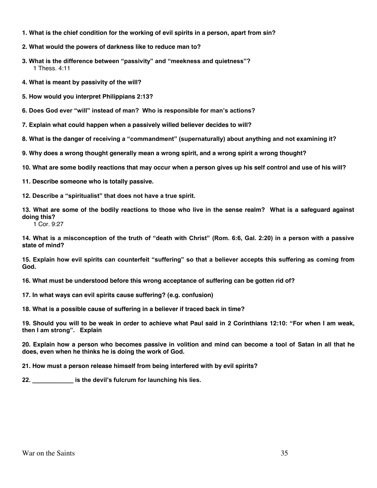- **1. What is the chief condition for the working of evil spirits in a person, apart from sin?**
- **2. What would the powers of darkness like to reduce man to?**
- **3.** What is the difference between "passivity" and "meekness and quietness"? 1 Thess. 4:11
- **4. What is meant by passivity of the will?**
- **5. How would you interpret Philippians 2:13?**

**6.** Does God ever "will" instead of man? Who is responsible for man's actions?

**7. Explain what could happen when a passively willed believer decides to will?** 

**8. What is the danger of r**eceiving a "commandment" (supernaturally) about anything and not examining it?

**9. Why does a wrong thought generally mean a wrong spirit, and a wrong spirit a wrong thought?** 

**10. What are some bodily reactions that may occur when a person gives up his self control and use of his will?** 

**11. Describe someone who is totally passive.** 

**12.** Describe a "spiritualist" that does not have a true spirit.

**13. What are some of the bodily reactions to those who live in the sense realm? What is a safeguard against doing this?** 

1 Cor. 9:27

**14.** What is a misconception of the truth of "death with Christ" (Rom. 6:6, Gal. 2:20) in a person with a passive **state of mind?** 

**15.** Explain how evil spirits can counterfeit "suffering" so that a believer accepts this suffering as comi**ng from God.**

**16. What must be understood before this wrong acceptance of suffering can be gotten rid of?** 

**17. In what ways can evil spirits cause suffering? (e.g. confusion)** 

**18. What is a possible cause of suffering in a believer if traced back in time?** 

**19. Should you will to be weak in order to achieve what Paul said in 2 Corinthians 12:10**: "**For when I am weak,**  then I am strong"**. Explain** 

**20. Explain how a person who becomes passive in volition and mind can become a tool of Satan in all that he does, even when he thinks he is doing the work of God.** 

**21. How must a person release himself from being interfered with by evil spirits?** 

22. \_\_\_\_\_\_\_\_\_\_\_\_\_\_ is the devil's fulcrum for launching his lies.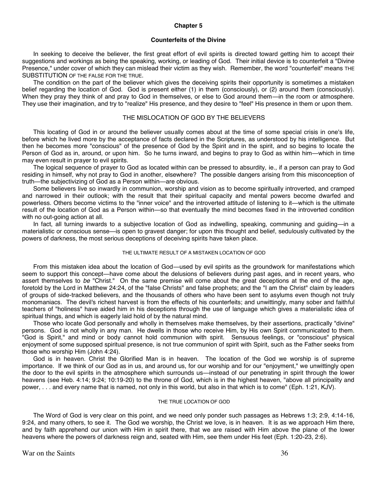# **Chapter 5**

# **Counterfeits of the Divine**

In seeking to deceive the believer, the first great effort of evil spirits is directed toward getting him to accept their suggestions and workings as being the speaking, working, or leading of God. Their initial device is to counterfeit a "Divine Presence," under cover of which they can mislead their victim as they wish. Remember, the word "counterfeit" means THE SUBSTITUTION OF THE FALSE FOR THE TRUE.

The condition on the part of the believer which gives the deceiving spirits their opportunity is sometimes a mistaken belief regarding the location of God. God is present either (1) in them (consciously), or (2) around them (consciously). When they pray they think of and pray to God in themselves, or else to God around them—in the room or atmosphere. They use their imagination, and try to "realize" His presence, and they desire to "feel" His presence in them or upon them.

# THE MISLOCATION OF GOD BY THE BELIEVERS

This locating of God in or around the believer usually comes about at the time of some special crisis in one's life, before which he lived more by the acceptance of facts declared in the Scriptures, as understood by his intelligence. But then he becomes more "conscious" of the presence of God by the Spirit and in the spirit, and so begins to locate the Person of God as in, around, or upon him. So he turns inward, and begins to pray to God as within him—which in time may even result in prayer to evil spirits.

The logical sequence of prayer to God as located within can be pressed to absurdity, ie*.,* if a person can pray to God residing in himself, why not pray to God in another, elsewhere? The possible dangers arising from this misconception of truth—the subjectivizing of God as a Person within—are obvious.

Some believers live so inwardly in communion, worship and vision as to become spiritually introverted, and cramped and narrowed in their outlook; with the result that their spiritual capacity and mental powers become dwarfed and powerless. Others become victims to the "inner voice" and the introverted attitude of listening to it—which is the ultimate result of the location of God as a Person within—so that eventually the mind becomes fixed in the introverted condition with no out-going action at all.

In fact, all turning inwards to a subjective location of God as indwelling, speaking, communing and guiding—in a materialistic or conscious sense—is open to gravest danger; for upon this thought and belief, sedulously cultivated by the powers of darkness, the most serious deceptions of deceiving spirits have taken place.

# THE ULTIMATE RESULT OF A MISTAKEN LOCATION OF GOD

From this mistaken idea about the location of God—used by evil spirits as the groundwork for manifestations which seem to support this concept—have come about the delusions of believers during past ages, and in recent years, who assert themselves to *be* "Christ." On the same premise will come about the great deceptions at the end of the age, foretold by the Lord in Matthew 24:24, of the "false Christs" and false prophets; and the "I am the Christ" claim by leaders of groups of side-tracked believers, and the thousands of others who have been sent to asylums even though not truly monomaniacs. The devil's richest harvest is from the effects of his counterfeits; and unwittingly, many sober and faithful teachers of "holiness" have aided him in his deceptions through the use of language which gives a materialistic idea of spiritual things, and which is eagerly laid hold of by the natural mind.

Those who locate God personally and wholly in themselves make themselves, by their assertions, practically "divine" persons. God is not wholly in any man. He dwells in those who receive Him, by His own Spirit communicated to them. "God is Spirit," and mind or body cannot hold communion with spirit. Sensuous feelings, or "conscious" physical enjoyment of some supposed spiritual presence, is not true communion of spirit with Spirit, such as the Father seeks from those who worship Him (John 4:24).

God is in heaven. Christ the Glorified Man is in heaven. The location of the God we worship is of supreme importance. If we think of our God as in us, and around us, for our worship and for our "enjoyment," we unwittingly open the door to the evil spirits in the atmosphere which surrounds us—instead of our penetrating in spirit through the lower heavens (see Heb. 4:14; 9:24; 10:19-20) to the throne of God, which is in the highest heaven, "above all principality and power, . . . and every name that is named, not only in this world, but also in that which is to come" (Eph. 1:21, KJV).

#### THE TRUE LOCATION OF GOD

The Word of God is very clear on this point, and we need only ponder such passages as Hebrews 1:3; 2:9, 4:14-16, 9:24, and many others, to see it. The God we worship, the Christ we love, is in heaven. It is as we approach Him there, and by faith apprehend our union with Him in spirit there, that we are raised with Him above the plane of the lower heavens where the powers of darkness reign and, seated with Him, see them under His feet (Eph. 1:20-23, 2:6).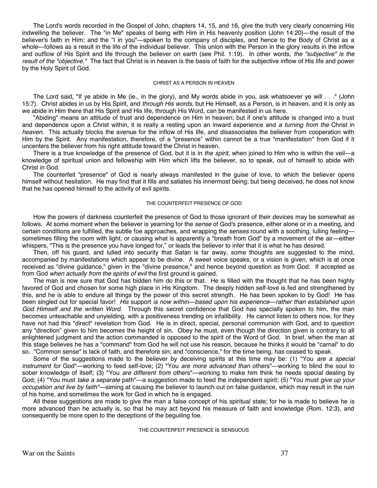The Lord's words recorded in the Gospel of John, chapters 14, 15, and 16, give the truth very clearly concerning His indwelling the believer. The "in Me" speaks of being with Him in His heavenly position (John 14:20)—the result of the believer's faith in Him; and the "I in you"—spoken to the company of disciples, and hence to the Body of Christ as a whole—follows as a result in the life of the individual believer. This union with the Person in the glory results in the inflow and outflow of His Spirit and life through the believer on earth (see Phil. 1:19). In other words, *the "subjective" is the result of the "objective."* The fact that Christ is in heaven is the basis of faith for the subjective inflow of His life and power by the Holy Spirit of God.

#### CHRIST AS A PERSON IN HEAVEN

The Lord said, "If ye abide in Me (ie., in the glory), and My words abide in you, ask whatsoever ye will . . ." (John 15:7). Christ abides in us by His Spirit, and *through His words,* but He Himself, as a Person, is in heaven, and it is only as we abide in Him there that His Spirit and His life, through His Word, can be manifested in us here.

"Abiding" means an attitude of trust and dependence on Him in heaven; but if one's attitude is changed into a trust and dependence upon a Christ within, it is really a resting upon an inward experience and *a turning from the* Christ in *heaven.* This actually blocks the avenue for the inflow of His life, and disassociates the believer from cooperation with Him by the Spirit. Any manifestation, therefore, of a "presence" within cannot be a true "manifestation" from God if it uncenters the believer from his right attitude toward the Christ in heaven.

There is a true knowledge of the presence of God, but it is in *the spirit*, when joined to Him who is within the veil—a knowledge of spiritual union and fellowship with Him which lifts the believer, so to speak, out of himself to abide with Christ in God.

The counterfeit "presence" of God is nearly always manifested in the guise of love, to which the believer opens himself without hesitation. He may find that it fills and satiates his innermost being; but being deceived, he does not know that he has opened himself to the activity of evil spirits.

## THE COUNTERFEIT PRESENCE OF GOD

How the powers of darkness counterfeit the presence of God to those ignorant of their devices may be somewhat as follows. At some moment when the believer is yearning for the *sense* of God's presence, either alone or in a meeting, and certain conditions are fulfilled, the subtle foe approaches, and wrapping the *senses* round with a soothing, lulling feeling sometimes filling the room with light, or causing what is apparently a "breath from God" by a movement of the air—either whispers, "This is the presence you have longed for," or leads the believer to infer that it is what he has desired.

Then, off his guard, and lulled into security that Satan is far away, some thoughts are suggested to the mind, accompanied by manifestations which appear to be divine. A sweet voice speaks, or a vision is given, which is at once received as "divine guidance," given in the "divine presence," and hence beyond question as from God. If accepted as from God *when actually from the spirits of evil* the first ground is gained.

The man is now sure that God has bidden him do this or that. He is filled with the thought that he has been highly favored of God and chosen for some high place in His Kingdom. The deeply hidden self-love is fed and strengthened by this, and he is able to endure all things by the power of this secret strength. He has been spoken to by God! He has been singled out for special favor! His support is now within—based upon his experience—rather than established upon *God Himself and the written Word.* Through this secret confidence that God has specially spoken to him, the man becomes unteachable and unyielding, with a positiveness trending on infallibility. He cannot listen to others now, for they have not had this "direct" revelation from God. He is in direct, special, personal communion with God, and to question any "direction" given to him becomes the height of sin. Obey he must, even though the direction given is contrary to all enlightened judgment and the action commanded is opposed to the spirit of the Word of God. In brief, when the man at this stage believes he has a "command" from God he will not use his reason, because he thinks it would be "carnal" to do so. "Common sense" is lack of faith, and therefore sin; and "conscience," for the time being, has ceased to speak.

Some of the suggestions made to the believer by deceiving spirits at this time may be: (1) "You *are a special*  instrument for God"—working to feed self-love; (2) "You *are more advanced than* others"—working to blind the soul to sober knowledge of itself; (3) "You *are different from* others"—working to make him think he needs special dealing by God; (4) "You must *take a separate* path"—a suggestion made to feed the independent spirit; (5) "You must *give up your occupation and live by faith"*—aiming at causing the believer to launch out on false guidance, which may result in the ruin of his home, and sometimes the work for God in which he is engaged.

All these suggestions are made to give the man a false concept of his spiritual state; for he is made to believe he is more advanced than he actually is, so that he may act beyond his measure of faith and knowledge (Rom. 12:3), and consequently be more open to the deceptions of the beguiling foe.

## THE COUNTERFEIT PRESENCE is SENSUOUS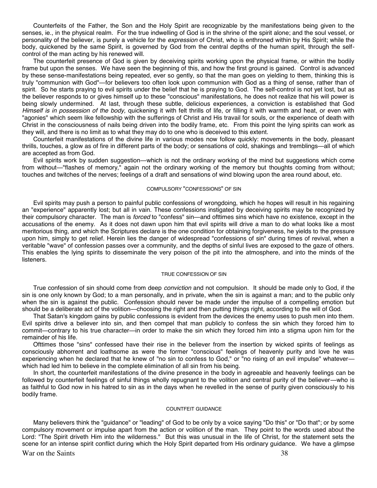Counterfeits of the Father, the Son and the Holy Spirit are recognizable by the manifestations being given to the senses, ie., in the physical realm. For the true indwelling of God is in the shrine of the spirit alone; and the soul vessel, or personality of the believer, is purely a vehicle for the *expression* of Christ, who is enthroned within by His Spirit; while the body, quickened by the same Spirit, is governed by God from the central depths of the human spirit, through the selfcontrol of the man acting by his renewed will.

The counterfeit presence of God is given by deceiving spirits working upon the physical frame, or within the bodily frame but upon the senses. We have seen the beginning of this, and how the first ground is gained. Control is advanced by these sense-manifestations being repeated, ever so gently, so that the man goes on yielding to them, thinking this is truly "communion with God"—for believers too often look upon communion with God as a thing of sense, rather than of spirit. So he starts praying to evil spirits under the belief that he is praying to God. The self-control is not yet lost, but as the believer responds to or gives himself up to these "conscious" manifestations, he does not realize that his will power is being slowly undermined. At last, through these subtle, delicious experiences, a conviction is established that God *Himself is in possession of the body,* quickening it with felt thrills of life, or filling it with warmth and heat, or even with "agonies" which seem like fellowship with the sufferings of Christ and His travail for souls, or the experience of death with Christ in the consciousness of nails being driven into the bodily frame, etc. From this point the lying spirits can work as they will, and there is no limit as to what they may do to one who is deceived to this extent.

Counterfeit manifestations of the divine life in various modes now follow quickly: movements in the body, pleasant thrills, touches, a glow as of fire in different parts of the body; or sensations of cold, shakings and tremblings—all of which are accepted as from God.

Evil spirits work by sudden suggestion—which is not the ordinary working of the mind but suggestions which come from without—"flashes of memory," again not the ordinary working of the memory but thoughts coming from without: touches and twitches of the nerves; feelings of a draft and sensations of wind blowing upon the area round about, etc.

#### COMPULSORY "CONFESSIONS" OF SIN

Evil spirits may push a person to painful public confessions of wrongdoing, which he hopes will result in his regaining an "experience" apparently lost; but all in vain. These confessions instigated by deceiving spirits may be recognized by their compulsory character. The man is *forced* to "confess" sin—and ofttimes sins which have no existence, except in the accusations of the enemy. As it does not dawn upon him that evil spirits will drive a man to do what looks like a most meritorious thing, and which the Scriptures declare is the one condition for obtaining forgiveness, he yields to the pressure upon him, simply to get relief. Herein lies the danger of widespread "confessions of sin" during times of revival, when a veritable "wave" of confession passes over a community, and the depths of sinful lives are exposed to the gaze of others. This enables the lying spirits to disseminate the very poison of the pit into the atmosphere, and into the minds of the listeners.

#### TRUE CONFESSION OF SIN

True confession of sin should come from deep *conviction* and not compulsion. It should be made only to God, if the sin is one only known by God; to a man personally, and in private, when the sin is against a man; and to the public only when the sin is against the public. Confession should never be made under the impulse of a compelling emotion but should be a deliberate act of the volition—choosing the right and then putting things right, according to the will of God.

That Satan's kingdom gains by public confessions is evident from the devices the enemy uses to push men into them. Evil spirits drive a believer into sin, and then compel that man publicly to confess the sin which they forced him to commit—contrary to his true character—in order to make the sin which they forced him into a stigma upon him for the remainder of his life.

Ofttimes those "sins" confessed have their rise in the believer from the insertion by wicked spirits of feelings as consciously abhorrent and loathsome as were the former "conscious" feelings of heavenly purity and love he was experiencing when he declared that he knew of "no sin to confess to God," or "no rising of an evil impulse" whatever which had led him to believe in the complete elimination of all sin from his being.

In short, the counterfeit manifestations of the divine presence in the body in agreeable and heavenly feelings can be followed by counterfeit feelings of sinful things wholly repugnant to the volition and central purity of the believer—who is as faithful to God now in his hatred to sin as in the days when he revelled in the sense of purity given consciously to his bodily frame.

## COUNTFEIT GUIDANCE

War on the Saints 38 Many believers think the "guidance" or "leading" of God to be only by a voice saying "Do this" or "Do that"; or by some compulsory movement or impulse apart from the action or volition of the man. They point to the words used about the Lord: "The Spirit driveth Him into the wilderness." But this was unusual in the life of Christ, for the statement sets the scene for an intense spirit conflict during which the Holy Spirit departed from His ordinary guidance. We have a glimpse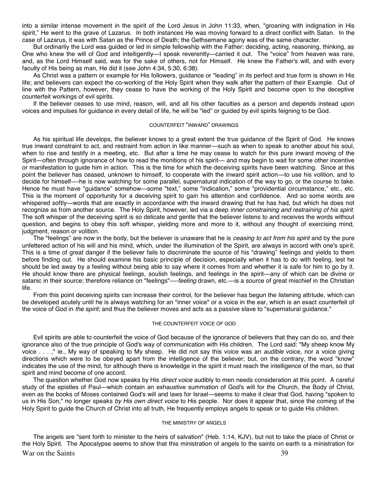into a similar intense movement in the spirit of the Lord Jesus in John 11:33, when, "groaning with indignation in His spirit," He went to the grave of Lazarus. In both instances He was moving forward to a direct conflict with Satan. In the case of Lazarus, it was with Satan as the Prince of Death; the Gethsemane agony was of the same character.

But ordinarily the Lord was guided or led in simple fellowship with the Father: deciding, acting, reasoning, thinking, as One who knew the will of God and intelligently—I speak reverently—carried it out. The "voice" from heaven was rare, and, as the Lord Himself said, was for the sake of others, not for Himself. He knew the Father's will, and with every faculty of His being as man, He did it (see John 4:34, 5:30, 6:38).

As Christ was a pattern or example for His followers, guidance or "leading" in its perfect and true form is shown in His life; and believers can expect the co-working of the Holy Spirit when they walk after the pattern of their Example. Out of line with the Pattern, however, they cease to have the working of the Holy Spirit and become open to the deceptive counterfeit workings of evil spirits.

If the believer ceases to use mind, reason, will, and all his other faculties as a person and depends instead upon voices and impulses for guidance in every detail of life, he will be "led" or guided by evil spirits feigning to be God.

## COUNTERFEIT "INWARD´ DRAWINGS

As his spiritual life develops, the believer knows to a great extent the true guidance of the Spirit of God. He knows true inward constraint to act, and restraint from action in like manner—such as when to speak to another about his soul, when to rise and testify in a meeting, etc. But after a time he may cease to watch for this pure inward moving of the Spirit—often through ignorance of how to read the monitions of his spirit— and may begin to wait for some other incentive or manifestation to guide him in action. This is the time for which the deceiving spirits have been watching. Since at this point the believer has ceased, unknown to himself, to cooperate with the inward spirit action—to use his volition, and to decide for himself—-he is now watching for some parallel, supernatural indication of the way to go, or the course to take. Hence he must have "guidance" somehow-some "text," some "indication," some "providential circumstance," etc., etc. This is the moment of opportunity for a deceiving spirit to gain his attention and confidence. And so some words are whispered softly—words that are exactly in accordance with the inward drawing that he has had, but which he does not recognize as from another source. The Holy Spirit, however, led via a deep *inner constraining and restraining of his spirit.*  The soft whisper of the deceiving spirit is so delicate and gentle that the believer listens to and receives the words without question, and begins to obey this soft whisper, yielding more and more to it, without any thought of exercising mind, judgment, reason or volition.

The "feelings´ are now in the body, but the believer is unaware that he is *ceasing to act from his spirit* and by the pure unfettered action of his will and his mind, which, under the illumination of the Spirit, are always in accord with one's spirit. This is a time of great danger if the believer fails to discriminate the source of his "drawing´ feelings and yields to them before finding out. He should examine his basic principle of decision, especially when it has to do with feeling, lest he should be led away by a feeling without being able to say where it comes from and whether it is safe for him to go by it. He should know there are physical feelings, soulish feelings, and feelings in the spirit—any of which can be divine or satanic in their source; therefore reliance on "feelings"—-feeling drawn, etc.—is a source of great mischief in the Christian life.

From this point deceiving spirits can increase their control, for the believer has begun the listening attitude, which can be developed acutely until he is always watching for an "inner voice" or a voice in the ear, which is an exact counterfeit of the voice of God in *the spirit;* and thus the believer moves and acts as a passive slave to "supernatural guidance."

#### THE COUNTERFEIT VOICE OF GOD

Evil spirits are able to counterfeit the voice of God because of the ignorance of believers that they can do so, and their ignorance also of the true principle of God's way of communication with His children. The Lord said: "My sheep know My voice . . . ," ie., My way of speaking to My sheep. He did not say this voice was an *audible* voice, nor a voice giving directions which were to be obeyed apart from the intelligence of the believer; but, on the contrary, the word "know" indicates the use of the mind, for although there is knowledge in the spirit it must reach the intelligence of the man, so that spirit and mind become of one accord.

The question whether God now speaks by His *direct voice* audibly to men needs consideration at this point. A careful study of the epistles of Paul—which contain an exhaustive summation of God's will for the Church, the Body of Christ, even as the books of Moses contained God's will and laws for Israel—seems to make it clear that God, having "spoken to us in His Son," no longer speaks *by His own direct voice* to His people. Nor does it appear that, since the coming of the Holy Spirit to guide the Church of Christ into all truth, He frequently employs angels to speak or to guide His children.

## THE MINISTRY OF ANGELS

War on the Saints 39 The angels are "sent forth to minister to the heirs of salvation" (Heb. 1:14, KJV), but not to take the place of Christ or the Holy Spirit. The Apocalypse seems to show that this ministration of angels to the saints on earth is a ministration for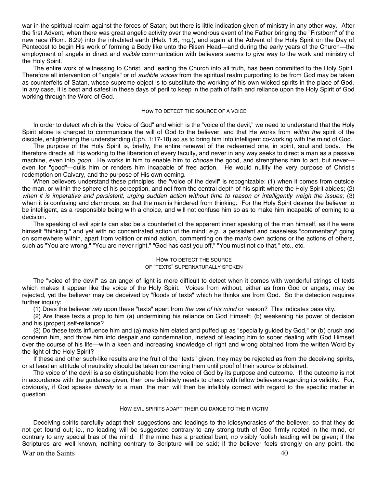war in the spiritual realm against the forces of Satan; but there is little indication given of ministry in any other way. After the first Advent, when there was great angelic activity over the wondrous event of the Father bringing the "Firstborn" of the new race (Rom. 8:29) into the inhabited earth (Heb. 1:6, mg.), and again at the Advent of the Holy Spirit on the Day of Pentecost to begin His work of forming a Body like unto the Risen Head—and during the early years of the Church—the employment of angels in direct and *visible* communication with believers seems to give way to the work and ministry of the Holy Spirit.

The entire work of witnessing to Christ, and leading the Church into all truth, has been committed to the Holy Spirit. Therefore all intervention of "angels" or of *audible voices* from the spiritual realm purporting to be from God may be taken as counterfeits of Satan, whose supreme object is to substitute the working of his own wicked spirits in the place of God. In any case, it is best and safest in these days of peril to keep in the path of faith and reliance upon the Holy Spirit of God working through the Word of God.

#### How TO DETECT THE SOURCE OF A VOICE

In order to detect which is the 'Voice of God" and which is the "voice of the devil," we need to understand that the Holy Spirit alone is charged to communicate the will of God to the believer, and that He works from *within the* spirit of the disciple, enlightening the understanding (Eph. 1:17-18) so as to bring him into intelligent co-working with the mind of God.

The purpose of the Holy Spirit is, briefly, the entire renewal of the redeemed one, in spirit, soul and body. He therefore directs all His working to the liberation of every faculty, and never in any way seeks to direct a man as a passive machine, even into *good.* He works in him to enable him to *choose* the good, and strengthens him to act, but nevereven for "good"—dulls him or renders him incapable of free action. He would nullify the very purpose of Christ's redemption on Calvary, and the purpose of His own coming.

When believers understand these principles, the "voice of the devil" is recognizable: (1) when it comes from outside the man, or within the sphere of his perception, and not from the central depth of his spirit where the Holy Spirit abides; (2) *when it is imperative and persistent, urging sudden action without time to reason or intelligently weigh the issues;* (3) when it is confusing and clamorous, so that the man is hindered from thinking. For the Holy Spirit desires the believer to be intelligent, as a responsible being with a choice, and will not confuse him so as to make him incapable of coming to a decision.

The speaking of evil spirits can also be a counterfeit of the apparent inner speaking of the man himself, as if he were himself "thinking," and yet with no concentrated action of the mind; *e.g.,* a persistent and ceaseless "commentary" going on somewhere within, apart from volition or mind action, commenting on the man's own actions or the actions of others, such as "You are wrong," "You are never right," "God has cast you off," "You must not do that," etc., etc.

# How TO DETECT THE SOURCE OF "TEXTS" SUPERNATURALLY SPOKEN

The "voice of the devil" as an angel of light is more difficult to detect when it comes with wonderful strings of texts which makes it appear like the voice of the Holy Spirit. Voices from without, either as from God or angels, may be rejected, yet the believer may be deceived by "floods of texts" which he thinks are from God. So the detection requires further inquiry:

(1) Does the believer *rely* upon these "texts" apart from *the use of his mind* or reason? This indicates passivity.

(2) Are these texts a prop to him (a) undermining his reliance on God Himself; (b) weakening his power of decision and his (proper) self-reliance?

(3) Do these texts influence him and (a) make him elated and puffed up as "specially guided by God," or (b) crush and condemn him, and throw him into despair and condemnation, instead of leading him to sober dealing with God Himself over the course of his life—with a keen and increasing knowledge of right and wrong obtained from the written Word by the light of the Holy Spirit?

If these and other such-like results are the fruit of the "texts" given, they may be rejected as from the deceiving spirits, or at least an attitude of neutrality should be taken concerning them until proof of their source is obtained.

The voice of the devil is also distinguishable from the voice of God by its purpose and outcome. If the outcome is not in accordance with the guidance given, then one definitely needs to check with fellow believers regarding its validity. For, obviously, if God speaks *directly* to a man, the man will then be infallibly correct with regard to the specific matter in question.

## How EVIL SPIRITS ADAPT THEIR GUIDANCE TO THEIR VICTIM

War on the Saints 40 Deceiving spirits carefully adapt their suggestions and leadings to the idiosyncrasies of the believer, so that they do not get found out; ie., no leading will be suggested contrary to any strong truth of God firmly rooted in the mind, or contrary to any special bias of the mind. If the mind has a practical bent, no visibly foolish leading will be given; if the Scriptures are well known, nothing contrary to Scripture will be said; if the believer feels strongly on any point, the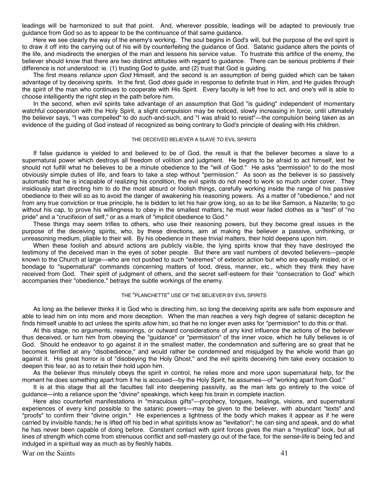leadings will be harmonized to suit that point. And, wherever possible, leadings will be adapted to previously true guidance from God so as to appear to be the continuance of that same guidance.

Here we see clearly the way of the enemy's working. The soul begins in God's will, but the purpose of the evil spirit is to draw it off into the carrying out of his will by counterfeiting the guidance of God. Satanic guidance alters the points of the life, and misdirects the energies of the man and lessens his service value. To frustrate this artifice of the enemy, the believer should know that there are two distinct attitudes with regard to guidance. There can be serious problems if their difference is not understood: ie*.* (1) trusting God to guide, and (2) trust that God is guiding.

The first means *reliance upon God* Himself, and the second is an assumption of being guided which can be taken advantage of by deceiving spirits. In the first, God *does* guide in response to definite trust in Him, and He guides through the spirit of the man who continues to cooperate with His Spirit. Every faculty is left free to act, and one's will is able to choose intelligently the right step in the path before him.

In the second, when evil spirits take advantage of an assumption that God "is guiding" independent of momentary watchful cooperation with the Holy Spirit, a slight compulsion may be noticed, slowly increasing in force, until ultimately the believer says, "I was compelled" to do such-and-such, and "I was afraid to resist"—the compulsion being taken as an evidence of the guiding of God instead of recognized as being contrary to God's principle of dealing with His children.

## THE DECEIVED BELIEVER A SLAVE TO EVIL SPIRITS

If false guidance is yielded to and believed to be of God, the result is that the believer becomes a slave to a supernatural power which destroys all freedom of volition and judgment. He begins to be afraid to act himself, lest he should not fulfill what he believes to be a minute obedience to the "will of God." He asks "permission" to do the most obviously simple duties of life, and fears to take a step without "permission." As soon as the believer is so passively automatic that he is incapable of realizing his condition, the evil spirits do not need to work so much under cover. They insidiously start directing him to do the most absurd or foolish things, carefully working inside the range of his passive obedience to their will so as to avoid the danger of awakening his reasoning powers. As a matter of "obedience," and not from any true conviction or true principle, he is bidden to let his hair grow long, so as to be like Samson, a Nazarite; to go without his cap, to prove his willingness to obey in the smallest matters; he must wear faded clothes as a "test" of "no pride" and a "crucifixion of self," or as a mark of "implicit obedience to God."

These things may seem trifles to others, who use their reasoning powers, but they become great issues in the purpose of the deceiving spirits, who, by these directions, aim at making the believer a passive, unthinking, or unreasoning medium, pliable to their will. By his obedience in these trivial matters, their hold deepens upon him.

When these foolish and absurd actions are publicly visible, the lying spirits know that they have destroyed the testimony of the deceived man in the eyes of sober people. But there are vast numbers of devoted believers—people known to the Church at large—who are not pushed to such "extremes" of exterior action but who are equally misled, or in bondage to "supernatural" commands concerning matters of food, dress, manner, etc., which they think they have received from God. Their spirit of judgment of others, and the secret self-esteem for their "consecration to God" which accompanies their "obedience," betrays the subtle workings of the enemy.

## THE "PLANCHETTE" USE OF THE BELIEVER BY EVIL SPIRITS

As long as the believer thinks it is God who is directing him, so long the deceiving spirits are safe from exposure and able to lead him on into more and more deception. When the man reaches a very high degree of satanic deception he finds himself unable to act unless the spirits *allow* him, so that he no longer even asks for "permission" to do this or that.

At this stage, no arguments, reasonings, or outward considerations of any kind influence the actions of the believer thus deceived, or turn him from obeying the "guidance" or "permission" of the inner voice, which he fully believes is of God. Should he endeavor to go against it in the smallest matter, the condemnation and suffering are so great that he becomes terrified at any "disobedience," and would rather be condemned and misjudged by the whole world than go against it. His great horror is of "disobeying the Holy Ghost," and the evil spirits deceiving him take every occasion to deepen this fear, so as to retain their hold upon him.

As the believer thus minutely obeys the spirit in control, he relies more and more upon supernatural help, for the moment he does something apart from it he is accused—by the Holy Spirit, he assumes—of "working apart from God."

It is at this stage that all the faculties fall into deepening passivity, as the man lets go entirely to the voice of guidance—into a reliance upon the "divine" speakings, which keep his brain in complete inaction.

Here also counterfeit manifestations in "miraculous gifts"—prophecy, tongues, healings, visions, and supernatural experiences of every kind possible to the satanic powers—may be given to the believer, with abundant "texts" and "proofs" to confirm their "divine origin." He experiences a lightness of the body which makes it appear as if he were carried by invisible hands; he is lifted off his bed in what spiritists know as "levitation"; he can sing and speak, and do what he has never been capable of doing before. Constant contact with spirit forces gives the man a "mystical" look, but all lines of strength which come from strenuous conflict and self-mastery go out of the face, for the *sense-life* is being fed and indulged in a spiritual way as much as by fleshly habits.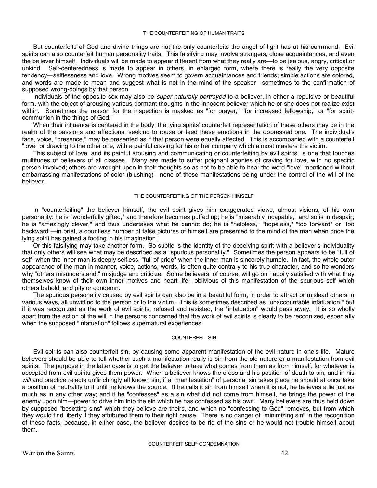#### THE COUNTERFEITING OF HUMAN TRAITS

But counterfeits of God and divine things are not the only counterfeits the angel of light has at his command. Evil spirits can also counterfeit human personality traits. This falsifying may involve strangers, close acquaintances, and even the believer himself. Individuals will be made to appear different from what they really are—to be jealous, angry, critical or unkind. Self-centeredness is made to appear in others, in enlarged form, where there is really the very opposite tendency—selflessness and love. Wrong motives seem to govern acquaintances and friends; simple actions are colored, and words are made to mean and suggest what is not in the mind of the speaker—sometimes to the confirmation of supposed wrong-doings by that person.

Individuals of the opposite sex may also be *super-naturally portrayed* to a believer, in either a repulsive or beautiful form, with the object of arousing various dormant thoughts in the innocent believer which he or she does not realize exist within. Sometimes the reason for the inspection is masked as "for prayer," "for increased fellowship," or "for spiritcommunion in the things of God."

When their influence is centered in the body, the lying spirits' counterfeit representation of these others may be in the realm of the passions and affections, seeking to rouse or feed these emotions in the oppressed one. The individual's face, voice, "presence," may be presented as if that person were equally affected. This is accompanied with a counterfeit "love" or drawing to the other one, with a painful craving for his or her company which almost masters the victim.

This subject of love, and its painful arousing and communicating or counterfeiting by evil spirits, is one that touches multitudes of believers of all classes. Many are made to suffer poignant agonies of craving for love, with no specific person involved; others are wrought upon in their thoughts so as not to be able to hear the word "love" mentioned without embarrassing manifestations of color (blushing)—none of these manifestations being under the control of the will of the believer.

#### THE COUNTERFEITING OF THE PERSON HIMSELF

In "counterfeiting" the believer himself, the evil spirit gives him exaggerated views, almost visions, of his own personality: he is "wonderfully gifted," and therefore becomes puffed up; he is "miserably incapable," and so is in despair; he is "amazingly clever," and thus undertakes what he cannot do; he is "helpless," "hopeless," "too forward" or "too backward"—in brief, a countless number of false pictures of himself are presented to the mind of the man when once the lying spirit has gained a footing in his imagination.

Or this falsifying may take another form. So subtle is the identity of the deceiving spirit with a believer's individuality that only others will see what may be described as a "spurious personality." Sometimes the person appears to be "full of self" when the inner man is deeply selfless, "full of pride" when the inner man is sincerely humble. In fact, the whole outer appearance of the man in manner, voice, actions, words, is often quite contrary to his true character, and so he wonders why "others misunderstand," misjudge and criticize. Some believers, of course, will go on happily satisfied with what they themselves know of their own inner motives and heart life-oblivious of this manifestation of the spurious self which others behold, and pity or condemn.

The spurious personality caused by evil spirits can also be in a beautiful form, in order to attract or mislead others in various ways, all unwitting to the person or to the victim. This is sometimes described as "unaccountable infatuation," but if it was recognized as the work of evil spirits, refused and resisted, the "infatuation" would pass away. It is so wholly apart from the action of the will in the persons concerned that the work of evil spirits is clearly to be recognized, especially when the supposed "infatuation" follows supernatural experiences.

#### COUNTERFEIT SIN

Evil spirits can also counterfeit sin, by causing some apparent manifestation of the evil nature in one's life. Mature believers should be able to tell whether such a manifestation really is sin from the old nature or a manifestation from evil spirits. The purpose in the latter case is to get the believer to take what comes from them as from himself, for whatever is accepted from evil spirits gives them power. When a believer knows the cross and his position of death to sin, and in his will and practice rejects unflinchingly all known sin, if a "manifestation" of personal sin takes place he should at once take a position of neutrality to it until he knows the source. If he calls it sin from himself when it is not, he believes a lie just as much as in any other way; and if he "confesses" as a sin what did not come from himself, he brings the power of the enemy upon him—power to drive him into the sin which he has confessed as his own. Many believers are thus held down by supposed "besetting sins" which they believe are theirs, and which no "confessing to God" removes, but from which they would find liberty if they attributed them to their right cause. There is no danger of "minimizing sin" in the recognition of these facts, because, in either case, the believer desires to be rid of the sins or he would not trouble himself about them.

COUNTERFEIT SELF-CONDEMNATION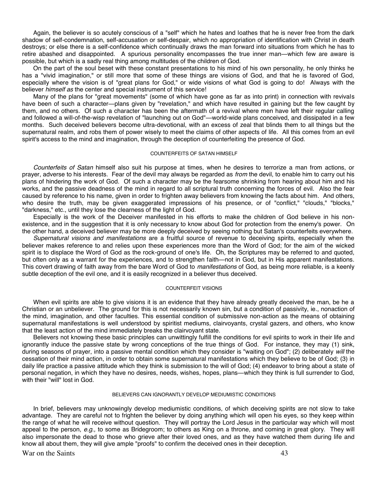Again, the believer is so acutely conscious of a "self" which he hates and loathes that he is never free from the dark shadow of self-condemnation, self-accusation or self-despair, which no appropriation of identification with Christ in death destroys; or else there is a self-confidence which continually draws the man forward into situations from which he has to retire abashed and disappointed. A spurious personality encompasses the true inner man—which few are aware is possible, but which is a sadly real thing among multitudes of the children of God.

On the part of the soul beset with these constant presentations to his mind of his own personality, he only thinks he has a "vivid imagination," or still more that some of these things are visions of God, and that he is favored of God, especially where the vision is of "great plans for God," or wide visions of what God is going to do! Always with the believer *himself as* the center and special instrument of this service!

Many of the plans for "great movements" (some of which have gone as far as into print) in connection with revivals have been of such a character—plans given by "revelation," and which have resulted in gaining but the few caught by them, and no others. Of such a character has been the aftermath of a revival where men have left their regular calling and followed a will-of-the-wisp revelation of "launching out on God"—world-wide plans conceived, and dissipated in a few months. Such deceived believers become ultra-devotional, with an excess of zeal that blinds them to all things but the supernatural realm, and robs them of power wisely to meet the claims of other aspects of life. All this comes from an evil spirit's access to the mind and imagination, through the deception of counterfeiting the presence of God.

## COUNTERFEITS OF SATAN HIMSELF

*Counterfeits of Satan* himself also suit his purpose at times, when he desires to terrorize a man from actions, or prayer, adverse to his interests. Fear of the devil may always be regarded as *from* the devil, to enable him to carry out his plans of hindering the work of God. Of such a character may be the fearsome shrinking from hearing about him and his works, and the passive deadness of the mind in regard to all scriptural truth concerning the forces of evil. Also the fear caused by reference to his name, given in order to frighten away believers from knowing the facts about him. And others, who desire the truth, may be given exaggerated impressions of his presence, or of "conflict," "clouds," "blocks," "darkness," etc., until they lose the clearness of the light of God.

Especially is the work of the Deceiver manifested in his efforts to make the children of God believe in his nonexistence, and in the suggestion that it is only necessary to know about God for protection from the enemy's power. On the other hand, a deceived believer may be more deeply deceived by seeing nothing but Satan's counterfeits everywhere.

*Supernatural visions and manifestations* are a fruitful source of revenue to deceiving spirits, especially when the believer makes reference to and relies upon these experiences more than the Word of God; for the aim of the wicked spirit is to displace the Word of God as the rock-ground of one's life. Oh, the Scriptures may be referred to and quoted, but often only as a warrant for the experiences, and to strengthen faith—not in God, but in His apparent manifestations. This covert drawing of faith away from the bare Word of God to *manifestations* of God, as being more reliable, is a keenly subtle deception of the evil one, and it is easily recognized in a believer thus deceived.

#### COUNTERFEIT VISIONS

When evil spirits are able to give visions it is an evidence that they have already greatly deceived the man, be he a Christian or an unbeliever. The ground for this is not necessarily known sin, but a condition of passivity, ie., nonaction of the mind, imagination, and other faculties. This essential condition of submissive non-action as the means of obtaining supernatural manifestations is well understood by spiritist mediums, clairvoyants, crystal gazers, and others, who know that the least action of the mind immediately breaks the clairvoyant state.

Believers not knowing these basic principles can unwittingly fulfill the conditions for evil spirits to work in their life and ignorantly induce the passive state by wrong conceptions of the true things of God. For instance, they may (1) sink, during seasons of prayer, into a passive mental condition which they consider is "waiting on God"; (2) deliberately *will* the cessation of their mind action, in order to obtain some supernatural manifestations which they believe to be of God; (3) in daily life practice a passive attitude which they think is submission to the will of God; (4) endeavor to bring about a state of personal negation, in which they have no desires, needs, wishes, hopes, plans—which they think is full surrender to God, with their "will" lost in God.

#### BELIEVERS CAN IGNORANTLY DEVELOP MEDIUMISTIC CONDITIONS

In brief, believers may unknowingly develop mediumistic conditions, of which deceiving spirits are not slow to take advantage. They are careful not to frighten the believer by doing anything which will open his eyes, so they keep within the range of what he will receive without question. They will portray the Lord Jesus in the particular way which will most appeal to the person, *e.g.,* to some as Bridegroom; to others as King on a throne, and coming in great glory. They will also impersonate the dead to those who grieve after their loved ones, and as they have watched them during life and know all about them, they will give ample "proofs" to confirm the deceived ones in their deception.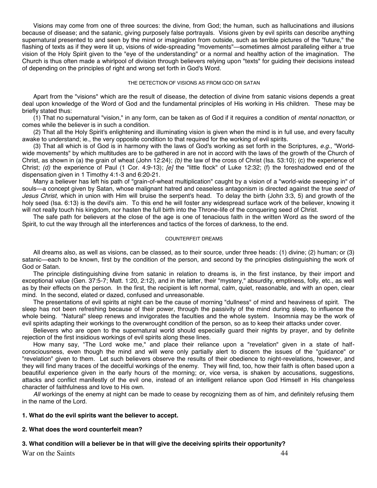Visions may come from one of three sources: the divine, from God; the human, such as hallucinations and illusions because of disease; and the satanic, giving purposely false portrayals. Visions given by evil spirits can describe anything supernatural presented to and seen by the mind or imagination from outside, such as terrible pictures of the "future," the flashing of texts as if they were lit up, visions of wide-spreading "movements"—sometimes almost paralleling either a true vision of the Holy Spirit given to the "eye of the understanding" or a normal and healthy action of the imagination. The Church is thus often made a whirlpool of division through believers relying upon "texts" for guiding their decisions instead of depending on the principles of right and wrong set forth in God's Word.

## THE DETECTION OF VISIONS AS FROM GOD OR SATAN

Apart from the "visions" which are the result of disease, the detection of divine from satanic visions depends a great deal upon knowledge of the Word of God and the fundamental principles of His working in His children. These may be briefly stated thus:

(1) That no supernatural "vision," in any form, can be taken as of God if it requires a condition of *mental nonactton,* or comes while the believer is in such a condition.

(2) That all the Holy Spirit's enlightening and illuminating vision is given when the mind is in full use, and every faculty awake to understand; ie., the very opposite condition to that required for the working of evil spirits.

(3) That all which is of God is in harmony with the laws of God's working as set forth in the Scriptures, *e.g.,* "Worldwide movements" by which multitudes are to be gathered in are not in accord with the laws of the growth of the Church of Christ, as shown in (a) the grain of wheat (John 12:24); *(b)* the law of the cross of Christ (Isa. 53:10); (c) the experience of Christ; *(d)* the experience of Paul (1 Cor. 4:9-13); *[e]* the "little flock" of Luke 12:32; (f) the foreshadowed end of the dispensation given in 1 Timothy 4:1-3 and 6:20-21.

Many a believer has left his path of "grain-of-wheat multiplication" caught by a vision of a "world-wide sweeping in" of souls—a concept given by Satan, whose malignant hatred and ceaseless antagonism is directed against the true *seed of Jesus Christ,* which in union with Him will bruise the serpent's head. To delay the birth (John 3:3, 5) and growth of the holy seed (Isa. 6:13) is the devil's aim. To this end he will foster any widespread surface work of the believer, knowing it will not really touch his kingdom, nor hasten the full birth into the Throne-life of the conquering seed of Christ.

The safe path for believers at the close of the age is one of tenacious faith in the written Word as the sword of the Spirit, to cut the way through all the interferences and tactics of the forces of darkness, to the end.

## COUNTERFEIT DREAMS

All dreams also, as well as visions, can be classed, as to their source, under three heads: (1) divine; (2) human; or (3) satanic—each to be known, first by the condition of the person, and second by the principles distinguishing the work of God or Satan.

The principle distinguishing divine from satanic in relation to dreams is, in the first instance, by their import and exceptional value (Gen. 37:5-7; Matt. 1:20, 2:12), and in the latter, their "mystery," absurdity, emptiness, folly, etc., as well as by their effects on the person. In the first, the recipient is left normal, calm, quiet, reasonable, and with an open, clear mind. In the second, elated or dazed, confused and unreasonable.

The presentations of evil spirits at night can be the cause of morning "dullness" of mind and heaviness of spirit. The sleep has not been refreshing because of their power, through the passivity of the mind during sleep, to influence the whole being. "Natural" sleep renews and invigorates the faculties and the whole system. Insomnia may be the work of evil spirits adapting their workings to the overwrought condition of the person, so as to keep their attacks under cover.

Believers who are open to the supernatural world should especially guard their nights by prayer, and by definite rejection of the first insidious workings of evil spirits along these lines.

How many say, "The Lord woke me," and place their reliance upon a "revelation" given in a state of halfconsciousness, even though the mind and will were only partially alert to discern the issues of the "guidance" or "revelation" given to them. Let such believers observe the results of their obedience to night-revelations, however, and they will find many traces of the deceitful workings of the enemy. They will find, too, how their faith is often based upon a beautiful experience given in the early hours of the morning; or, vice versa, is shaken by accusations, suggestions, attacks and conflict manifestly of the evil one, instead of an intelligent reliance upon God Himself in His changeless character of faithfulness and love to His own.

*All* workings of the enemy at night can be made to cease by recognizing them as of him, and definitely refusing them in the name of the Lord.

## **1. What do the evil spirits want the believer to accept.**

# **2. What does the word counterfeit mean?**

# **3. What condition will a believer be in that will give the deceiving spirits their opportunity?**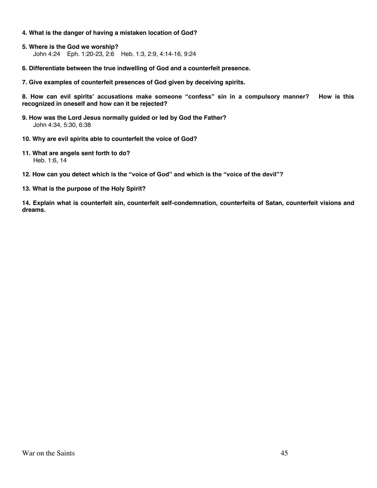# **4. What is the danger of having a mistaken location of God?**

- **5. Where is the God we worship?**  John 4:24 Eph. 1:20-23, 2:6 Heb. 1:3, 2:9, 4:14-16, 9:24
- **6. Differentiate between the true indwelling of God and a counterfeit presence.**
- **7. Give examples of counterfeit presences of God given by deceiving spirits.**

**8. How can evil spirits**' accusations make someone "confess" sin in a compulsory manner? How is this **recognized in oneself and how can it be rejected?** 

- **9. How was the Lord Jesus normally guided or led by God the Father?**  John 4:34, 5:30, 6:38
- **10. Why are evil spirits able to counterfeit the voice of God?**
- **11. What are angels sent forth to do?**  Heb. 1:6, 14
- **12. How can you detect** which is the "voice of God" and which is the "voice of the devil"?
- **13. What is the purpose of the Holy Spirit?**

**14. Explain what is counterfeit sin, counterfeit self-condemnation, counterfeits of Satan, counterfeit visions and dreams.**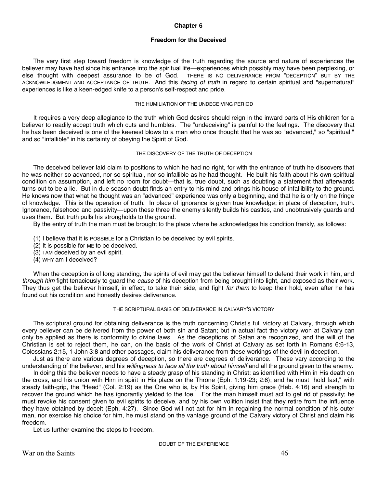# **Chapter 6**

# **Freedom for the Deceived**

The very first step toward freedom is knowledge of the truth regarding the source and nature of experiences the believer may have had since his entrance into the spiritual life—experiences which possibly may have been perplexing, or else thought with deepest assurance to be of God. THERE IS NO DELIVERANCE FROM "DECEPTION" BUT BY THE ACKNOWLEDGMENT AND ACCEPTANCE OF TRUTH. And this *facing of truth* in regard to certain spiritual and "supernatural" experiences is like a keen-edged knife to a person's self-respect and pride.

## THE HUMILIATION OF THE UNDECEIVING PERIOD

It requires a very deep allegiance to the truth which God desires should reign in the inward parts of His children for a believer to readily accept truth which cuts and humbles. The "undeceiving" is painful to the feelings. The discovery that he has been deceived is one of the keenest blows to a man who once thought that he was so "advanced," so "spiritual," and so "infallible" in his certainty of obeying the Spirit of God.

## THE DISCOVERY OF THE TRUTH OF DECEPTION

The deceived believer laid claim to positions to which he had no right, for with the entrance of truth he discovers that he was neither so advanced, nor so spiritual, nor so infallible as he had thought. He built his faith about his own spiritual condition on assumption, and left no room for doubt—that is, true doubt, such as doubting a statement that afterwards turns out to be a lie. But in due season doubt finds an entry to his mind and brings his house of infallibility to the ground. He knows now that what he thought was an "advanced" experience was only a beginning, and that he is only on the fringe of knowledge. This is the operation of truth. In place of ignorance is given true knowledge; in place of deception, truth. Ignorance, falsehood and passivity—upon these three the enemy silently builds his castles, and unobtrusively guards and uses them. But truth pulls his strongholds to the ground.

By the entry of truth the man must be brought to the place where he acknowledges his condition frankly, as follows:

- (1) I believe that it is POSSIBLE for a Christian to be deceived by evil spirits.
- (2) It is possible for ME to be deceived.
- (3) I AM deceived by an evil spirit.
- (4) WHY am I deceived?

When the deception is of long standing, the spirits of evil may get the believer himself to defend their work in him, and *through him* fight tenaciously to guard the *cause* of his deception from being brought into light, and exposed as their work. They thus get the believer himself, in effect, to take their side, and fight *for them* to keep their hold, even after he has found out his condition and honestly desires deliverance.

## THE SCRIPTURAL BASIS OF DELIVERANCE IN CALVARY'S VICTORY

The scriptural ground for obtaining deliverance is the truth concerning Christ's full victory at Calvary, through which every believer can be delivered from the power of both sin and Satan; but in actual fact the victory won at Calvary can only be applied as there is conformity to divine laws. As the deceptions of Satan are recognized, and the will of the Christian is set to reject them, he can, on the basis of the work of Christ at Calvary as set forth in Romans 6:6-13, Colossians 2:15, 1 John 3:8 and other passages, claim his deliverance from these workings of the devil in deception.

Just as there are various degrees of deception, so there are degrees of deliverance. These vary according to the understanding of the believer, and his *willingness to face all the truth about himself* and all the ground given to the enemy.

In doing this the believer needs to have a steady grasp of his standing in Christ: as identified with Him in His death on the cross, and his union with Him in spirit in His place on the Throne (Eph. 1:19-23; 2:6); and he must "hold fast," with steady faith-grip, the "Head" (Col. 2:19) as the One who is, by His Spirit, giving him grace (Heb. 4:16) and strength to recover the ground which he has ignorantly yielded to the foe. For the man himself must act to get rid of passivity; he must revoke his consent given to evil spirits to deceive, and by his own volition insist that they retire from the influence they have obtained by deceit (Eph. 4:27). Since God will not act for him in regaining the normal condition of his outer man, nor exercise his choice for him, he must stand on the vantage ground of the Calvary victory of Christ and claim his freedom.

Let us further examine the steps to freedom.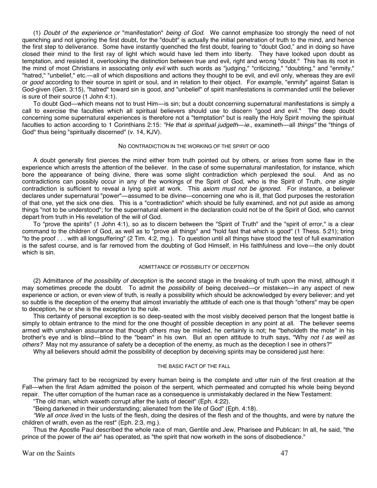(1) *Doubt of the experience or* "manifestation" *being of God.* We cannot emphasize too strongly the need of not quenching and not ignoring the first doubt, for the "doubt" is actually the initial penetration of truth to the mind, and hence the first step to deliverance. Some have instantly quenched the first doubt, fearing to "doubt God," and in doing so have closed their mind to the first ray of light which would have led them into liberty. They have looked upon doubt as temptation, and resisted it, overlooking the distinction between true and evil, right and wrong "doubt." This has its root in the mind of most Christians in associating only *evil* with such words as "judging," "criticizing," "doubting," and "enmity," "hatred," "unbelief," etc.—all of which dispositions and actions they thought to be evil, and evil only, whereas they are evil or *good* according to their source in spirit or soul, and in relation to their object. For example, "enmity" against Satan is God-given (Gen. 3:15), "hatred" toward sin is good, and "unbelief" of spirit manifestations is commanded until the believer is sure of their source (1 John 4:1).

To doubt God—which means not to trust Him—is sin; but a doubt concerning supernatural manifestations is simply a call to exercise the faculties which all spiritual believers should use to discern "good and evil." The deep doubt concerning some supernatural experiences is therefore not a "temptation" but is really the Holy Spirit moving the spiritual faculties to action according to 1 Corinthians 2:15: "He that is spiritual judgeth—ie., examineth—all *things*" the "things of God" thus being "spiritually discerned" (v. 14, KJV).

## No CONTRADICTION IN THE WORKING OF THE SPIRIT OF GOD

A doubt generally first pierces the mind either from truth pointed out by others, or arises from some flaw in the experience which arrests the attention of the believer. In the case of some supernatural manifestation, for instance, which bore the appearance of being divine, there was some slight contradiction which perplexed the soul. And as no contradictions can possibly occur in any of the workings of the Spirit of God, who is the Spirit of Truth, *one single*  contradiction is sufficient to reveal a lying spirit at work. This *axiom must not be ignored.* For instance, a believer declares under supernatural "power"—assumed to be divine—concerning one who is ill, that God purposes the restoration of that one, yet the sick one dies. This is a "contradiction" which should be fully examined, and not put aside as among things "not to be understood"; for the supernatural element in the declaration could not be of the Spirit of God, who cannot depart from truth in His revelation of the will of God.

To "prove the spirits" (1 John 4:1), so as to discern between the "Spirit of Truth" and the "spirit of error," is a clear command to the children of God, as well as to "prove all things" and "hold fast that which is good" (1 Thess. 5:21); bring "to the proof . . . with all longsuffering" (2 Tim. 4:2, mg.). To question until all things have stood the test of full examination is the safest course, and is far removed from the doubting of God Himself, in His faithfulness and love—the only doubt which is sin.

#### ADMITTANCE OF POSSIBILITY OF DECEPTION

(2) Admittance *of the possibility of deception* is the second stage in the breaking of truth upon the mind, although it may sometimes precede the doubt. To admit the *possibility* of being deceived—or mistaken—in any aspect of new experience or action, or even view of truth, is really a possibility which should be acknowledged by every believer; and yet so subtle is the deception of the enemy that almost invariably the attitude of each one is that though "others" may be open to deception, he or she is the exception to the rule.

This certainty of personal exception is so deep-seated with the most visibly deceived person that the longest battle is simply to obtain entrance to the mind for the one thought of possible deception in any point at all. The believer seems armed with unshaken assurance that though others may be misled, he certainly is not; he "beholdeth the mote" in his brother's eye and is blind—blind to the "beam" in his own. But an open attitude to truth says, "Why *not I as well as others?* May not my assurance of safety be a deception of the enemy, as much as the deception I see in others?"

Why all believers should admit the possibility of deception by deceiving spirits may be considered just here:

## THE BASIC FACT OF THE FALL

The primary fact to be recognized by every human being is the complete and utter ruin of the first creation at the Fall—when the first Adam admitted the poison of the serpent, which permeated and corrupted his whole being beyond repair. The utter corruption of the human race as a consequence is unmistakably declared in the New Testament:

³The old man, which waxeth corrupt after the lusts of deceit" (Eph. 4:22).

"Being darkened in their understanding; alienated from the life of God" (Eph. 4:18).

*"We all once lived* in the lusts of the flesh, doing the desires of the flesh and of the thoughts, and were by nature the children of wrath, even as the rest" (Eph. 2:3, mg.).

Thus the Apostle Paul described the whole race of man, Gentile and Jew, Pharisee and Publican: In all, he said, "the prince of the power of the air" has operated, as "the spirit that now worketh in the sons of disobedience."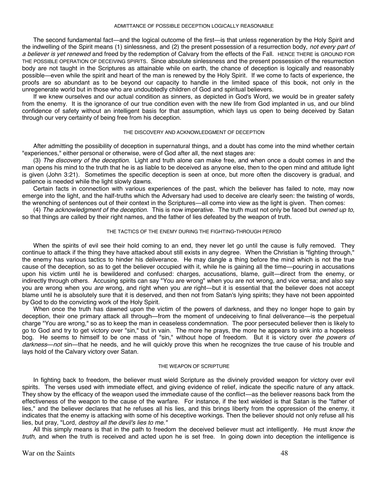The second fundamental fact—and the logical outcome of the first—is that unless regeneration by the Holy Spirit and the indwelling of the Spirit means (1) sinlessness, and (2) the present possession of a resurrection body, *not every part of a believer is yet renewed* and freed by the redemption of Calvary from the effects of the Fall. HENCE THERE is GROUND FOR THE POSSIBLE OPERATION OF DECEIVING SPIRITS. Since absolute sinlessness and the present possession of the resurrection body are not taught in the Scriptures as attainable while on earth, the chance of deception is logically and reasonably possible—even while the spirit and heart of the man is renewed by the Holy Spirit. If we come to facts of experience, the proofs are so abundant as to be beyond our capacity to handle in the limited space of this book, not only in the unregenerate world but in those who are undoubtedly children of God and spiritual believers.

If we knew ourselves and our actual condition as sinners, as depicted in God's Word, we would be in greater safety from the enemy. It is the ignorance of our true condition even with the new life from God implanted in us, and our blind confidence of safety without an intelligent basis for that assumption, which lays us open to being deceived by Satan through our very certainty of being free from his deception.

# THE DISCOVERY AND ACKNOWLEDGMENT OF DECEPTION

After admitting the possibility of deception in supernatural things, and a doubt has come into the mind whether certain "experiences," either personal or otherwise, were of God after all, the next stages are:

(3) *The discovery of the deception.* Light and truth alone can make free, and when once a doubt comes in and the man opens his mind to the truth that he is as liable to be deceived as anyone else, then to the open mind and attitude light is given (John 3:21). Sometimes the specific deception is seen at once, but more often the discovery is gradual, and patience is needed while the light slowly dawns.

Certain facts in connection with various experiences of the past, which the believer has failed to note, may now emerge into the light, and the half-truths which the Adversary had used to deceive are clearly seen: the twisting of words, the wrenching of sentences out of their context in the Scriptures—all come into view as the light is given. Then comes:

(4) *The acknowledgment of the deception.* This is now imperative. The truth must not only be faced but *owned up to,*  so that things are called by their right names, and the father of lies defeated by the weapon of truth.

## THE TACTICS OF THE ENEMY DURING THE FIGHTING-THROUGH PERIOD

When the spirits of evil see their hold coming to an end, they never let go until the cause is fully removed. They continue to attack if the thing they have attacked about still exists in any degree. When the Christian is "fighting through," the enemy has various tactics to hinder his deliverance. He may dangle a thing before the mind which is not the true cause of the deception, so as to get the believer occupied with it, while he is gaining all the time—pouring in accusations upon his victim until he is bewildered and confused: charges, accusations, blame, guilt—direct from the enemy, or indirectly through others. Accusing spirits can say "You are wrong" when you are not wrong, and vice versa; and also say you are wrong when you *are* wrong, and right when you *are* right—but it is essential that the believer does not accept blame until he is absolutely sure that it is deserved, and then not from Satan's lying spirits; they have not been appointed by God to do the convicting work of the Holy Spirit.

When once the truth has dawned upon the victim of the powers of darkness, and they no longer hope to gain by deception, their one primary attack all through—from the moment of undeceiving to final deliverance—is the perpetual charge "You are wrong," so as to keep the man in ceaseless condemnation. The poor persecuted believer then is likely to go to God and try to get victory over "sin," but in vain. The more he prays, the more he appears to sink into a hopeless bog. He seems to himself to be one mass of "sin," without hope of freedom. But it is victory over *the powers of*  darkness—not sin—that he needs, and he will quickly prove this when he recognizes the true cause of his trouble and lays hold of the Calvary victory over Satan.

#### THE WEAPON OF SCRIPTURE

In fighting back to freedom, the believer must wield Scripture as the divinely provided weapon for victory over evil spirits. The verses used with immediate effect, and giving evidence of relief, indicate the specific nature of any attack. They show by the efficacy of the weapon used the immediate cause of the conflict—as the believer reasons back from the effectiveness of the weapon to the cause of the warfare. For instance, if the text wielded is that Satan is the "father of lies," and the believer declares that he refuses all his lies, and this brings liberty from the oppression of the enemy, it indicates that the enemy is attacking with some of his deceptive workings. Then the believer should not only refuse all his lies, but pray, "Lord, *destroy all the devil's lies to me."*

All this simply means is that in the path to freedom the deceived believer must act intelligently. He must *know the truth,* and when the truth is received and acted upon he is set free. In going down into deception the intelligence is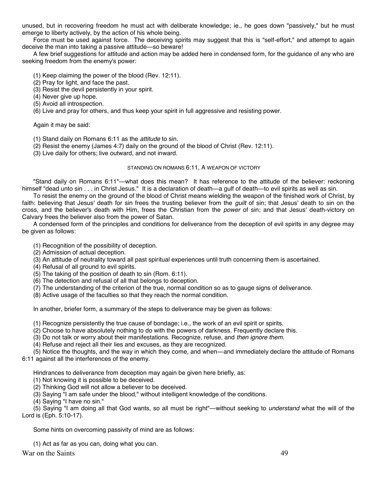unused, but in recovering freedom he must act with deliberate knowledge; ie., he goes down "passively," but he must emerge to liberty actively, by the action of his whole being.

Force must be used against force. The deceiving spirits may suggest that this is "self-effort," and attempt to again deceive the man into taking a passive attitude-so beware!

A few brief suggestions for attitude and action may be added here in condensed form, for the guidance of any who are seeking freedom from the enemy's power:

(1) Keep claiming the power of the blood (Rev. 12:11).

(2) Pray for light, and face the past.

(3) Resist the devil persistently in your spirit.

(4) Never give up hope.

(5) Avoid all introspection.

(6) Live and pray for others, and thus keep your spirit in full aggressive and resisting power.

Again it may be said:

(1) Stand daily on Romans 6:11 as the *attitude* to sin.

(2) Resist the enemy (James 4:7) daily on the ground of the blood of Christ (Rev. 12:11).

(3) Live daily for others; live outward, and not inward.

# STANDING ON ROMANS 6:11, A WEAPON OF VICTORY

"Stand daily on Romans 6:11"—what does this mean? It has reference to the attitude of the believer: reckoning himself "dead unto sin . . . in Christ Jesus." It is a declaration of death—a gulf of death—to evil spirits as well as sin.

To resist the enemy on the ground of the blood of Christ means wielding the weapon of the finished work of Christ, by faith: believing that Jesus' death for sin frees the trusting believer from the *guilt* of sin; that Jesus' death to sin on the cross, and the believer's death with Him, frees the Christian from the *power* of sin; and that Jesus' death-victory on Calvary frees the believer also from the power of Satan.

A condensed form of the principles and conditions for deliverance from the deception of evil spirits in any degree may be given as follows:

(1) Recognition of the possibility of deception.

(2) Admission of actual deception.

(3) An attitude of neutrality toward all past spiritual experiences until truth concerning them is ascertained.

(4) Refusal of all ground to evil spirits.

(5) The taking of the position of death to sin (Rom. 6:11).

(6) The detection and refusal of all that belongs to deception.

(7) The understanding of the criterion of the true, normal condition so as to gauge signs of deliverance.

(8) Active usage of the faculties so that they reach the normal condition.

In another, briefer form, a summary of the steps to deliverance may be given as follows:

(1) Recognize persistently the true cause of bondage; i.e.*,* the work of an evil spirit or spirits.

(2) Choose to have absolutely nothing to do with the powers of darkness. Frequently declare this.

(3) Do not talk or worry about their manifestations. Recognize, refuse, and *then ignore them.*

(4) Refuse and reject all their lies and excuses, as they are recognized.

(5) Notice the thoughts, and the way in which they come, and when—and immediately declare the attitude of Romans

6:11 against all the interferences of the enemy.

Hindrances to deliverance from deception may again be given here briefly, as:

(1) Not knowing it is possible to be deceived.

(2) Thinking God will not allow a believer to be deceived.

(3) Saying "I am safe under the blood," without intelligent knowledge of the conditions.

(4) Saying "I have no sin."

(5) Saying "I am doing all that God wants, so all must be right"—without seeking to *understand* what the will of the Lord is (Eph. 5:10-17).

Some hints on overcoming passivity of mind are as follows:

(1) Act as far as you can, doing what you can.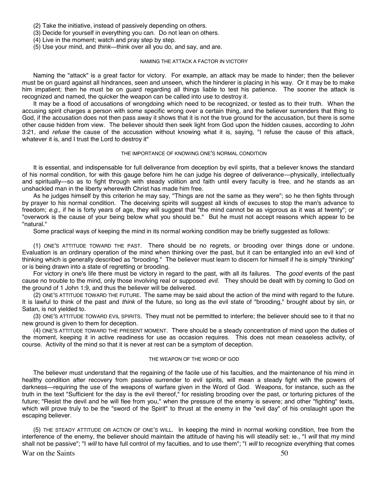(2) Take the initiative, instead of passively depending on others.

(3) Decide for yourself in everything you can. Do not lean on others.

(4) Live in the moment; watch and pray step by step.

(5) Use your mind, and *think*—think over all you do, and say, and are.

## NAMING THE ATTACK A FACTOR IN VICTORY

Naming the "attack" is a great factor for victory. For example, an attack may be made to hinder; then the believer must be on guard against all hindrances, seen and unseen, which the hinderer is placing in his way. Or it may be to make him impatient; then he must be on guard regarding all things liable to test his patience. The sooner the attack is recognized and named, the quicker the weapon can be called into use to destroy it.

It may be a flood of accusations of wrongdoing which need to be recognized, or tested as to their truth. When the accusing spirit charges a person with some specific wrong over a certain thing, and the believer surrenders that thing to God, if the accusation does not then pass away it shows that it is not the true ground for the accusation, but there is some other cause hidden from view. The believer should then seek light from God upon the hidden causes, according to John 3:21, and *refuse* the cause of the accusation without knowing what it is, saying, "I refuse the cause of this attack, whatever it is, and I trust the Lord to destroy it"

## THE IMPORTANCE OF KNOWING ONE'S NORMAL CONDITION

It is essential, and indispensable for full deliverance from deception by evil spirits, that a believer knows the standard of his normal condition, for with this gauge before him he can judge his degree of deliverance—physically, intellectually and spiritually—so as to fight through with steady volition and faith until every faculty is free, and he stands as an unshackled man in the liberty wherewith Christ has made him free.

As he judges himself by this criterion he may say, "Things are not the same as they were"; so he then fights through by prayer to his normal condition. The deceiving spirits will suggest all kinds of excuses to stop the man's advance to freedom; *e.g.,* if he is forty years of age, they will suggest that "the mind cannot be as vigorous as it was at twenty"; or "overwork is the cause of your being below what you should be." But he must not accept reasons which appear to be "natural."

Some practical ways of keeping the mind in its normal working condition may be briefly suggested as follows:

(1) ONE'S ATTITUDE TOWARD THE PAST. There should be no regrets, or brooding over things done or undone. Evaluation is an ordinary operation of the mind when thinking over the past, but it can be entangled into an evil kind of thinking which is generally described as "brooding." The believer must learn to discern for himself if he is simply "thinking" or is being drawn into a state of regretting or brooding.

For victory in one's life there must be victory in regard to the past, with all its failures. The *good* events of the past cause no trouble to the mind, only those involving real or supposed *evil.* They should be dealt with by coming to God on the ground of 1 John 1:9, and thus the believer will be delivered.

(2) ONE'S ATTITUDE TOWARD THE FUTURE. The same may be said about the action of the mind with regard to the future. It is lawful to think of the past and *think* of the future, so long as the evil state of "brooding," brought about by sin, or Satan, is not yielded to.

(3) ONE'S ATTITUDE TOWARD EVIL SPIRITS. They must not be permitted to interfere; the believer should see to it that no new ground is given to them for deception.

(4) ONE'S ATTITUDE TOWARD THE PRESENT MOMENT. There should be a steady concentration of mind upon the duties of the moment, keeping it in active readiness for use as occasion requires. This does not mean ceaseless activity, of course. Activity of the mind so that it is never at rest can be a symptom of deception.

# THE WEAPON OF THE WORD OF GOD

The believer must understand that the regaining of the facile use of his faculties, and the maintenance of his mind in healthy condition after recovery from passive surrender to evil spirits, will mean a steady fight with the powers of darkness—requiring the use of the weapons of warfare given in the Word of God. Weapons, for instance, such as the truth in the text "Sufficient for the day is the evil thereof," for resisting brooding over the past, or torturing pictures of the future; "Resist the devil and he will flee from you," when the pressure of the enemy is severe; and other "fighting" texts, which will prove truly to be the "sword of the Spirit" to thrust at the enemy in the "evil day" of his onslaught upon the escaping believer.

War on the Saints 50 (5) THE STEADY ATTITUDE OR ACTION OF ONE'S WILL. In keeping the mind in normal working condition, free from the interference of the enemy, the believer should maintain the attitude of having his will steadily set: ie., "I *will* that my mind shall not be passive"; "I *will* to have full control of my faculties, and to use them"; "I *will* to recognize everything that comes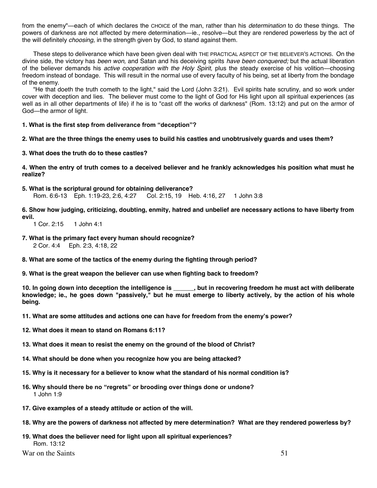from the enemy"—each of which declares the CHOICE of the man, rather than his *determination* to do these things. The powers of darkness are not affected by mere determination—ie., resolve—but they are rendered powerless by the act of the will definitely *choosing,* in the strength given by God, to stand against them.

These steps to deliverance which have been given deal with THE PRACTICAL ASPECT OF THE BELIEVER'S ACTIONS. On the divine side, the victory has *been won,* and Satan and his deceiving spirits *have been conquered;* but the actual liberation of the believer demands his *active cooperation with the Holy Spirit*, plus the steady exercise of his volition—choosing freedom instead of bondage. This will result in the normal use of every faculty of his being, set at liberty from the bondage of the enemy.

"He that doeth the truth cometh to the light," said the Lord (John 3:21). Evil spirits hate scrutiny, and so work under cover with deception and lies. The believer must come to the light of God for His light upon all spiritual experiences (as well as in all other departments of life) if he is to "cast off the works of darkness" (Rom. 13:12) and put on the armor of God-the armor of light.

**1.** What is the first step from deliverance from "deception"?

- **2. What are the three things the enemy uses to build his castles and unobtrusively guards and uses them?**
- **3. What does the truth do to these castles?**

**4. When the entry of truth comes to a deceived believer and he frankly acknowledges his position what must he realize?** 

**5. What is the scriptural ground for obtaining deliverance?** 

Rom. 6:6-13 Eph. 1:19-23, 2:6, 4:27 Col. 2:15, 19 Heb. 4:16, 27 1 John 3:8

**6. Show how judging, criticizing, doubting, enmity, hatred and unbelief are necessary actions to have liberty from evil.** 

1 Cor. 2:15 1 John 4:1

**7. What is the primary fact every human should recognize?**  2 Cor. 4:4 Eph. 2:3, 4:18, 22

**8. What are some of the tactics of the enemy during the fighting through period?** 

**9. What is the great weapon the believer can use when fighting back to freedom?** 

**10. In going down into deception the intelligence is \_\_\_\_\_\_, but in recovering freedom he must act with deliberate knowledge; ie., he goes down "passively," but he must emerge to liberty actively, by the action of his whole being.** 

- **11. What are some attitudes and actions one can h**ave for freedom from the enemy's power?
- **12. What does it mean to stand on Romans 6:11?**
- **13. What does it mean to resist the enemy on the ground of the blood of Christ?**
- **14. What should be done when you recognize how you are being attacked?**
- **15. Why is it necessary for a believer to know what the standard of his normal condition is?**
- **16.** Why should there be no "regrets" or brooding over things done or undone? 1 John 1:9
- **17. Give examples of a steady attitude or action of the will.**
- **18. Why are the powers of darkness not affected by mere determination? What are they rendered powerless by?**
- **19. What does the believer need for light upon all spiritual experiences?**  Rom. 13:12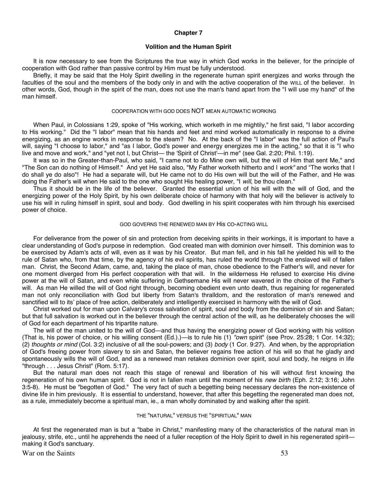### **Chapter 7**

## **Volition and the Human Spirit**

It is now necessary to see from the Scriptures the true way in which God works in the believer, for the principle of cooperation with God rather than passive control by Him must be fully understood.

Briefly, it may be said that the Holy Spirit dwelling in the regenerate human spirit energizes and works through the faculties of the soul and the members of the body only in and with the active cooperation of the WILL of the believer. In other words, God, though in the spirit of the man, does not use the man's hand apart from the "I will use my hand" of the man himself.

#### COOPERATION WITH GOD DOES NOT MEAN AUTOMATIC WORKING

When Paul, in Colossians 1:29, spoke of "His working, which worketh in me mightily," he first said, "I labor according to His working." Did the "I labor" mean that his hands and feet and mind worked automatically in response to a divine energizing, as an engine works in response to the steam? No. At the back of the "I labor" was the full action of Paul's will, saying "I choose to labor," and "as I labor, God's power and energy energizes me in the acting," so that it is "I who live and move and work," and "yet not I, but Christ— the 'Spirit of Christ'—in me" (see Gal. 2:20; Phil. 1:19).

It was so in the Greater-than-Paul, who said, "I came not to do Mine own will, but the will of Him that sent Me," and "The Son can do nothing of Himself." And yet He said also, "My Father worketh hitherto and I *work"* and "The works that I do shall ye do also"! He had a separate will, but He came not to do His own will but the will of the Father, and He was doing the Father's will when He said to the one who sought His healing power, "I *will*, be thou clean."

Thus it should be in the life of the believer. Granted the essential union of his will with the will of God, and the energizing power of the Holy Spirit, by his own deliberate choice of harmony with that holy will the believer is actively to use his will in ruling himself in spirit, soul and body. God dwelling in his spirit cooperates with him through his exercised power of choice.

#### GOD GOVERNS THE RENEWED MAN BY His CO-ACTING WILL

For deliverance from the power of sin and protection from deceiving spirits in their workings, it is important to have a clear understanding of God's purpose in redemption. God created man with dominion over himself. This dominion was to be exercised by Adam's acts of will, even as it was by his Creator. But man fell, and in his fall he yielded his will to the rule of Satan who, from that time, by the agency of his evil spirits, has ruled the world through the enslaved will of fallen man. Christ, the Second Adam, came, and, taking the place of man, chose obedience to the Father's will, and never for one moment diverged from His perfect cooperation with that will. In the wilderness He refused to exercise His divine power at the will of Satan, and even while suffering in Gethsemane His will never wavered in the choice of the Father's will. As man He willed the will of God right through, becoming obedient even unto death, thus regaining for regenerated man not only reconciliation with God but liberty from Satan's thralldom, and the restoration of man's renewed and sanctified will to its' place of free action, deliberately and intelligently exercised in harmony with the will of God.

Christ worked out for man upon Calvary's cross salvation of spirit, soul and body from the dominion of sin and Satan; but that full salvation is worked out in the believer through the central action of the will, as he deliberately chooses the will of God for each department of his tripartite nature.

The will of the man united to the will of God—and thus having the energizing power of God working with his volition (That is, his power of choice, or his willing consent (Ed.).)—is to rule his (1) "own spirit" (see Prov. 25:28; 1 Cor. 14:32); (2) *thoughts or mind* (Col. 3:2) inclusive of all the soul-powers; and (3) *body* (1 Cor. 9:27). And when, by the appropriation of God's freeing power from slavery to sin and Satan, the believer regains free action of his will so that he gladly and spontaneously wills the will of God, and as a renewed man retakes dominion over spirit, soul and body, he reigns in life "through . . . Jesus Christ" (Rom. 5:17).

But the natural man does not reach this stage of renewal and liberation of his will without first knowing the regeneration of his own human spirit. God is not in fallen man until the moment of his *new birth* (Eph. 2:12; 3:16; John 3:5-8). He must be "begotten of God." The very fact of such a begetting being necessary declares the non-existence of divine life in him previously. It is essential to understand, however, that after this begetting the regenerated man does not, as a rule, immediately become a spiritual man, ie*.,* a man wholly dominated by and walking after the spirit.

## THE "NATURAL" VERSUS THE "SPIRITUAL" MAN

At first the regenerated man is but a "babe in Christ," manifesting many of the characteristics of the natural man in jealousy, strife, etc., until he apprehends the need of a fuller reception of the Holy Spirit to dwell in his regenerated spirit making it God's sanctuary.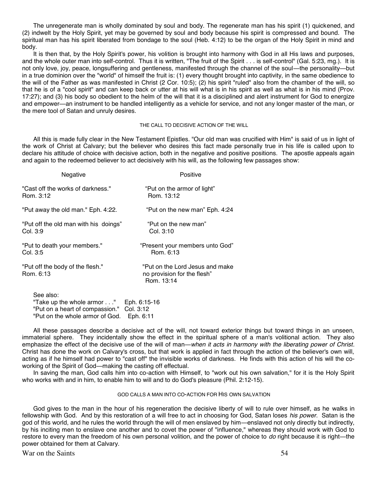The unregenerate man is wholly dominated by soul and body. The regenerate man has his spirit (1) quickened, and (2) indwelt by the Holy Spirit, yet may be governed by soul and body because his spirit is compressed and bound. The spiritual man has his spirit liberated from bondage to the soul (Heb. 4:12) to be the organ of the Holy Spirit in mind and body.

It is then that, by the Holy Spirit's power, his volition is brought into harmony with God in all His laws and purposes, and the whole outer man into self-control. Thus it is written, "The fruit of the Spirit . . . is self-control" (Gal. 5:23, mg.). It is not only love, joy, peace, longsuffering and gentleness, manifested through the channel of the soul—the personality—but in a true dominion over the "world" of himself the fruit is: (1) every thought brought into captivity, in the same obedience to the will of the Father as was manifested in Christ (2 Cor. 10:5); (2) his spirit "ruled" also from the chamber of the will, so that he is of a "cool spirit" and can keep back or utter at his will what is in his spirit as well as what is in his mind (Prov. 17:27); and (3) his body so obedient to the helm of the will that it is a disciplined and alert instrument for God to energize and empower—an instrument to be handled intelligently as a vehicle for service, and not any longer master of the man, or the mere tool of Satan and unruly desires.

#### THE CALL TO DECISIVE ACTION OF THE WILL

All this is made fully clear in the New Testament Epistles. "Our old man was crucified with Him" is said of us in light of the work of Christ at Calvary; but the believer who desires this fact made personally true in his life is called upon to declare his attitude of choice with decisive action, both in the negative and positive positions. The apostle appeals again and again to the redeemed believer to act decisively with his will, as the following few passages show:

| Negative                                            | Positive                                                                     |
|-----------------------------------------------------|------------------------------------------------------------------------------|
| "Cast off the works of darkness."<br>Rom. 3:12      | "Put on the armor of light"<br>Rom. 13:12                                    |
| "Put away the old man." Eph. 4:22.                  | "Put on the new man" Eph. 4:24                                               |
| "Put off the old man with his doings"<br>Col. 3:9   | "Put on the new man"<br>Col. 3:10                                            |
| "Put to death your members."<br>Col. 3:5            | "Present your members unto God"<br>Rom. 6:13                                 |
| "Put off the body of the flesh."<br>Rom. 6:13       | "Put on the Lord Jesus and make<br>no provision for the flesh"<br>Rom. 13:14 |
| See also:<br>"Take up the whole armor" Eph. 6:15-16 |                                                                              |

"Put on a heart of compassion." Col. 3:12 "Put on the whole armor of God. Eph. 6:11

All these passages describe a decisive act of the will, not toward exterior things but toward things in an unseen, immaterial sphere. They incidentally show the effect in the spiritual sphere of a man's volitional action. They also emphasize the effect of the decisive use of the will of man—when it acts in harmony with the liberating power of Christ. Christ has done the work on Calvary's cross, but that work is applied in fact through the action of the believer's own will, acting as if he himself had power to "cast off" the invisible works of darkness. He finds with this action of his will the coworking of the Spirit of God—making the casting off effectual.

In saving the man, God calls him into co-action with Himself, to "work out his own salvation," for it is the Holy Spirit who works with and in him, to enable him to will and to do God's pleasure (Phil. 2:12-15).

## GOD CALLS A MAN INTO CO-ACTION FOR HIS OWN SALVATION

God gives to the man in the hour of his regeneration the decisive liberty of will to rule over himself, as he walks in fellowship with God. And by this restoration of a will free to act in choosing for God, Satan loses *his power.* Satan is the god of this world, and he rules the world through the will of men enslaved by him—enslaved not only directly but indirectly, by his inciting men to enslave one another and to covet the power of "influence," whereas they should work with God to restore to every man the freedom of his own personal volition, and the power of choice to *do* right because it is right—the power obtained for them at Calvary.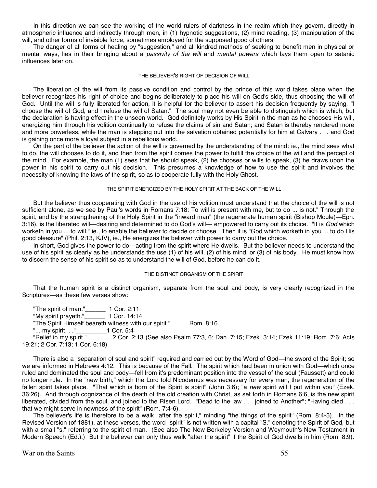In this direction we can see the working of the world-rulers of darkness in the realm which they govern, directly in atmospheric influence and indirectly through men, in (1) hypnotic suggestions, (2) mind reading, (3) manipulation of the will, and other forms of invisible force, sometimes employed for the supposed good of others.

The danger of all forms of healing by "suggestion," and all kindred methods of seeking to benefit men in physical or mental ways, lies in their bringing about a *passivity of the will* and *mental powers* which lays them open to satanic influences later on.

## THE BELIEVER'S RIGHT OF DECISION OF WILL

The liberation of the will from its passive condition and control by the prince of this world takes place when the believer recognizes his right of choice and begins deliberately to place his will on God's side, thus choosing the will of God. Until the will is fully liberated for action, it is helpful for the believer to assert his decision frequently by saying, "I choose the will of God, and I refuse the will of Satan." The soul may not even be able to distinguish which is which, but the declaration is having effect in the unseen world. God definitely works by His Spirit in the man as he chooses His will, energizing him through his volition continually to refuse the claims of sin and Satan; and Satan is thereby rendered more and more powerless, while the man is stepping out into the salvation obtained potentially for him at Calvary . . . and God is gaining once more a loyal subject in a rebellious world.

On the part of the believer the action of the will is governed by the understanding of the mind: ie*.,* the mind sees what to do, the will chooses to do it, and then from the spirit comes the power to fulfill the choice of the will and the percept of the mind. For example, the man (1) sees that he should speak, (2) he chooses or wills to speak, (3) he draws upon the power in his spirit to carry out his decision. This presumes a knowledge of how to use the spirit and involves the necessity of knowing the laws of the spirit, so as to cooperate fully with the Holy Ghost.

#### THE SPIRIT ENERGIZED BY THE HOLY SPIRIT AT THE BACK OF THE WILL

But the believer thus cooperating with God in the use of his volition must understand that the choice of the will is not sufficient alone, as we see by Paul's words in Romans 7:18: To will is present with me, but to do ... is not." Through the spirit, and by the strengthening of the Holy Spirit in the "inward man" (the regenerate human spirit (Bishop Moule)—Eph. 3:16), is the liberated will—desiring and determined to do God's will— empowered to carry out its choice. "It is *God* which worketh in you ... to will," ie*.,* to enable the believer to decide or choose. Then it is "God which worketh in you ... to do His good pleasure" (Phil. 2:13, KJV), ie*.,* He energizes the believer with power to carry out the choice.

In short, God gives the power to do—acting from the spirit where He dwells. But the believer needs to understand the use of his spirit as clearly as he understands the use (1) of his will, (2) of his mind, or (3) of his body. He must know how to discern the sense of his spirit so as to understand the will of God, before he can do it.

## THE DISTINCT ORGANISM OF THE SPIRIT

That the human spirit is a distinct organism, separate from the soul and body, is very clearly recognized in the Scriptures-as these few verses show:

"The spirit of man."\_\_\_\_\_\_ 1 Cor. 2:11

"My spirit prayeth."\_\_\_\_\_\_ 1 Cor. 14:14

³The Spirit Himself beareth witness with our spirit." \_\_\_\_\_Rom. 8:16

"... my spirit. . ."\_\_\_\_\_\_\_\_\_\_\_\_1 Cor. 5:4

"Relief in my spirit." \_\_\_\_\_\_\_2 Cor. 2:13 (See also Psalm 77:3, 6; Dan. 7:15; Ezek. 3:14; Ezek 11:19; Rom. 7:6; Acts 19:21; 2 Cor. 7:13; 1 Cor. 6:18)

There is also a "separation of soul and spirit" required and carried out by the Word of God—the sword of the Spirit; so we are informed in Hebrews 4:12. This is because of the Fall. The spirit which had been in union with God—which once ruled and dominated the soul and body-fell from it's predominant position into the vessel of the soul (Faussett) and could no longer rule. In the "new birth," which the Lord told Nicodemus was necessary for every man, the regeneration of the fallen spirit takes place. "That which is born of the Spirit is spirit" (John 3:6); "a *new* spirit will I put within you" (Ezek. 36:26). And through cognizance of the death of the old creation with Christ, as set forth in Romans 6:6, is the new spirit liberated, divided from the soul, and joined to the Risen Lord. "Dead to the law . . . joined to Another"; "Having died . . . that we might serve in newness of the spirit" (Rom. 7:4-6).

The believer's life is therefore to be a walk "after the spirit," minding "the things of the spirit" (Rom. 8:4-5). In the Revised Version (of 1881), at these verses, the word "spirit" is not written with a capital "S," denoting the Spirit of God, but with a small "s," referring to the spirit of man. (See also The New Berkeley Version and Weymouth's New Testament in Modern Speech (Ed.).) But the believer can only thus walk "after the spirit" if the Spirit of God dwells in him (Rom. 8:9).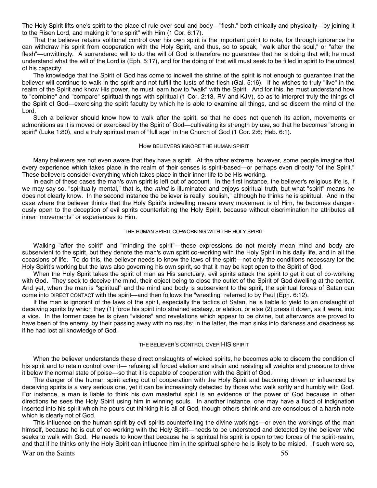The Holy Spirit lifts one's spirit to the place of rule over soul and body—"flesh," both ethically and physically—by joining it to the Risen Lord, and making it "one spirit" with Him (1 Cor. 6:17).

That the believer retains volitional control over his own spirit is the important point to note, for through ignorance he can withdraw his spirit from cooperation with the Holy Spirit, and thus, so to speak, "walk after the soul," or "after the flesh"—unwittingly. A surrendered will to do the will of God is therefore no guarantee that he is doing that will; he must understand what the will of the Lord is (Eph. 5:17), and for the doing of that will must seek to be filled in spirit to the utmost of his capacity.

The knowledge that the Spirit of God has come to indwell the shrine of the spirit is not enough to guarantee that the believer will continue to walk in the spirit and not fulfill the lusts of the flesh (Gal. 5:16). If he wishes to truly "live" in the realm of the Spirit and know His power, he must learn how to "walk" with the Spirit. And for this, he must understand how to "combine" and "compare" spiritual things with spiritual (1 Cor. 2:13, RV and KJV), so as to interpret truly the things of the Spirit of God—exercising the spirit faculty by which he is able to examine all things, and so discern the mind of the Lord.

Such a believer should know how to walk after the spirit, so that he does not quench its action, movements or admonitions as it is moved or exercised by the Spirit of God—cultivating its strength by use, so that he becomes "strong in spirit" (Luke 1:80), and a truly spiritual man of "full age" in the Church of God (1 Cor. 2:6; Heb. 6:1).

#### How BELIEVERS IGNORE THE HUMAN SPIRIT

Many believers are not even aware that they have a spirit. At the other extreme, however, some people imagine that every experience which takes place in the realm of their senses is spirit-based—or perhaps even directly "of the Spirit." These believers consider everything which takes place in their inner life to be His working.

In each of these cases the man's own spirit is left out of account. In the first instance, the believer's religious life is, if we may say so, "spiritually mental," that is, the *mind* is illuminated and enjoys spiritual truth, but what "spirit" means he does not clearly know. In the second instance the believer is really "soulish," although he thinks he is spiritual. And in the case where the believer thinks that the Holy Spirit's indwelling means every movement is of Him, he becomes dangerously open to the deception of evil spirits counterfeiting the Holy Spirit, because without discrimination he attributes all inner "movements" or experiences to Him.

#### THE HUMAN SPIRIT CO-WORKING WITH THE HOLY SPIRIT

Walking "after the spirit" and "minding the spirit"—these expressions do not merely mean mind and body are subservient to the spirit, but they denote the man's own spirit co-working with the Holy Spirit in his daily life, and in all the occasions of life. To do this, the believer needs to know the laws of the spirit—not only the conditions necessary for the Holy Spirit's working but the laws also governing his own spirit, so that it may be kept open to the Spirit of God.

When the Holy Spirit takes the spirit of man as His sanctuary, evil spirits attack the spirit to get it out of co-working with God. They seek to deceive the mind, their object being to close the outlet of the Spirit of God dwelling at the center. And yet, when the man is "spiritual" and the mind and body is subservient to the spirit, the spiritual forces of Satan can come into DIRECT CONTACT with the spirit—and then follows the "wrestling" referred to by Paul (Eph. 6:12).

If the man is ignorant of the laws of the spirit, especially the tactics of Satan, he is liable to yield to an onslaught of deceiving spirits by which they (1) force his spirit into strained ecstasy, or elation, or else (2) press it down, as it were, into a vice. In the former case he is given "visions" and revelations which appear to be divine, but afterwards are proved to have been of the enemy, by their passing away with no results; in the latter, the man sinks into darkness and deadness as if he had lost all knowledge of God.

## THE BELIEVER'S CONTROL OVER HIS SPIRIT

When the believer understands these direct onslaughts of wicked spirits, he becomes able to discern the condition of his spirit and to retain control over it— refusing all forced elation and strain and resisting all weights and pressure to drive it below the normal state of poise—so that it is capable of cooperation with the Spirit of God.

The danger of the human spirit acting out of cooperation with the Holy Spirit and becoming driven or influenced by deceiving spirits is a very serious one, yet it can be increasingly detected by those who walk softly and humbly with God. For instance, a man is liable to think his own masterful spirit is an evidence of the power of God because in other directions he sees the Holy Spirit using him in winning souls. In another instance, one may have a flood of indignation inserted into his spirit which he pours out thinking it is all of God, though others shrink and are conscious of a harsh note which is clearly not of God.

This influence on the human spirit by evil spirits counterfeiting the divine workings—or even the workings of the man himself, because he is out of co-working with the Holy Spirit—needs to be understood and detected by the believer who seeks to walk with God. He needs to know that because he is spiritual his spirit is open to two forces of the spirit-realm, and that if he thinks only the Holy Spirit can influence him in the spiritual sphere he is likely to be misled. If such were so,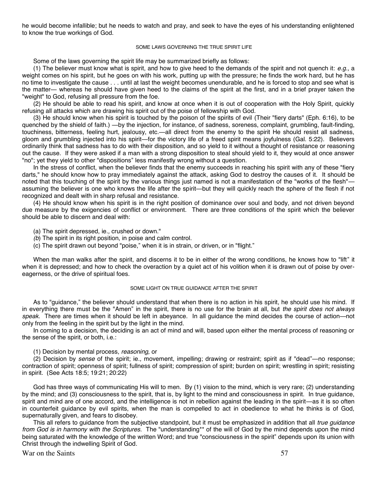he would become infallible; but he needs to watch and pray, and seek to have the eyes of his understanding enlightened to know the true workings of God.

## SOME LAWS GOVERNING THE TRUE SPIRIT LIFE

Some of the laws governing the spirit life may be summarized briefly as follows:

(1) The believer must know what is spirit, and how to give heed to the demands of the spirit and not quench it: *e.g.,* a weight comes on his spirit, but he goes on with his work, putting up with the pressure; he finds the work hard, but he has no time to investigate the cause . . . until at last the weight becomes unendurable, and he is forced to stop and see what is the matter— whereas he should have given heed to the claims of the spirit at the first, and in a brief prayer taken the "weight" to God, refusing all pressure from the foe.

(2) He should be able to read his spirit, and know at once when it is out of cooperation with the Holy Spirit, quickly refusing all attacks which are drawing his spirit out of the poise of fellowship with God.

(3) He should know when his spirit is touched by the poison of the spirits of evil (Their "fiery darts" (Eph. 6:16), to be quenched by the shield of faith.) —by the injection, for instance, of sadness, soreness, complaint, grumbling, fault-finding, touchiness, bitterness, feeling hurt, jealousy, etc.—all direct from the enemy to the spirit He should resist all sadness, gloom and grumbling injected into his spirit—for the victory life of a freed spirit means joyfulness (Gal. 5:22). Believers ordinarily think that sadness has to do with their disposition, and so yield to it without a thought of resistance or reasoning out the cause. If they were asked if a man with a strong disposition to steal should yield to it, they would at once answer "no"; yet they yield to other "dispositions" less manifestly wrong without a question.

In the stress of conflict, when the believer finds that the enemy succeeds in reaching his spirit with any of these "fiery darts," he should know how to pray immediately against the attack, asking God to destroy the causes of it. It should be noted that this touching of the spirit by the various things just named is not a manifestation of the "works of the flesh" assuming the believer is one who knows the life after the spirit—but they will quickly reach the sphere of the flesh if not recognized and dealt with in sharp refusal and resistance.

(4) He should know when his spirit is in the right position of dominance over soul and body, and not driven beyond due measure by the exigencies of conflict or environment. There are three conditions of the spirit which the believer should be able to discern and deal with:

- (a) The spirit depressed, ie*.,* crushed or down."
- *(b*) The spirit in its right position, in poise and calm control.
- (c) The spirit drawn out beyond "poise," when it is in strain, or driven, or in "flight."

When the man walks after the spirit, and discerns it to be in either of the wrong conditions, he knows how to "lift" it when it is depressed; and how to check the overaction by a quiet act of his volition when it is drawn out of poise by overeagerness, or the drive of spiritual foes.

## SOME LIGHT ON TRUE GUIDANCE AFTER THE SPIRIT

As to "guidance," the believer should understand that when there is no action in his spirit, he should use his mind. If in everything there must be the "Amen´ in the spirit, there is no use for the brain at all, but *the spirit does not always*  speak. There are times when it should be left in abeyance. In all guidance the mind decides the course of action-not only from the feeling in the spirit but by the light in the mind.

In coming to a decision, the deciding is an act of mind and will, based upon either the mental process of reasoning or the sense of the spirit, or both, i.e.:

# (1) Decision by mental process, *reasoning,* or

(2) Decision by *sense* of the spirit; ie., movement, impelling; drawing or restraint; spirit as if "dead"—no response; contraction of spirit; openness of spirit; fullness of spirit; compression of spirit; burden on spirit; wrestling in spirit; resisting in spirit. (See Acts 18:5; 19:21; 20:22)

God has three ways of communicating His will to men. By (1) vision to the mind, which is very rare; (2) understanding by the mind; and (3) consciousness to the spirit, that is, by light to the mind and consciousness in spirit. In true guidance, spirit and mind are of one accord, and the intelligence is not in rebellion against the leading in the spirit—as it is so often in counterfeit guidance by evil spirits, when the man is compelled to act in obedience to what he thinks is of God, supernaturally given, and fears to disobey.

This all refers to guidance from the subjective standpoint, but it must be emphasized in addition that all *true guidance from God is in harmony with the Scriptures.* The "understanding\*\* of the will of God by the mind depends upon the mind being saturated with the knowledge of the written Word; and true "consciousness in the spirit" depends upon its union with Christ through the indwelling Spirit of God.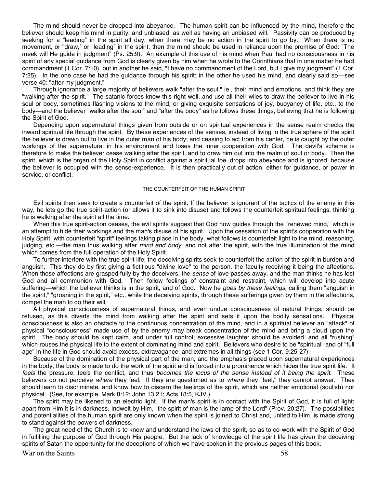The mind should never be dropped into abeyance. The human spirit can be influenced by the mind, therefore the believer should keep his mind in purity, and unbiased, as well as having an unbiased will. Passivity can be produced by seeking for a "leading" in the spirit all day, when there may be no action in the spirit to go by. When there is no movement, or "draw," or "leading" in the spirit, then the mind should be used in reliance upon the promise of God: "The meek will He guide in judgment" (Ps. 25:9). An example of this use of his mind when Paul had no consciousness in his spirit of any special guidance from God is clearly given by him when he wrote to the Corinthians that in one matter he had commandment (1 Cor. 7:10), but in another he said, "I have no commandment of the Lord, but I give my judgment" (1 Cor.  $7:25$ ). In the one case he had the quidance through his spirit; in the other he used his mind, and clearly said so see verse 40: "after my judgment."

Through ignorance a large majority of believers walk "after the soul," ie*.,* their mind and emotions, and think they are "walking after the spirit." The satanic forces know this right well, and use all their wiles to draw the believer to live in his soul or body, sometimes flashing visions to the mind, or giving exquisite sensations of joy, buoyancy of life, etc., to the body—and the believer "walks after the soul" and "after the body" as he follows these things, believing that he is following the Spirit of God.

Depending upon supernatural things given from outside or on spiritual experiences in the sense realm checks the inward spiritual life through the spirit. By these experiences of the senses, instead of living in the true sphere of the spirit the believer is drawn out to live in the outer man of his body; and ceasing to act from his center, he is caught by the outer workings of the supernatural in his environment and loses the inner cooperation with God. The devil's scheme is therefore to make the believer cease walking after the spirit, and to draw him out into the realm of soul or body. Then the spirit, which is the organ of the Holy Spirit in conflict against a spiritual foe, drops into abeyance and is ignored, because the believer is occupied with the sense-experience. It is then practically out of action, either for guidance, or power in service, or conflict.

#### THE COUNTERFEIT OF THE HUMAN SPIRIT

Evil spirits then seek to create a counterfeit of the spirit. If the believer is ignorant of the tactics of the enemy in this way, he lets go the true spirit-action (or allows it to sink into disuse) and follows the counterfeit spiritual feelings, thinking he is walking after the spirit all the time.

When this true spirit-action ceases, the evil spirits suggest that God now guides through the "renewed mind," which is an attempt to hide their workings and the man's disuse of his spirit. Upon the cessation of the spirit's cooperation with the Holy Spirit, with counterfeit "spirit" feelings taking place in the body, what follows is counterfeit light to the mind, reasoning, judging, etc.—the man thus walking after *mind and body*, and not after the spirit, with the true illumination of the mind which comes from the full operation of the Holy Spirit.

To further interfere with the true spirit life, the deceiving spirits seek to counterfeit the action of the spirit in burden and anguish. This they do by first giving a fictitious "divine love" to the person, the faculty receiving it being the affections. When these affections are grasped fully by the deceivers, the *sense* of love passes away, and the man thinks he has lost God and all communion with God. Then follow feelings of constraint and restraint, which will develop into acute suffering—which the believer thinks is in the spirit, and of God. Now he *goes by these feelings*, calling them "anguish in the spirit," "groaning in the spirit," etc., while the deceiving spirits, through these sufferings given by them in the affections, compel the man to do their will.

All physical consciousness of supernatural things, and even undue consciousness of natural things, should be refused, as this diverts the mind from walking after the spirit and sets it upon the bodily sensations. Physical consciousness is also an obstacle to the continuous concentration of the mind, and in a spiritual believer an "attack" of physical "consciousness" made use of by the enemy may break concentration of the mind and bring a cloud upon the spirit. The body should be kept calm, and under full control; excessive laughter should be avoided, and all "rushing" which rouses the physical life to the extent of dominating mind and spirit. Believers who desire to be "spiritual" and of "full age" in the life in God should avoid excess, extravagance, and extremes in all things (see 1 Cor. 9:25-27).

Because of the domination of the physical part of the man, and the emphasis placed upon supernatural experiences in the body, the body is made to do the work of the spirit and is forced into a prominence which hides the true spirit life. It *feels* the pressure, feels the conflict, and thus *becomes the locus of the sense instead of it being the spirit.* These believers do not perceive *where* they feel. If they are questioned as to *where* they "feel," they cannot answer. They should learn to discriminate, and know how to discern the feelings of the spirit, which are neither emotional (soulish) nor physical. (See, for example, Mark 8:12; John 13:21; Acts 18:5, KJV.)

The spirit may be likened to an electric light. If the man's spirit is in contact with the Spirit of God, it is full of light; apart from Him it is in darkness. Indwelt by Him, "the spirit of man is the lamp of the Lord" (Prov. 20:27). The possibilities and potentialities of the human spirit are only known when the spirit is joined to Christ and, united to Him, is made strong to stand against the powers of darkness.

The great need of the Church is to know and understand the laws of the spirit, so as to co-work with the Spirit of God in fulfilling the purpose of God through His people. But the lack of knowledge of the spirit life has given the deceiving spirits of Satan the opportunity for the deceptions of which we have spoken in the previous pages of this book.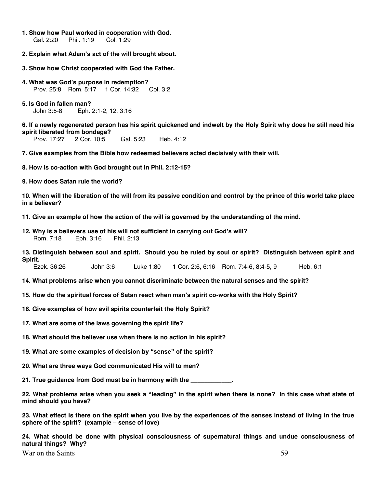- **1. Show how Paul worked in cooperation with God.**  Gal. 2:20 Phil. 1:19 Col. 1:29
- **2.** Explain what Adam's act of the will brought about.
- **3. Show how Christ cooperated with God the Father.**
- **4.** What was God's purpose in redemption? Prov. 25:8 Rom. 5:17 1 Cor. 14:32 Col. 3:2
- **5. Is God in fallen man?**  John 3:5-8 Eph. 2:1-2, 12, 3:16
- **6. If a newly regenerated person has his spirit quickened and indwelt by the Holy Spirit why does he still need his spirit liberated from bondage?**

Prov. 17:27 2 Cor. 10:5 Gal. 5:23 Heb. 4:12

**7. Give examples from the Bible how redeemed believers acted decisively with their will.** 

**8. How is co-action with God brought out in Phil. 2:12-15?**

**9. How does Satan rule the world?** 

**10. When will the liberation of the will from its passive condition and control by the prince of this world take place in a believer?** 

**11. Give an example of how the action of the will is governed by the understanding of the mind.** 

**12. Why is a believers use of his will not sufficient in carry**ing out God's will? Rom. 7:18

**13. Distinguish between soul and spirit. Should you be ruled by soul or spirit? Distinguish between spirit and Spirit.** 

Ezek. 36:26 John 3:6 Luke 1:80 1 Cor. 2:6, 6:16 Rom. 7:4-6, 8:4-5, 9 Heb. 6:1

**14. What problems arise when you cannot discriminate between the natural senses and the spirit?** 

**15.** How do the spiritual forces of Satan react when man's spirit co**-works with the Holy Spirit?** 

- **16. Give examples of how evil spirits counterfeit the Holy Spirit?**
- **17. What are some of the laws governing the spirit life?**
- **18. What should the believer use when there is no action in his spirit?**
- **19.** What are some examples of decision by "sense" of the spirit?
- **20. What are three ways God communicated His will to men?**

**21. True guidance from God must be in harmony with the \_\_\_\_\_\_\_\_\_\_\_\_.** 

**22. What problems arise when you seek a** "**leading**" **in the spirit when there is none? In this case what state of mind should you have?** 

**23. What effect is there on the spirit when you live by the experiences of the senses instead of living in the true sphere of the spirit? (example** – **sense of love)** 

**24. What should be done with physical consciousness of supernatural things and undue consciousness of natural things? Why?**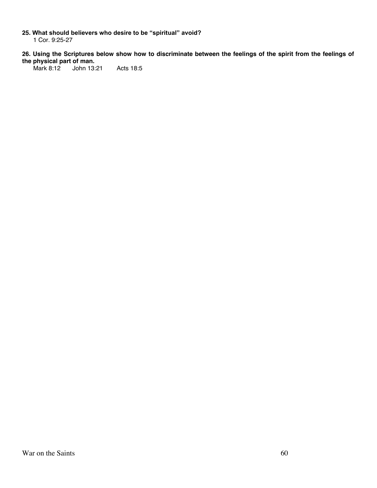- **25.** What should believers who desire to be "spiritual" avoid? 1 Cor. 9:25-27
- **26. Using the Scriptures below show how to discriminate between the feelings of the spirit from the feelings of the physical part of man.**<br>Mark 8:12 John 13:

John 13:21 Acts 18:5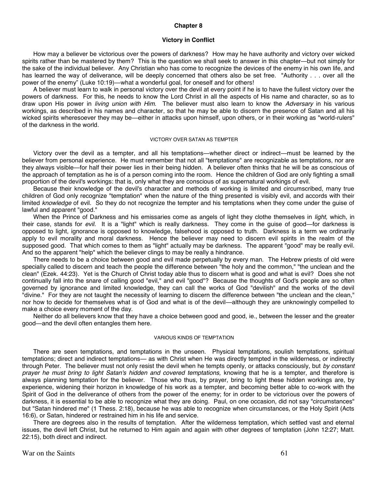## **Chapter 8**

## **Victory in Conflict**

How may a believer be victorious over the powers of darkness? How may he have authority and victory over wicked spirits rather than be mastered by them? This is the question we shall seek to answer in this chapter—but not simply for the sake of the individual believer. Any Christian who has come to recognize the devices of the enemy in his own life, and has learned the way of deliverance, will be deeply concerned that others also be set free. "Authority . . . over all the power of the enemy" (Luke 10:19)—what a wonderful goal, for oneself and for others!

A believer must learn to walk in personal victory over the devil at every point if he is to have the fullest victory over the powers of darkness. For this, he needs to know the Lord Christ in all the aspects of His name and character, so as to draw upon His power in *living union with Him.* The believer must also learn to know the *Adversary* in his various workings, as described in his names and character, so that he may be able to discern the presence of Satan and all his wicked spirits wheresoever they may be—either in attacks upon himself, upon others, or in their working as "world-rulers" of the darkness in the world.

#### VICTORY OVER SATAN AS TEMPTER

Victory over the devil as a tempter, and all his temptations—whether direct or indirect—must be learned by the believer from personal experience. He must remember that not all "temptations" are recognizable as temptations, nor are they always visible—for half their power lies in their being hidden. A believer often thinks that he will be as conscious of the approach of temptation as he is of a person coming into the room. Hence the children of God are only fighting a small proportion of the devil's workings: that is, only what they are conscious of as supernatural workings of evil.

Because their knowledge of the devil's character and methods of working is limited and circumscribed, many true children of God only recognize "temptation" when the nature of the thing presented is visibly evil, and accords with their limited *knowledge* of evil. So they do not recognize the tempter and his temptations when they come under the guise of lawful and apparent "good."

When the Prince of Darkness and his emissaries come as angels of light they clothe themselves in *light,* which, in their case, stands for *evil.* It is a "light" which is really darkness. They come in the guise of good—for darkness is opposed to light, ignorance is opposed to knowledge, falsehood is opposed to truth. Darkness is a term we ordinarily apply to evil morality and moral darkness. Hence the believer may need to discern evil spirits in the realm of the supposed good. That which comes to them as "light" actually may be darkness. The apparent "good" may be really evil. And so the apparent "help" which the believer clings to may be really a hindrance.

There needs to be a choice between good and evil made perpetually by every man. The Hebrew priests of old were specially called to discern and teach the people the difference between "the holy and the common," "the unclean and the clean" (Ezek. 44:23). Yet is the Church of Christ today able thus to discern what is good and what is evil? Does she not continually fall into the snare of calling good "evil," and evil "good"? Because the thoughts of God's people are so often governed by ignorance and limited knowledge, they can call the works of God "devilish" and the works of the devil "divine." For they are not taught the necessity of learning to discern the difference between "the unclean and the clean," nor how to decide for themselves what is of God and what is of the devil—although they are unknowingly compelled to make a choice every moment of the day.

Neither do all believers know that they have a choice between good and good, ie., between the lesser and the greater good—and the devil often entangles them here.

#### VARIOUS KINDS OF TEMPTATION

There are seen temptations, and temptations in the unseen. Physical temptations, soulish temptations, spiritual temptations; direct and indirect temptations— as with Christ when He was directly tempted in the wilderness, or indirectly through Peter. The believer must not only resist the devil when he tempts openly, or attacks consciously, but *by constant prayer he must bring to light Satan's hidden and covered temptations,* knowing that he is a tempter, and therefore is always planning temptation for the believer. Those who thus, by prayer, bring to light these hidden workings are, by experience, widening their horizon in knowledge of his work as a tempter, and becoming better able to co-work with the Spirit of God in the deliverance of others from the power of the enemy; for in order to be victorious over the powers of darkness, it is essential to be able to recognize what they are doing. Paul, on one occasion, did not say "circumstances" but "Satan hindered me" (1 Thess. 2:18), because he was able to recognize when circumstances, or the Holy Spirit (Acts 16:6), or Satan, hindered or restrained him in his life and service.

There are degrees also in the results of temptation. After the wilderness temptation, which settled vast and eternal issues, the devil left Christ, but he returned to Him again and again with other degrees of temptation (John 12:27; Matt. 22:15), both direct and indirect.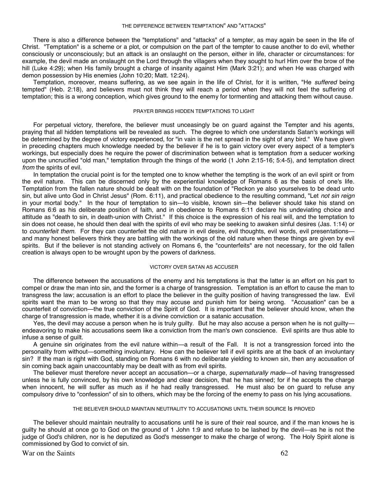There is also a difference between the "temptations" and "attacks" of a tempter, as may again be seen in the life of Christ. "Temptation" is a scheme or a plot, or compulsion on the part of the tempter to cause another to do evil, whether consciously or unconsciously; but an attack is an onslaught on the person, either in life, character or circumstances: for example, the devil made an onslaught on the Lord through the villagers when they sought to hurl Him over the brow of the hill (Luke 4:29); when His family brought a charge of insanity against Him (Mark 3:21); and when He was charged with demon possession by His enemies (John 10:20; Matt. 12:24).

Temptation, moreover, means suffering, as we see again in the life of Christ, for it is written, "He *suffered* being tempted" (Heb. 2:18), and believers must not think they will reach a period when they will not feel the suffering of temptation; this is a wrong conception, which gives ground to the enemy for tormenting and attacking them without cause.

#### PRAYER BRINGS HIDDEN TEMPTATIONS TO LIGHT

For perpetual victory, therefore, the believer must unceasingly be on guard against the Tempter and his agents, praying that all hidden temptations will be revealed as such. The degree to which one understands Satan's workings will be determined by the degree of victory experienced, for "in vain is the net spread in the sight of any bird." We have given in preceding chapters much knowledge needed by the believer if he is to gain victory over every aspect of a tempter's workings, but especially does he require the power of discrimination between what is temptation *from* a seducer working upon the uncrucified "old man," temptation through the things of the world (1 John 2:15-16; 5:4-5), and temptation direct *from* the spirits of evil.

In temptation the crucial point is for the tempted one to know whether the tempting is the work of an evil spirit or from the evil nature. This can be discerned only by the experiential knowledge of Romans 6 as the basis of one's life. Temptation from the fallen nature should be dealt with on the foundation of "Reckon ye also yourselves to be dead unto sin, but alive unto God in Christ Jesus" (Rom. 6:11), and practical obedience to the resulting command, "Let *not sin reign*  in your mortal body." In the hour of temptation to sin—to visible, known sin—the believer should take his stand on Romans 6:6 as his deliberate position of faith, and in obedience to Romans 6:11 declare his undeviating choice and attitude as "death to sin, in death-union with Christ." If this choice is the expression of his real will, and the temptation to sin does not cease, he should then deal with the spirits of evil who may be seeking to awaken sinful desires (Jas. 1:14) or to *counterfeit them*. For they can counterfeit the old nature in evil desire, evil thoughts, evil words, evil presentations and many honest believers think they are battling with the workings of the old nature when these things are given by evil spirits. But if the believer is not standing actively on Romans 6, the "counterfeits" are not necessary, for the old fallen creation is always open to be wrought upon by the powers of darkness.

#### VICTORY OVER SATAN AS ACCUSER

The difference between the accusations of the enemy and his temptations is that the latter is an effort on his part to compel or draw the man into sin, and the former is a charge of transgression. Temptation is an effort to cause the man to transgress the law; accusation is an effort to place the believer in the guilty position of having transgressed the law. Evil spirits want the man to be wrong so that they may accuse and punish him for being wrong. "Accusation" can be a counterfeit of conviction—the true conviction of the Spirit of God. It is important that the believer should know, when the charge of transgression is made, whether it is a divine conviction or a satanic accusation.

Yes, the devil may accuse a person when he is truly guilty. But he may also accuse a person when he is not guilty endeavoring to make his accusations seem like a conviction from the man's own conscience. Evil spirits are thus able to infuse a sense of guilt.

A genuine sin originates from the evil nature within-a result of the Fall. It is not a transgression forced into the personality from without—something involuntary. How can the believer tell if evil spirits are at the back of an involuntary sin? If the man is right with God, standing on Romans 6 with no deliberate yielding to known sin, then any accusation of sin coming back again unaccountably may be dealt with as from evil spirits.

The believer must therefore never accept an accusation—or a charge, *supernaturally made*—of having transgressed unless he is fully convinced, by his own knowledge and clear decision, that he has sinned; for if he accepts the charge when innocent, he will suffer as much as if he had really transgressed. He must also be on guard to refuse any compulsory drive to "confession" of sin to others, which may be the forcing of the enemy to pass on his lying accusations.

## THE BELIEVER SHOULD MAINTAIN NEUTRALITY TO ACCUSATIONS UNTIL THEIR SOURCE Is PROVED

The believer should maintain neutrality to accusations until he is sure of their real source, and if the man knows he is guilty he should at once go to God on the ground of 1 John 1:9 and refuse to be lashed by the devil—as he is not the judge of God's children, nor is he deputized as God's messenger to make the charge of wrong. The Holy Spirit alone is commissioned by God to convict of sin.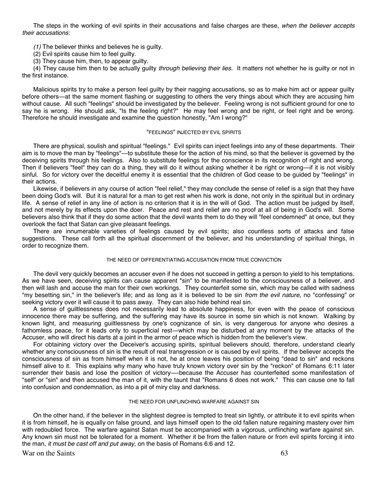The steps in the working of evil spirits in their accusations and false charges are these, *when the believer accepts their accusations:*

*(1)* The believer thinks and believes he is guilty.

(2) Evil spirits cause him to feel guilty.

(3) They cause him, then, to appear guilty.

(4) They cause him then to be actually guilty *through believing their lies.* It matters not whether he is guilty or not in the first instance.

Malicious spirits try to make a person feel guilty by their nagging accusations, so as to make him act or appear guilty before others—at the same moment flashing or suggesting to others the very things about which they are accusing him without cause. All such "feelings" should be investigated by the believer. Feeling wrong is not sufficient ground for one to say he is wrong. He should ask, "Is the feeling right?" He may feel wrong and be right, or feel right and be wrong. Therefore he should investigate and examine the question honestly, "Am I wrong?"

# "FEELINGS" INJECTED BY EVIL SPIRITS

There are physical, soulish and spiritual "feelings." Evil spirits can inject feelings into any of these departments. Their aim is to move the man by "feelings"—to substitute these for the action of his mind, so that the believer is governed by the deceiving spirits through his feelings. Also to substitute feelings for the conscience in its recognition of right and wrong. Then if believers "feel" they can do a thing, they will do it without asking whether it be right or wrong—if it is not visibly sinful. So for victory over the deceitful enemy it is essential that the children of God cease to be guided by "feelings" in their actions.

Likewise, if believers in any course of action "feel relief," they may conclude the sense of relief is a sign that they have been doing God's will. But it is natural for a man to get rest when his work is done, not only in the spiritual but in ordinary life. A sense of relief in any line of action is no criterion that it is in the will of God. The action must be judged by itself, and not merely by its effects upon the doer. Peace and rest and relief are no proof at all of being in God's will. Some believers also think that if they do some action that the devil wants them to do they will "feel condemned" at once, but they overlook the fact that Satan can give pleasant feelings.

There are innumerable varieties of feelings caused by evil spirits; also countless sorts of attacks and false suggestions. These call forth all the spiritual discernment of the believer, and his understanding of spiritual things, in order to recognize them.

## THE NEED OF DIFFERENTIATING ACCUSATION FROM TRUE CONVICTION

The devil very quickly becomes an accuser even if he does not succeed in getting a person to yield to his temptations. As we have seen, deceiving spirits can cause apparent "sin" to be manifested to the consciousness of a believer, and then will lash and accuse the man for their own workings. They counterfeit some sin, which may be called with sadness "my besetting sin," in the believer's life; and as long as it is believed to be sin *from the evil nature,* no "confessing" or seeking victory over it will cause it to pass away. They can also hide behind real sin.

A sense of guiltlessness does not necessarily lead to absolute happiness, for even with the peace of conscious innocence there may be suffering, and the suffering may have its source in some sin which is not known. Walking by known light, and measuring guiltlessness by one's cognizance of sin, is very dangerous for anyone who desires a fathomless peace, for it leads only to superficial rest—which may be disturbed at any moment by the attacks of the Accuser, who will direct his darts at a joint in the armor of peace which is hidden from the believer's view.

For obtaining victory over the Deceiver's accusing spirits, spiritual believers should, therefore, understand clearly whether any consciousness of sin is the result of real transgression or is caused by evil spirits. If the believer accepts the consciousness of sin as from himself when it is not, he at once leaves his position of being "dead to sin" and reckons himself alive to it. This explains why many who have truly known victory over sin by the "reckon" of Romans 6:11 later surrender their basis and lose the position of victory--because the Accuser has counterfeited some manifestation of "self" or "sin" and then accused the man of it, with the taunt that "Romans 6 does not work." This can cause one to fall into confusion and condemnation, as into a pit of miry clay and darkness.

#### THE NEED FOR UNFLINCHING WARFARE AGAINST SIN

On the other hand, if the believer in the slightest degree is tempted to treat sin lightly, or attribute it to evil spirits when it is from himself, he is equally on false ground, and lays himself open to the old fallen nature regaining mastery over him with redoubled force. The warfare against Satan must be accompanied with a vigorous, unflinching warfare against sin. Any known sin must not be tolerated for a moment. Whether it be from the fallen nature or from evil spirits forcing it into the man, *it must be cast off and put away,* on the basis of Romans 6:6 and 12.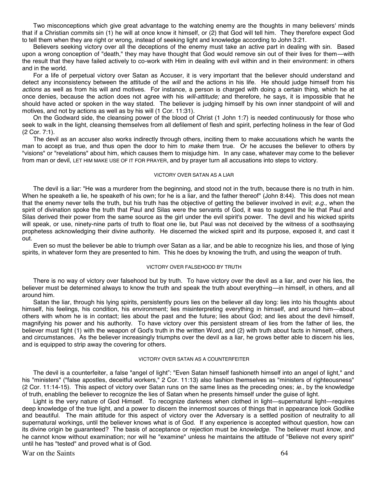Two misconceptions which give great advantage to the watching enemy are the thoughts in many believers' minds that if a Christian commits sin (1) he will at once know it himself, or (2) that God will tell him. They therefore expect God to tell them when they are right or wrong, instead of seeking light and knowledge according to John 3:21.

Believers seeking victory over all the deceptions of the enemy must take an active part in dealing with sin. Based upon a wrong conception of "death," they may have thought that God would remove sin out of their lives for them—with the result that they have failed actively to co-work with Him in dealing with evil within and in their environment: in others and in the world.

For a life of perpetual victory over Satan as Accuser, it is very important that the believer should understand and detect any inconsistency between the attitude of the *will* and the actions in his life. He should judge himself from his *actions* as well as from his will and motives. For instance, a person is charged with doing a certain thing, which he at once denies, because the action does not agree with his *will-attitude;* and therefore, he says, it is impossible that he should have acted or spoken in the way stated. The believer is judging himself by his own inner standpoint of will and motives, and not by actions as well as by his will (1 Cor. 11:31).

On the Godward side, the cleansing power of the blood of Christ (1 John 1:7) is needed continuously for those who seek to walk in the light, cleansing themselves from all defilement of flesh and spirit, perfecting holiness in the fear of God (2 Cor. 7:1).

The devil as an accuser also works indirectly through others, inciting them to make accusations which he wants the man to accept as true, and thus open the door to him to *make* them true. Or he accuses the believer to others by "visions" or "revelations" about him, which causes them to misjudge him. In any case, whatever may come to the believer from man or devil, LET HIM MAKE USE OF IT FOR PRAYER, and by prayer turn all accusations into steps to victory.

#### VICTORY OVER SATAN AS A LIAR

The devil is a liar: "He was a murderer from the beginning, and stood not in the truth, because there is no truth in him. When he speaketh a lie, he speaketh of his own; for he is a liar, and the father thereof" (John 8:44). This does not mean that the enemy never tells the truth, but his truth has the objective of getting the believer involved in evil; *e.g.,* when the spirit of divination spoke the truth that Paul and Silas were the servants of God, it was to suggest the lie that Paul and Silas derived their power from the same source as the girl under the evil spirit's power. The devil and his wicked spirits will speak, or use, ninety-nine parts of truth to float one lie, but Paul was not deceived by the witness of a soothsaying prophetess acknowledging their divine authority. He discerned the wicked spirit and its purpose, exposed it, and cast it out.

Even so must the believer be able to triumph over Satan as a liar, and be able to recognize his lies, and those of lying spirits, in whatever form they are presented to him. This he does by knowing the truth, and using the weapon of truth.

#### VICTORY OVER FALSEHOOD BY TRUTH

There is no way of victory over falsehood but by truth. To have victory over the devil as a liar, and over his lies, the believer must be determined always to know the truth and speak the truth about everything—in himself, in others, and all around him.

Satan the liar, through his lying spirits, persistently pours lies on the believer all day long: lies into his thoughts about himself, his feelings, his condition, his environment; lies misinterpreting everything in himself, and around him—about others with whom he is in contact; lies about the past and the future; lies about God; and lies about the devil himself, magnifying his power and his authority. To have victory over this persistent stream of lies from the father of lies, the believer must fight (1) with the weapon of God's truth in the written Word, and (2) with truth about facts in himself, others, and circumstances. As the believer increasingly triumphs over the devil as a liar, he grows better able to discern his lies, and is equipped to strip away the covering for others.

# VICTORY OVER SATAN AS A COUNTERFEITER

The devil is a counterfeiter, a false "angel of light": "Even Satan himself fashioneth himself into an angel of light," and his "ministers" ("false apostles, deceitful workers," 2 Cor. 11:13) also fashion themselves as "ministers of righteousness" (2 Cor. 11:14-15). This aspect of victory over Satan runs on the same lines as the preceding ones; *ie.,* by the knowledge of truth, enabling the believer to recognize the lies of Satan when he presents himself under the guise of light.

Light is the very nature of God Himself. To recognize darkness when clothed in light—supernatural light—requires deep knowledge of the true light, and a power to discern the innermost sources of things that in appearance look Godlike and beautiful. The main attitude for this aspect of victory over the Adversary is a settled position of neutrality to all supernatural workings, until the believer knows what is of God. If any experience is accepted without question, how can its divine origin be guaranteed? The basis of acceptance or rejection must be *knowledge.* The believer must *know,* and he cannot know without examination; nor will he "examine" unless he maintains the attitude of "Believe not every spirit" until he has "tested" and proved what is of God.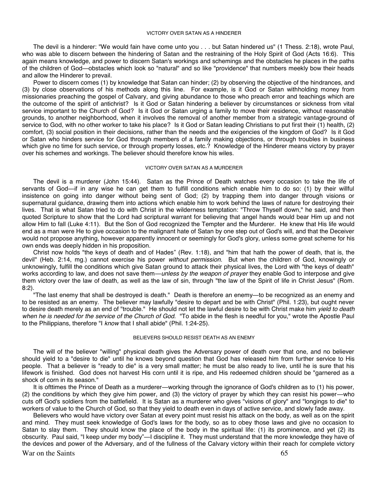#### VICTORY OVER SATAN AS A HINDERER

The devil is a hinderer: "We would fain have come unto you . . . but Satan hindered us" (1 Thess. 2:18), wrote Paul, who was able to discern between the hindering of Satan and the restraining of the Holy Spirit of God (Acts 16:6). This again means knowledge, and power to discern Satan's workings and schemings and the obstacles he places in the paths of the children of God—obstacles which look so "natural" and so like "providence" that numbers meekly bow their heads and allow the Hinderer to prevail.

Power to discern comes (1) by knowledge that Satan can hinder; (2) by observing the objective of the hindrances, and (3) by close observations of his methods along this line. For example, is it God or Satan withholding money from missionaries preaching the gospel of Calvary, and giving abundance to those who preach error and teachings which are the outcome of the spirit of antichrist? Is it God or Satan hindering a believer by circumstances or sickness from vital service important to the Church of God? Is it God or Satan urging a family to move their residence, without reasonable grounds, to another neighborhood, when it involves the removal of another member from a strategic vantage-ground of service to God, with no other worker to take his place? Is it God or Satan leading Christians to put first their (1) health, (2) comfort, (3) social position in their decisions, rather than the needs and the exigencies of the kingdom of God? Is it God or Satan who hinders service for God through members of a family making objections, or through troubles in business which give no time for such service, or through property losses, etc.? Knowledge of the Hinderer means victory by prayer over his schemes and workings. The believer should therefore know his wiles.

#### VICTORY OVER SATAN AS A MURDERER

The devil is a murderer (John 15:44). Satan as the Prince of Death watches every occasion to take the life of servants of God—if in any wise he can get them to fulfill conditions which enable him to do so: (1) by their willful insistence on going into danger without being sent of God; (2) by trapping them into danger through visions or supernatural guidance, drawing them into actions which enable him to work behind the laws of nature for destroying their lives. That is what Satan tried to do with Christ in the wilderness temptation: "Throw Thyself down," he said, and then quoted Scripture to show that the Lord had scriptural warrant for believing that angel hands would bear Him up and not allow Him to fall (Luke 4:11). But the Son of God recognized the Tempter and the Murderer. He knew that His life would end as a man were He to give occasion to the malignant hate of Satan by one step out of God's will, and that the Deceiver would not propose anything, however apparently innocent or seemingly for God's glory, unless some great scheme for his own ends was deeply hidden in his proposition.

Christ now holds "the keys of death and of Hades" (Rev. 1:18), and "him that hath the power of death, that is, the devil" (Heb. 2:14, mg.) cannot exercise his power *without permission.* But when the children of God, knowingly or unknowingly, fulfill the conditions which give Satan ground to attack their physical lives, the Lord with "the keys of death" works according to law, and does not save them—*unless by the weapon of prayer* they enable God to interpose and give them victory over the law of death, as well as the law of sin, through "the law of the Spirit of life in Christ Jesus" (Rom. 8:2).

"The last enemy that shall be destroyed is death." Death is therefore an enemy-to be recognized as an enemy and to be resisted as an enemy. The believer may lawfully "desire to depart and be with Christ" (Phil. 1:23), but ought never to desire death merely as an end of "trouble." He should not let the lawful desire to be with Christ make him *yield to death when he is needed for the service of the Church of God.* "To abide in the flesh is needful for you," wrote the Apostle Paul to the Philippians, therefore "I *know* that I shall abide" (Phil. 1:24-25).

## BELIEVERS SHOULD RESIST DEATH AS AN ENEMY

The will of the believer "willing" physical death gives the Adversary power of death over that one, and no believer should yield to a "desire to die" until he knows beyond question that God has released him from further service to His people. That a believer is "ready to die" is a very small matter; he must be also ready to live, until he is sure that his lifework is finished. God does not harvest His corn until it is ripe, and His redeemed children should be "garnered as a shock of corn in its season."

It is ofttimes the Prince of Death as a murderer—working through the ignorance of God's children as to (1) his power,  $(2)$  the conditions by which they give him power, and  $(3)$  the victory of prayer by which they can resist his power—who cuts off God's soldiers from the battlefield. It is Satan as a murderer who gives "visions of glory" and "longings to die" to workers of value to the Church of God, so that they yield to death even in days of active service, and slowly fade away.

War on the Saints  $\hspace{1.5cm}65$ Believers who would have victory over Satan at every point must resist his attack on the body, as well as on the spirit and mind. They must seek knowledge of God's laws for the body, so as to obey those laws and give no occasion to Satan to slay them. They should know the place of the body in the spiritual life: (1) its prominence, and yet (2) its obscurity. Paul said, "I keep under my body"—I discipline it. They must understand that the more knowledge they have of the devices and power of the Adversary, and of the fullness of the Calvary victory within their reach for complete victory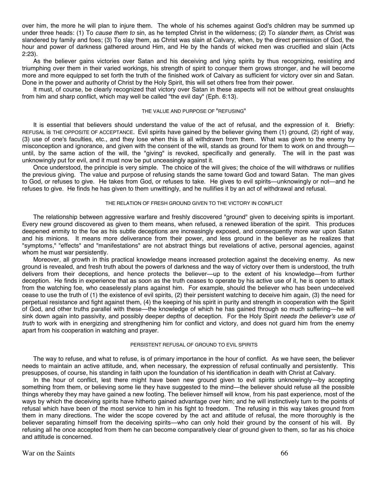over him, the more he will plan to injure them. The whole of his schemes against God's children may be summed up under three heads: (1) To *cause them to* sin, as he tempted Christ in the wilderness; (2) To *slander them,* as Christ was slandered by family and foes; (3) To slay them, as Christ was slain at Calvary, when, by the direct permission of God, the hour and power of darkness gathered around Him, and He by the hands of wicked men was crucified and slain (Acts 2:23).

As the believer gains victories over Satan and his deceiving and lying spirits by thus recognizing, resisting and triumphing over them in their varied workings, his strength of spirit to conquer them grows stronger, and he will become more and more equipped to set forth the truth of the finished work of Calvary as sufficient for victory over sin and Satan. Done in the power and authority of Christ by the Holy Spirit, this will set others free from their power.

It must, of course, be clearly recognized that victory over Satan in these aspects will not be without great onslaughts from him and sharp conflict, which may well be called "the evil day" (Eph. 6:13).

## THE VALUE AND PURPOSE OF "REFUSING"

It is essential that believers should understand the value of the act of refusal, and the expression of it. Briefly: REFUSAL is THE OPPOSITE OF ACCEPTANCE. Evil spirits have gained by the believer giving them (1) ground, (2) right of way, (3) use of one's faculties, etc., and they lose when this is all withdrawn from them. What was given to the enemy by misconception and ignorance, and given with the consent of the will, stands as ground for them to work on and through until, by the same action of the will, the "giving" is revoked, specifically and generally. The will in the past was unknowingly put for evil, and it must now be put unceasingly against it.

Once understood, the principle is very simple. The choice of the will gives; the choice of the will withdraws or nullifies the previous giving. The value and purpose of refusing stands the same toward God and toward Satan. The man gives to God, or refuses to give. He takes from God, or refuses to take. He gives to evil spirits—unknowingly or not—and he refuses to give. He finds he has given to them unwittingly, and he nullifies it by an act of withdrawal and refusal.

## THE RELATION OF FRESH GROUND GIVEN TO THE VICTORY IN CONFLICT

The relationship between aggressive warfare and freshly discovered "ground" given to deceiving spirits is important. Every new ground discovered as given to them means, when refused, a renewed liberation of the spirit. This produces deepened enmity to the foe as his subtle deceptions are increasingly exposed, and consequently more war upon Satan and his minions. It means more deliverance from their power, and less ground in the believer as he realizes that "symptoms," "effects" and "manifestations" are not abstract things but revelations of active, personal agencies, against whom he must war persistently.

Moreover, all growth in this practical knowledge means increased protection against the deceiving enemy. As new ground is revealed, and fresh truth about the powers of darkness and the way of victory over them is understood, the truth delivers from their deceptions, and hence protects the believer—up to the extent of his knowledge—from further deception. He finds in experience that as soon as the truth ceases to operate by his active use of it, he is open to attack from the watching foe, who ceaselessly plans against him. For example, should the believer who has been undeceived cease to use the truth of (1) the existence of evil spirits, (2) their persistent watching to deceive him again, (3) the need for perpetual resistance and fight against them, (4) the keeping of his spirit in purity and strength in cooperation with the Spirit of God, and other truths parallel with these—the knowledge of which he has gained through so much suffering—he will sink down again into passivity, and possibly deeper depths of deception. For the Holy Spirit *needs the believer's use of truth* to work with in energizing and strengthening him for conflict and victory, and does not guard him from the enemy apart from his cooperation in watching and prayer.

## PERSISTENT REFUSAL OF GROUND TO EVIL SPIRITS

The way to refuse, and what to refuse, is of primary importance in the hour of conflict. As we have seen, the believer needs to maintain an active attitude, and, when necessary, the expression of refusal continually and persistently. This presupposes, of course, his standing in faith upon the foundation of his identification in death with Christ at Calvary.

In the hour of conflict, lest there might have been new ground given to evil spirits unknowingly—by accepting something from them, or believing some lie they have suggested to the mind—the believer should refuse all the possible things whereby they may have gained a new footing. The believer himself will know, from his past experience, most of the ways by which the deceiving spirits have hitherto gained advantage over him; and he will instinctively turn to the points of refusal which have been of the most service to him in his fight to freedom. The refusing in this way takes ground from them in many directions. The wider the scope covered by the act and attitude of refusal, the more thoroughly is the believer separating himself from the deceiving spirits—who can only hold their ground by the consent of his will. By refusing all he once accepted from them he can become comparatively clear of ground given to them, so far as his choice and attitude is concerned.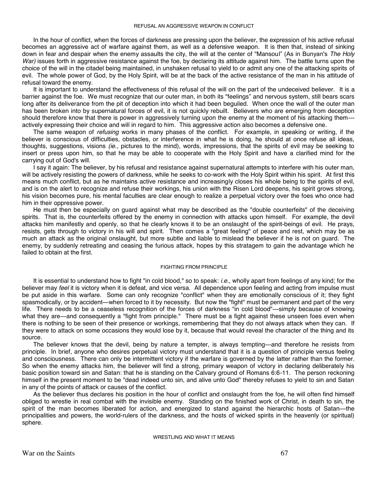In the hour of conflict, when the forces of darkness are pressing upon the believer, the expression of his active refusal becomes an aggressive act of warfare against them, as well as a defensive weapon. It is then that, instead of sinking down in fear and despair when the enemy assaults the city, the will at the center of "Mansoul" (As in Bunyan's *The Holy War)* issues forth in aggressive resistance against the foe, by declaring its attitude against him. The battle turns upon the choice of the will in the citadel being maintained, in unshaken refusal to yield to or admit any one of the attacking spirits of evil. The whole power of God, by the Holy Spirit, will be at the back of the active resistance of the man in his attitude of refusal toward the enemy.

It is important to understand the effectiveness of this refusal of the will on the part of the undeceived believer. It is a barrier against the foe. We must recognize that our outer man, in both its "feelings´ and nervous system, still bears scars long after its deliverance from the pit of deception into which it had been beguiled. When once the wall of the outer man has been broken into by supernatural forces of evil, it is not quickly rebuilt. Believers who are emerging from deception should therefore know that there is power in aggressively turning upon the enemy at the moment of his attacking them actively expressing their choice and will in regard to him. This aggressive action also becomes a defensive one.

The same weapon of *refusing* works in many phases of the conflict. For example, in speaking or writing, if the believer is conscious of difficulties, obstacles, or interference in what he is doing, he should at once refuse all ideas, thoughts, suggestions, visions *(ie.,* pictures to the mind), words, impressions, that the spirits of evil may be seeking to insert or press upon him, so that he may be able to cooperate with the Holy Spirit and have a clarified mind for the carrying out of God's will.

I say it again: The believer, by his refusal and resistance against supernatural attempts to interfere with his outer man, will be actively resisting the powers of darkness, while he seeks to co-work with the Holy Spirit within his spirit. At first this means much conflict, but as he maintains active resistance and increasingly closes his whole being to the spirits of evil, and is on the alert to recognize and refuse their workings, his union with the Risen Lord deepens, his spirit grows strong, his vision becomes pure, his mental faculties are clear enough to realize a perpetual victory over the foes who once had him in their oppressive power.

He must then be especially on guard against what may be described as the "double counterfeits" of the deceiving spirits. That is, the counterfeits offered by the enemy in connection with attacks upon himself. For example, the devil attacks him manifestly and openly, so that he clearly knows it to be an onslaught of the spirit-beings of evil. He prays, resists, gets through to victory in his will and spirit. Then comes a "great feeling" of peace and rest, which may be as much an attack as the original onslaught, but more subtle and liable to mislead the believer if he is not on guard. The enemy, by suddenly retreating and ceasing the furious attack, hopes by this stratagem to gain the advantage which he failed to obtain at the first.

#### FIGHTING FROM PRINCIPLE

It is essential to understand how to fight "in cold blood," so to speak: *i.e.,* wholly apart from feelings of any kind; for the believer may *feel* it is victory when it is defeat, and vice versa. All dependence upon feeling and acting from impulse must be put aside in this warfare. Some can only recognize "conflict" when they are emotionally conscious of it; they fight spasmodically, or by accident—when forced to it by necessity. But now the "fight" must be permanent and part of the very life. There needs to be a ceaseless recognition of the forces of darkness "in cold blood"—simply because of knowing what they are—and consequently a "fight from principle." There must be a fight against these unseen foes even when there is nothing to be seen of their presence or workings, remembering that they do not always attack when they can. If they were to attack on some occasions they would lose by it, because that would reveal the character of the thing and its source.

The believer knows that the devil, being by nature a tempter, is always tempting—and therefore he resists from principle. In brief, anyone who desires perpetual victory must understand that it is a question of principle versus feeling and consciousness. There can only be intermittent victory if the warfare is governed by the latter rather than the former. So when the enemy attacks him, the believer will find a strong, primary weapon of victory in declaring deliberately his basic position toward sin and Satan: that he is standing on the Calvary ground of Romans 6:6-11. The person reckoning himself in the present moment to be "dead indeed unto sin, and alive unto God" thereby refuses to yield to sin and Satan in any of the points of attack or causes of the conflict.

As the believer thus declares his position in the hour of conflict and onslaught from the foe, he will often find himself obliged to wrestle in real combat with the invisible enemy. Standing on the finished work of Christ, in death to sin, the spirit of the man becomes liberated for action, and energized to stand against the hierarchic hosts of Satan—the principalities and powers, the world-rulers of the darkness, and the hosts of wicked spirits in the heavenly (or spiritual) sphere.

## WRESTLING AND WHAT IT MEANS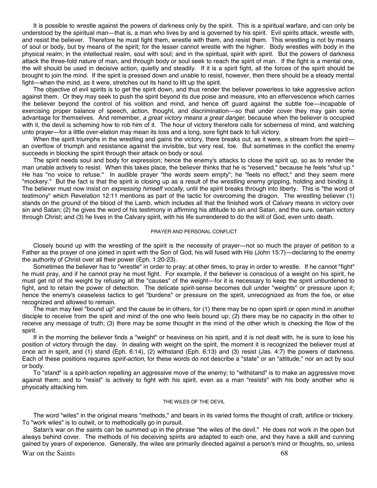It is possible to wrestle against the powers of darkness only by the spirit. This is a spiritual warfare, and can only be understood by the spiritual man—that is, a man who lives by and is governed by his spirit. Evil spirits attack, wrestle with, and resist the believer. Therefore he must fight them, wrestle with them, and resist them. This wrestling is not by means of soul or body, but by means of the spirit; for the lesser cannot wrestle with the higher. Body wrestles with body in the physical realm; in the intellectual realm, soul with soul; and in the spiritual, spirit with spirit. But the powers of darkness attack the three-fold nature of man, and through body or soul seek to reach the spirit of man. If the fight is a mental one, the will should be used in decisive action, quietly and steadily. If it is a spirit fight, all the forces of the spirit should be brought to join the mind. If the spirit is pressed down and unable to resist, however, then there should be a steady mental fight—when the mind, as it were, stretches out its hand to lift up the spirit.

The objective of evil spirits is to get the spirit down, and thus render the believer powerless to take aggressive action against them. Or they may seek to push the spirit beyond its due poise and measure, into an effervescence which carries the believer beyond the control of his volition and mind, and hence off guard against the subtle foe—incapable of exercising proper balance of speech, action, thought, and discrimination—so that under cover they may gain some advantage for themselves. And remember, *a great victory means a great danger,* because when the believer is occupied with it, the devil is scheming how to rob him of it. The hour of victory therefore calls for soberness of mind, and watching unto prayer—for a little over-elation may mean its loss and a long, sore fight back to full victory.

When the spirit triumphs in the wrestling and gains the victory, there breaks out, as it were, a stream from the spirit an overflow of triumph and resistance against the invisible, but very real, foe. But sometimes in the conflict the enemy succeeds in blocking the spirit through their attack on body or soul.

The spirit needs soul and body for expression; hence the enemy's attacks to close the spirit up, so as to render the man unable actively to resist. When this takes place, the believer thinks that he is "reserved," because he feels "shut up." He has "no voice to refuse." In audible prayer "the words seem empty"; he "feels no effect," and they seem mere "mockery." But the fact is that the spirit is closing up as a result of the wrestling enemy gripping, holding and binding it. The believer must now insist on *expressing himself vocally,* until the spirit breaks through into liberty. This is "the word of testimony" which Revelation 12:11 mentions as part of the tactic for overcoming the dragon. The wrestling believer (1) stands on the ground of the blood of the Lamb, which includes all that the finished work of Calvary means in victory over sin and Satan; (2) he gives the word of his testimony in affirming his attitude to sin and Satan, and the sure, certain victory through Christ; and (3) he lives in the Calvary spirit, with his life surrendered to do the will of God, even unto death.

#### PRAYER AND PERSONAL CONFLICT

Closely bound up with the wrestling of the spirit is the necessity of prayer—not so much the prayer of petition to a Father as the prayer of one joined in spirit with the Son of God, his will fused with His (John 15:7)—declaring to the enemy the authority of Christ over all their power (Eph. 1:20-23).

Sometimes the believer has to "wrestle" in order to pray; at other times, to pray in order to wrestle. If he cannot "fight" he must pray, and if he cannot pray he must fight. For example, if the believer is conscious of a weight on his spirit, he must get rid of the weight by refusing all the "causes" of the weight—for it is necessary to keep the spirit unburdened to fight, and to retain the power of detection. The delicate spirit-sense becomes dull under "weights" or pressure upon it; hence the enemy's ceaseless tactics to get "burdens" or pressure on the spirit, unrecognized as from the foe, or else recognized and allowed to remain.

The man may feel "bound up" and the cause be in others, for (1) there may be no open spirit or open mind in another disciple to receive from the spirit and mind of the one who feels bound up; (2) there may be no capacity in the other to receive any message of truth; (3) there may be some thought in the mind of the other which is checking the flow of the spirit.

If in the morning the believer finds a "weight" or heaviness on his spirit, and it is not dealt with, he is sure to lose his position of victory through the day. In dealing with weight on the spirit, the moment it is recognized the believer must at once act in spirit, and (1) stand (Eph. 6:14), (2) withstand (Eph. 6:13) and (3) resist (Jas. 4:7) the powers of darkness. Each of these positions requires *spirit-action,* for these words do not describe a "state" or an "attitude," nor an act by soul or body.

To "stand" is a spirit-action repelling an aggressive move of the enemy; to "withstand" is to make an aggressive move against them; and to "resist" is actively to fight with his spirit, even as a man "resists" with his body another who is physically attacking him.

#### THE WILES OF THE DEVIL

The word "wiles" in the original means "methods," and bears in its varied forms the thought of craft, artifice or trickery. To "work wiles" is to outwit, or to methodically go in pursuit.

War on the Saints 68 Satan's war on the saints can be summed up in the phrase "the wiles of the devil." He does not work in the open but always behind cover. The methods of his deceiving spirits are adapted to each one, and they have a skill and cunning gained by years of experience. Generally, the wiles are primarily directed against a person's mind or thoughts, so, unless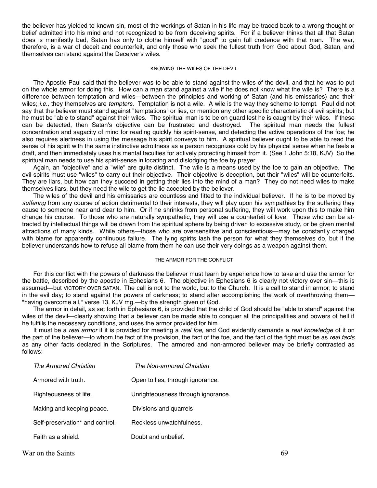the believer has yielded to known sin, most of the workings of Satan in his life may be traced back to a wrong thought or belief admitted into his mind and not recognized to be from deceiving spirits. For if a believer thinks that all that Satan does is manifestly bad, Satan has only to clothe himself with "good" to gain full credence with that man. The war, therefore, is a war of deceit and counterfeit, and only those who seek the fullest truth from God about God, Satan, and themselves can stand against the Deceiver's wiles.

## KNOWING THE WILES OF THE DEVIL

The Apostle Paul said that the believer was to be able to stand against the wiles of the devil, and that he was to put on the whole armor for doing this. How can a man stand against a wile if he does not know what the wile is? There is a difference between temptation and wiles—between the principles and working of Satan (and his emissaries) and their wiles; *i.e.,* they themselves are *tempters.* Temptation is not a wile. A wile is the way they scheme to tempt. Paul did not say that the believer must stand against "temptations" or lies, or mention any other specific characteristic of evil spirits; but he must be "able to stand" against their wiles. The spiritual man is to be on guard lest he is caught by their wiles. If these can be detected, then Satan's objective can be frustrated and destroyed. The spiritual man needs the fullest concentration and sagacity of mind for reading quickly his spirit-sense, and detecting the active operations of the foe; he also requires alertness in using the message his spirit conveys to him. A spiritual believer ought to be able to read the sense of his spirit with the same instinctive adroitness as a person recognizes cold by his physical sense when he feels a draft, and then immediately uses his mental faculties for actively protecting himself from it. (See 1 John 5:18, KJV) So the spiritual man needs to use his spirit-sense in locating and dislodging the foe by prayer.

Again, an "objective" and a "wile" are quite distinct. The wile is a means used by the foe to gain an objective. The evil spirits must use "wiles" to carry out their objective. Their objective is deception, but their "wiles" will be counterfeits. They are liars, but how can they succeed in getting their lies into the mind of a man? They do not need wiles to make themselves liars, but they need the wile to get the lie accepted by the believer.

The wiles of the devil and his emissaries are countless and fitted to the individual believer. If he is to be moved by *suffering* from any course of action detrimental to their interests, they will play upon his sympathies by the suffering they cause to someone near and dear to him. Or if he shrinks from personal suffering, they will work upon this to make him change his course. To those who are naturally sympathetic, they will use a counterfeit of love. Those who can be attracted by intellectual things will be drawn from the spiritual sphere by being driven to excessive study, or be given mental attractions of many kinds. While others—those who are oversensitive and conscientious—may be constantly charged with blame for apparently continuous failure. The lying spirits lash the person for what they themselves do, but if the believer understands how to refuse all blame from them he can use their very doings as a weapon against them.

## THE ARMOR FOR THE CONFLICT

For this conflict with the powers of darkness the believer must learn by experience how to take and use the armor for the battle, described by the apostle in Ephesians 6. The objective in Ephesians 6 is clearly not victory over sin—this is assumed—but VICTORY OVER SATAN. The call is not to the world, but to the Church. It is a call to stand in armor; to stand in the evil day; to stand against the powers of darkness; to stand after accomplishing the work of overthrowing them— "having overcome all," verse 13, KJV mg.—by the strength given of God.

The armor in detail, as set forth in Ephesians 6, is provided that the child of God should be "able to stand" against the wiles of the devil—clearly showing that a believer can be made able to conquer all the principalities and powers of hell if he fulfills the necessary conditions, and uses the armor provided for him.

It must be a *real armor* if it is provided for meeting a *real foe,* and God evidently demands a *real knowledge* of it on the part of the believer—to whom the fact of the provision, the fact of the foe, and the fact of the fight must be as *real facts* as any other facts declared in the Scriptures. The armored and non-armored believer may be briefly contrasted as follows:

| The Armored Christian                       | The Non-armored Christian          |
|---------------------------------------------|------------------------------------|
| Armored with truth.                         | Open to lies, through ignorance.   |
| Righteousness of life.                      | Unrighteousness through ignorance. |
| Making and keeping peace.                   | Divisions and quarrels             |
| Self-preservation <sup>*</sup> and control. | Reckless unwatchfulness.           |
| Faith as a shield.                          | Doubt and unbelief.                |
|                                             |                                    |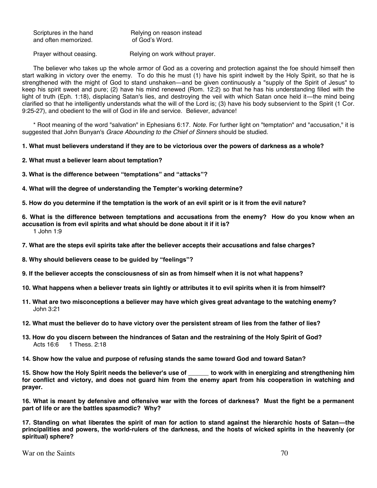| Scriptures in the hand | Relying on reason instead |
|------------------------|---------------------------|
| and often memorized.   | of God's Word.            |

Prayer without ceasing. Relying on work without prayer.

The believer who takes up the whole armor of God as a covering and protection against the foe should himself then start walking in victory over the enemy. To do this he must (1) have his spirit indwelt by the Holy Spirit, so that he is strengthened with the might of God to stand unshaken—and be given continuously a "supply of the Spirit of Jesus" to keep his spirit sweet and pure; (2) have his mind renewed (Rom. 12:2) so that he has his understanding filled with the light of truth (Eph. 1:18), displacing Satan's lies, and destroying the veil with which Satan once held it—the mind being clarified so that he intelligently understands what the will of the Lord is; (3) have his body subservient to the Spirit (1 Cor. 9:25-27), and obedient to the will of God in life and service. Believer, advance!

\* Root meaning of the word "salvation" in Ephesians 6:17. *Note.* For further light on "temptation" and "accusation," it is suggested that John Bunyan's *Grace Abounding to the Chief of Sinners* should be studied.

# **1. What must believers understand if they are to be victorious over the powers of darkness as a whole?**

- **2. What must a believer learn about temptation?**
- **3.** What is the difference between "temptations" and "attacks"?
- **4. What will the degree of understanding the Tempter**'**s working determine?**

**5. How do you determine if the temptation is the work of an evil spirit or is it from the evil nature?** 

**6. What is the difference between temptations and accusations from the enemy? How do you know when an accusation is from evil spirits and what should be done about it if it is?**  1 John 1:9

**7. What are the steps evil spirits take after the believer accepts their accusations and false charges?** 

- **8. Why should believers cease to b**e guided by "feelings"?
- **9. If the believer accepts the consciousness of sin as from himself when it is not what happens?**
- **10. What happens when a believer treats sin lightly or attributes it to evil spirits when it is from himself?**
- **11. What are two misconceptions a believer may have which gives great advantage to the watching enemy?**  John 3:21
- **12. What must the believer do to have victory over the persistent stream of lies from the father of lies?**
- **13. How do you discern between the hindrances of Satan and the restraining of the Holy Spirit of God?** Acts 16:6 1 Thess. 2:18
- **14. Show how the value and purpose of refusing stands the same toward God and toward Satan?**

**15. Show how the Holy Spirit needs the believer's use of \_\_\_\_\_\_ to work with in energizing and strengthening him for conflict and victory, and does not guard him from the enemy apart from his cooperation in watching and prayer.**

**16. What is meant by defensive and offensive war with the forces of darkness? Must the fight be a permanent part of life or are the battles spasmodic? Why?** 

**17. Standing on what liberates the spirit of man for action to stand against the hierarchic hosts of Satan**—**the principalities and powers, the world-rulers of the darkness, and the hosts of wicked spirits in the heavenly (or spiritual) sphere?**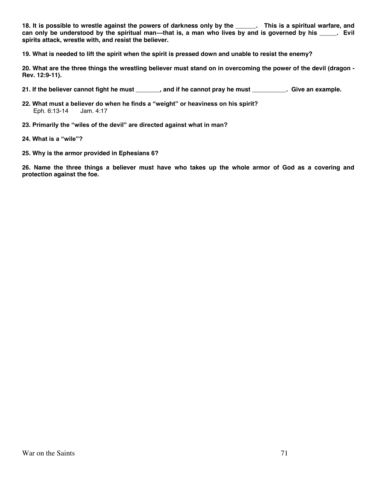**18. It is possible to wrestle against the powers of darkness only by the \_\_\_\_\_\_. This is a spiritual warfare, and can only be understood by the spiritual man**—**that is, a man who lives by and is governed by his \_\_\_\_\_. Evil spirits attack, wrestle with, and resist the believer.** 

**19. What is needed to lift the spirit when the spirit is pressed down and unable to resist the enemy?** 

**20. What are the three things the wrestling believer must stand on in overcoming the power of the devil (dragon - Rev. 12:9-11).** 

- **21. If the believer cannot fight he must \_\_\_\_\_\_\_, and if he cannot pray he must \_\_\_\_\_\_\_\_\_\_. Give an example.**
- **22.** What must a believer do when he finds a "weight" or heaviness on his spirit? Eph. 6:13-14 Jam. 4:17
- **23.** Primarily the "wiles of the devil" are directed against what in man?
- **24.** What is a "wile"?
- **25. Why is the armor provided in Ephesians 6?**

**26. Name the three things a believer must have who takes up the whole armor of God as a covering and protection against the foe.**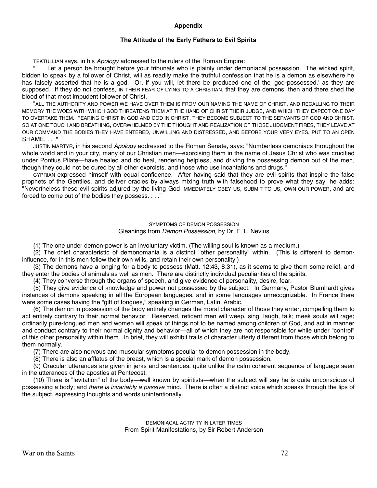# **Appendix**

## **The Attitude of the Early Fathers to Evil Spirits**

TEKTULLIAN says, in his *Apology* addressed to the rulers of the Roman Empire:

". . . Let a person be brought before your tribunals who is plainly under demoniacal possession. The wicked spirit, bidden to speak by a follower of Christ, will as readily make the truthful confession that he is a demon as elsewhere he has falsely asserted that he is a god. Or, if you will, let there be produced one of the 'god-possessed,' as they are supposed. If they do not confess, IN THEIR FEAR OF LYING TO A CHRISTIAN, that they are demons, then and there shed the blood of that most impudent follower of Christ.

"ALL THE AUTHORITY AND POWER WE HAVE OVER THEM IS FROM OUR NAMING THE NAME OF CHRIST, AND RECALLING TO THEIR MEMORY THE WOES WITH WHICH GOD THREATENS THEM AT THE HAND OF CHRIST THEIR JUDGE, AND WHICH THEY EXPECT ONE DAY TO OVERTAKE THEM. FEARING CHRIST IN GOD AND GOD IN CHRIST, THEY BECOME SUBJECT TO THE SERVANTS OF GOD AND CHRIST. SO AT ONE TOUCH AND BREATHING, OVERWHELMED BY THE THOUGHT AND REALIZATION OF THOSE JUDGMENT FIRES, THEY LEAVE AT OUR COMMAND THE BODIES THEY HAVE ENTERED, UNWILLING AND DISTRESSED, AND BEFORE YOUR VERY EYES, PUT TO AN OPEN SHAME. . . ."

JUSTIN MARTYR, in his second *Apology* addressed to the Roman Senate, says: "Numberless demoniacs throughout the whole world and in your city, many of our Christian men—exorcising them in the name of Jesus Christ who was crucified under Pontius Pilate—have healed and do heal, rendering helpless, and driving the possessing demon out of the men, though they could not be cured by all other exorcists, and those who use incantations and drugs."

CYPRIAN expressed himself with equal confidence. After having said that they are evil spirits that inspire the false prophets of the Gentiles, and deliver oracles by always mixing truth with falsehood to prove what they say, he adds: "Nevertheless these evil spirits adjured by the living God IMMEDIATELY OBEY US, SUBMIT TO US, OWN OUR POWER, and are forced to come out of the bodies they possess. . . ."

> SYMPTOMS OF DEMON POSSESSION Gleanings from *Demon Possession,* by Dr. F. L. Nevius

(1) The one under demon-power is an involuntary victim. (The willing soul is known as a medium.)

(2) The chief characteristic of demonomania is a distinct "other personality" within. (This is different to demoninfluence, for in this men follow their own wills, and retain their own personality.)

(3) The demons have a longing for a body to possess (Matt. 12:43, 8:31), as it seems to give them some relief, and they enter the bodies of animals as well as men. There are distinctly individual peculiarities of the spirits.

(4) They converse through the organs of speech, and give evidence of personality, desire, fear.

(5) They give evidence of knowledge and power not possessed by the subject. In Germany, Pastor Blumhardt gives instances of demons speaking in all the European languages, and in some languages unrecognizable. In France there were some cases having the "gift of tongues," speaking in German, Latin, Arabic.

(6) The demon in possession of the body entirely changes the moral character of those they enter, compelling them to act entirely contrary to their normal behavior. Reserved, reticent men will weep, sing, laugh, talk; meek souls will rage; ordinarily pure-tongued men and women will speak of things not to be named among children of God, and act in manner and conduct contrary to their normal dignity and behavior—all of which they are not responsible for while under "control" of this other personality within them. In brief, they will exhibit traits of character utterly different from those which belong to them normally.

(7) There are also nervous and muscular symptoms peculiar to demon possession in the body.

(8) There is also an afflatus of the breast, which is a special mark of demon possession.

(9) Oracular utterances are given in jerks and sentences, quite unlike the calm coherent sequence of language seen in the utterances of the apostles at Pentecost.

(10) There is "levitation" of the body—well known by spiritists—when the subject will say he is quite unconscious of possessing a body; and *there is invariably a passive* mind. There is often a distinct voice which speaks through the lips of the subject, expressing thoughts and words unintentionally.

> DEMONIACAL ACTIVITY IN LATER TIMES From Spirit Manifestations, by Sir Robert Anderson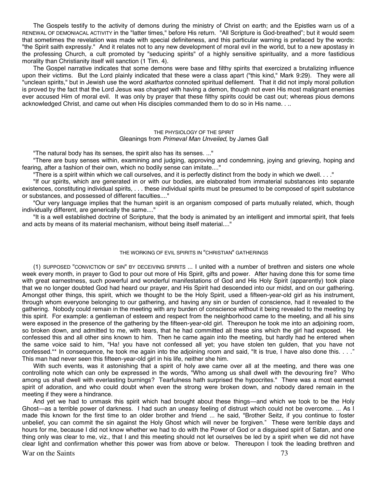The Gospels testify to the activity of demons during the ministry of Christ on earth; and the Epistles warn us of a RENEWAL OF DEMONIACAL ACTIVITY in the "latter times," before His return. "All Scripture is God-breathed´; but it would seem that sometimes the revelation was made with special definiteness, and this particular warning is prefaced by the words: "the Spirit saith expressly." And it relates not to any new development of moral evil in the world, but to a new apostasy in the professing Church, a cult promoted by "seducing spirits" of a highly sensitive spirituality, and a more fastidious morality than Christianity itself will sanction (1 Tim. 4).

The Gospel narrative indicates that some demons were base and filthy spirits that exercized a brutalizing influence upon their victims. But the Lord plainly indicated that these were a class apart ("this kind," Mark 9:29). They were all "unclean spirits," but in Jewish use the word *akathartos* connoted spiritual defilement. That it did not imply moral pollution is proved by the fact that the Lord Jesus was charged with having a demon, though not even His most malignant enemies ever accused Him of moral evil. It was only by prayer that these filthy spirits could be cast out; whereas pious demons acknowledged Christ, and came out when His disciples commanded them to do so in His name. . ..

## THE PHYSIOLOGY OF THE SPIRIT Gleanings from *Primeval Man Unveiled,* by James Gall

"The natural body has its senses, the spirit also has its senses. ..."

"There are busy senses within, examining and judging, approving and condemning, joying and grieving, hoping and fearing, after a fashion of their own, which no bodily sense can imitate...."

"There is a spirit within which we call ourselves, and it is perfectly distinct from the body in which we dwell. . . ."

"If our spirits, which are generated in or with our bodies, are elaborated from immaterial substances into separate existences, constituting individual spirits, . . . these individual spirits must be presumed to be composed of spirit substance or substances, and possessed of different faculties...."

"Our very language implies that the human spirit is an organism composed of parts mutually related, which, though individually different, are generically the same...."

"It is a well established doctrine of Scripture, that the body is animated by an intelligent and immortal spirit, that feels and acts by means of its material mechanism, without being itself material...."

#### THE WORKING OF EVIL SPIRITS IN "CHRISTIAN" GATHERINGS

(1) SUPPOSED "CONVICTION OF SIN" BY DECEIVING SPIRITS ... I united with a number of brethren and sisters one whole week every month, in prayer to God to pour out more of His Spirit, gifts and power. After having done this for some time with great earnestness, such powerful and wonderful manifestations of God and His Holy Spirit (apparently) took place that we no longer doubted God had heard our prayer, and His Spirit had descended into our midst, and on our gathering. Amongst other things, this spirit, which we thought to be the Holy Spirit, used a fifteen-year-old girl as his instrument, through whom everyone belonging to our gathering, and having any sin or burden of conscience, had it revealed to the gathering. Nobody could remain in the meeting with any burden of conscience without it being revealed to the meeting by this spirit. For example: a gentleman of esteem and respect from the neighborhood came to the meeting, and all his sins were exposed in the presence of the gathering by the fifteen-year-old girl. Thereupon he took me into an adjoining room, so broken down, and admitted to me, with tears, that he had committed all these sins which the girl had exposed. He confessed this and all other sins known to him. Then he came again into the meeting, but hardly had he entered when the same voice said to him, "Ha! you have not confessed all yet; you have stolen ten gulden, that you have not confessed.\*\* In consequence, he took me again into the adjoining room and said, "It is true, I have also done this. . . ." This man had never seen this fifteen-year-old girl in his life, neither she him.

With such events, was it astonishing that a spirit of holy awe came over all at the meeting, and there was one controlling note which can only be expressed in the words, "Who among us shall dwell with the devouring fire? Who among us shall dwell with everlasting burnings? Tearfulness hath surprised the hypocrites." There was a most earnest spirit of adoration, and who could doubt when even the strong were broken down, and nobody dared remain in the meeting if they were a hindrance.

War on the Saints 73 And yet we had to unmask this spirit which had brought about these things—and which we took to be the Holy Ghost—as a terrible power of darkness. I had such an uneasy feeling of distrust which could not be overcome. ... As I made this known for the first time to an older brother and friend ... he said, "Brother Seitz, if you continue to foster unbelief, you can commit the sin against the Holy Ghost which will never be forgiven." These were terrible days and hours for me, because I did not know whether we had to do with the Power of God or a disguised spirit of Satan, and one thing only was clear to me, viz., that I and this meeting should not let ourselves be led by a spirit when we did not have clear light and confirmation whether this power was from above or below. Thereupon I took the leading brethren and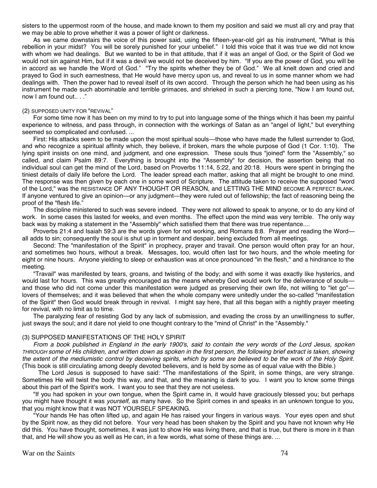sisters to the uppermost room of the house, and made known to them my position and said we must all cry and pray that we may be able to prove whether it was a power of light or darkness.

As we came downstairs the voice of this power said, using the fifteen-year-old girl as his instrument, "What is this rebellion in your midst? You will be sorely punished for your unbelief." I told this voice that it was true we did not know with whom we had dealings. But we wanted to be in that attitude, that if it was an angel of God, or the Spirit of God we would not sin against Him, but if it was a devil we would not be deceived by him. "If you are the power of God, you will be in accord as we handle the Word of God." "Try the spirits whether they be of God." We all knelt down and cried and prayed to God in such earnestness, that He would have mercy upon us, and reveal to us in some manner whom we had dealings with. Then the power had to reveal itself of its own accord. Through the person which he had been using as his instrument he made such abominable and terrible grimaces, and shrieked in such a piercing tone, "Now I am found out, now I am found out...."

#### (2) SUPPOSED UNITY FOR "REVIVAL´

For some time now it has been on my mind to try to put into language some of the things which it has been my painful experience to witness, and pass through, in connection with the workings of Satan as an "angel of light," but everything seemed so complicated and confused. ...

First: His attacks seem to be made upon the most spiritual souls—those who have made the fullest surrender to God, and who recognize a spiritual affinity which, they believe, if broken, mars the whole purpose of God (1 Cor. 1:10). The lying spirit insists on one mind, and judgment, and one expression. These souls thus "joined" form the "Assembly," so called, and claim Psalm 89:7. Everything is brought into the "Assembly" for decision, the assertion being that no individual soul can get the mind of the Lord, based on Proverbs 11:14, 5:22, and 20:18. Hours were spent in bringing the tiniest details of daily life before the Lord. The leader spread each matter, asking that all might be brought to one mind. The response was then given by each one in some word of Scripture. The attitude taken to receive the supposed "word of the Lord," was the RESISTANCE OF ANY THOUGHT OR REASON, and LETTING THE MIND BECOME A PERFECT BLANK. If anyone ventured to give an opinion—or any judgment—they were ruled out of fellowship; the fact of reasoning being the proof of the "flesh life."

The discipline ministered to such was severe indeed. They were not allowed to speak to anyone, or to do any kind of work. In some cases this lasted for weeks, and even months. The effect upon the mind was very terrible. The only way back was by making a statement in the "Assembly" which satisfied them that there was true repentance....

Proverbs 21:4 and Isaiah 59:3 are the words given for not working, and Romans 8:8. Prayer and reading the Word all adds to sin; consequently the soul is shut up in torment and despair, being excluded from all meetings.

Second: The "manifestation of the Spirit" in prophecy, prayer and travail. One person would often pray for an hour, and sometimes two hours, without a break. Messages, too, would often last for two hours, and the whole meeting for eight or nine hours. Anyone yielding to sleep or exhaustion was at once pronounced "in the flesh," and a hindrance to the meeting.

"Travail" was manifested by tears, groans, and twisting of the body; and with some it was exactly like hysterics, and would last for hours. This was greatly encouraged as the means whereby God would work for the deliverance of souls and those who did not come under this manifestation were judged as preserving their own life, not willing to "let go" lovers of themselves; and it was believed that when the whole company were unitedly under the so-called "manifestation of the Spirit" then God would break through in revival. I might say here, that all this began with a nightly prayer meeting for revival, with no limit as to time.

The paralyzing fear of resisting God by any lack of submission, and evading the cross by an unwillingness to suffer, just sways the soul; and it dare not yield to one thought contrary to the "mind of Christ" in the "Assembly."

# (3) SUPPOSED MANIFESTATIONS OF THE HOLY SPIRIT

*From a book published in England in the early 1900's, said to contain the very words of the Lord Jesus, spoken THROUGH some of His children, and written down as spoken in the first person, the following brief extract is taken, showing the extent of the mediumistic control by deceiving spirits, which by some are believed to be the work of the Holy Spirit.* (This book is still circulating among deeply devoted believers, and is held by some as of equal value with the Bible.)

The Lord Jesus is supposed to have said: "The manifestations of the Spirit, in some things, are very strange. Sometimes He will twist the body this way, and that, and the meaning is dark to you. I want you to know some things about this part of the Spirit's work. I want you to see that they are not useless.

"If you had spoken in your own tongue, when the Spirit came in, it would have graciously blessed you; but perhaps you might have thought it was *yourself,* as many have. So the Spirit comes in and speaks in an unknown tongue to you, that you might know that it was NOT YOURSELF SPEAKING.

"Your hands He has often lifted up, and again He has raised your fingers in various ways. Your eyes open and shut by the Spirit now, as they did not before. Your very head has been shaken by the Spirit and you have not known why He did this. You have thought, sometimes, it was just to show He was living there, and that is true, but there is more in it than that, and He will show you as well as He can, in a few words, what some of these things are. ...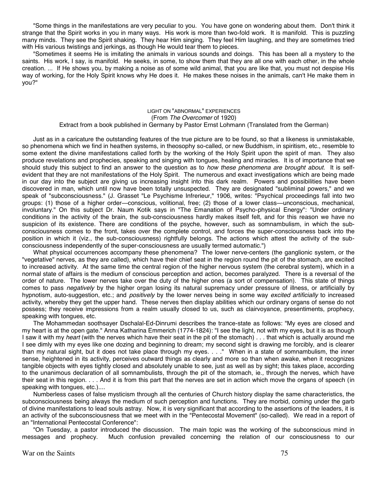"Some things in the manifestations are very peculiar to you. You have gone on wondering about them. Don't think it strange that the Spirit works in you in many ways. His work is more than two-fold work. It is manifold. This is puzzling many minds. They see the Spirit shaking. They hear Him singing. They feel Him laughing, and they are sometimes tried with His various twistings and jerkings, as though He would tear them to pieces.

"Sometimes it seems He is imitating the animals in various sounds and doings. This has been all a mystery to the saints. His work, I say, is manifold. He seeks, in some, to show them that they are all one with each other, in the whole creation. ... If He shows you, by making a noise as of some wild animal, that you are like that, you must not despise His way of working, for the Holy Spirit knows why He does it. He makes these noises in the animals, can't He make them in you?"

## LIGHT ON "ABNORMAL" EXPERIENCES (From *The Overcomer* of 1920) Extract from a book published in Germany by Pastor Ernst Lohmann (Translated from the German)

Just as in a caricature the outstanding features of the true picture are to be found, so that a likeness is unmistakable, so phenomena which we find in heathen systems, in theosophy so-called, or new Buddhism, in spiritism, etc., resemble to some extent the divine manifestations called forth by the working of the Holy Spirit upon the spirit of man. They also produce revelations and prophecies, speaking and singing with tongues, healing and miracles. It is of importance that we should study this subject to find an answer to the question as to *how these phenomena are brought about.* It is selfevident that they are not manifestations of the Holy Spirit. The numerous and exact investigations which are being made in our day into the subject are giving us increasing insight into this dark realm. Powers and possibilities have been discovered in man, which until now have been totally unsuspected. They are designated "subliminal powers," and we speak of "subconsciousness." (J. Grasset "Le Psychisme Infrerieur," 1906, writes: "Psychical proceedings fall into two groups: (1) those of a higher order—conscious, volitional, free; (2) those of a lower class—unconscious, mechanical, involuntary." On this subject Dr. Naum Kotik says in "The Emanation of Psycho-physical Energy": "Under ordinary conditions in the activity of the brain, the sub-consciousness hardly makes itself felt, and for this reason we have no suspicion of its existence. There are conditions of the psyche, however, such as somnambulism, in which the subconsciousness comes to the front, takes over the complete control, and forces the super-consciousness back into the position in which it (viz., the sub-consciousness) rightfully belongs. The actions which attest the activity of the subconsciousness independently of the super-consciousness are usually termed automatic.")

What physical occurrences accompany these phenomena? The lower nerve-centers (the ganglionic system, or the "vegetative" nerves, as they are called), which have their chief seat in the region round the pit of the stomach, are excited to increased activity. At the same time the central region of the higher nervous system (the cerebral system), which in a normal state of affairs is the medium of conscious perception and action, becomes paralyzed. There is a reversal of the order of nature. The lower nerves take over the duty of the higher ones (a sort of compensation). This state of things comes to pass *negatively* by the higher organ losing its natural supremacy under pressure of illness, or artificially by hypnotism, auto-suggestion, etc.; and *positively* by the lower nerves being in some way *excited artificially* to increased activity, whereby they get the upper hand. These nerves then display abilities which our ordinary organs of sense do not possess; they receive impressions from a realm usually closed to us, such as clairvoyance, presentiments, prophecy, speaking with tongues, etc.

The Mohammedan soothsayer Dschalal-Ed-Dinrumi describes the trance-state as follows: "My eyes are closed and my heart is at the open gate." Anna Katharina Emmerich (1774-1824): "I see the light, not with my eyes, but it is as though I saw it with my *heart* (with the nerves which have their seat in the pit of the stomach) . . . that which is actually around me I see dimly with my eyes like one dozing and beginning to dream; my second sight is drawing me forcibly, and is clearer than my natural sight, but it does not take place through my eyes. . . ." When in a state of somnambulism, the inner sense, heightened in its activity, perceives outward things as clearly and more so than when awake, when it recognizes tangible objects with eyes tightly closed and absolutely unable to see, just as well as by sight; this takes place, according to the unanimous declaration of all somnambulists, through the pit of the stomach, ie*.,* through the nerves, which have their seat in this region. . . . And it is from this part that the nerves are set in action which move the organs of speech (in speaking with tongues, etc.)....

Numberless cases of false mysticism through all the centuries of Church history display the same characteristics, the subconsciousness being always the medium of such perception and functions. They are morbid, coming under the garb of divine manifestations to lead souls astray. Now, it is very significant that according to the assertions of the leaders, it is an activity of the subconsciousness that we meet with in the "Pentecostal Movement" (so-called). We read in a report of an "International Pentecostal Conference":

"On Tuesday, a pastor introduced the discussion. The main topic was the working of the subconscious mind in messages and prophecy. Much confusion prevailed concerning the relation of our consciousness to our Much confusion prevailed concerning the relation of our consciousness to our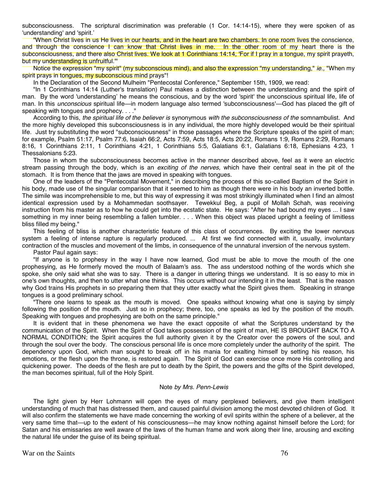subconsciousness. The scriptural discrimination was preferable (1 Cor. 14:14-15), where they were spoken of as 'understanding' and 'spirit.'

"When Christ lives in us He lives in our hearts, and in the heart are two chambers. In one room lives the conscience, and through the conscience I can know that Christ lives in me. In the other room of my heart there is the subconsciousness, and there also Christ lives. We look at 1 Corinthians 14:14, 'For if I pray in a tongue, my spirit prayeth, but my understanding is unfruitful."

Notice the expression "my spirit" (my subconscious mind), and also the expression "my understanding," *ie.,* "When my spirit prays in tongues, my subconscious mind prays"!

In the Declaration of the Second Mulheim "Pentecostal Conference," September 15th, 1909, we read:

"In 1 Corinthians 14:14 (Luther's translation) Paul makes a distinction between the understanding and the spirit of man. By the word 'understanding' he means the conscious, and by the word 'spirit' the unconscious spiritual life, life of man. In this *unconscious* spiritual life—in modern language also termed 'subconsciousness'—God has placed the gift of speaking with tongues and prophecy. . . ."

According to this, *the spiritual life of the believer is* synonymous *with the subconsciousness of the* somnambulist. And the more highly developed this subconsciousness is in any individual, the more highly developed would be their spiritual life. Just try substituting the word "subconsciousness" in those passages where the Scripture speaks of the spirit of man; for example, Psalm 51:17, Psalm 77:6, Isaiah 66:2, Acts 7:59, Acts 18:5, Acts 20:22, Romans 1:9, Romans 2:29, Romans 8:16, 1 Corinthians 2:11, 1 Corinthians 4:21, 1 Corinthians 5:5, Galatians 6:1, Galatians 6:18, Ephesians 4:23, 1 Thessalonians 5:23.

Those in whom the subconsciousness becomes active in the manner described above, feel as it were an electric stream passing through the body, which is an *exciting of the nerves,* which have their central seat in the pit of the stomach. It is from thence that the jaws are moved in speaking with tongues.

One of the leaders of the "Pentecostal Movement," in describing the process of this so-called Baptism of the Spirit in his body, made use of the singular comparison that it seemed to him as though there were in his body an inverted bottle. The simile was incomprehensible to me, but this way of expressing it was most strikingly illuminated when I find an almost identical expression used by a Mohammedan soothsayer. Tewekkul Beg, a pupil of Mollah Schah, was receiving instruction from his master as to how he could get into the ecstatic state. He says: "After he had bound my eyes ... I saw something in my inner being resembling a fallen tumbler. . . . When this object was placed upright a feeling of limitless bliss filled my being."

This feeling of bliss is another characteristic feature of this class of occurrences. By exciting the lower nervous system a feeling of intense rapture is regularly produced. ... At first we find connected with it, usually, involuntary contraction of the muscles and movement of the limbs, in consequence of the unnatural inversion of the nervous system.

Pastor Paul again says:

"If anyone is to prophesy in the way I have now learned, God must be able to move the mouth of the one prophesying, as He formerly moved the mouth of Balaam's ass. The ass understood nothing of the words which she spoke, she only said what she was to say. There is a danger in uttering things we understand. It is so easy to mix in one's own thoughts, and then to utter what one thinks. This occurs without our intending it in the least. That is the reason why God trains His prophets in so preparing them that they utter exactly what the Spirit gives them. Speaking in strange tongues is a good preliminary school.

"There one learns to speak as the mouth is moved. One speaks without knowing what one is saying by simply following the position of the mouth. Just so in prophecy; there, too, one speaks as led by the position of the mouth. Speaking with tongues and prophesying are both on the same principle."

It is evident that in these phenomena we have the exact opposite of what the Scriptures understand by the communication of the Spirit. When the Spirit of God takes possession of the spirit of man, HE IS BROUGHT BACK TO A NORMAL CONDITION; the Spirit acquires the full authority given it by the Creator over the powers of the soul, and through the soul over the body. The conscious personal life is once more completely under the authority of the spirit. The dependency upon God, which man sought to break off in his mania for exalting himself by setting his reason, his emotions, or the flesh upon the throne, is restored again. The Spirit of God can exercise once more His controlling and quickening power. The deeds of the flesh are put to death by the Spirit, the powers and the gifts of the Spirit developed, the man becomes spiritual, full of the Holy Spirit.

### Note *by Mrs. Penn-Lewis*

The light given by Herr Lohmann will open the eyes of many perplexed believers, and give them intelligent understanding of much that has distressed them, and caused painful division among the most devoted children of God. It will also confirm the statements we have made concerning the working of evil spirits within the sphere of a believer, at the very same time that—up to the extent of his consciousness—he may know nothing against himself before the Lord; for Satan and his emissaries are well aware of the laws of the human frame and work along their line, arousing and exciting the natural life under the guise of its being spiritual.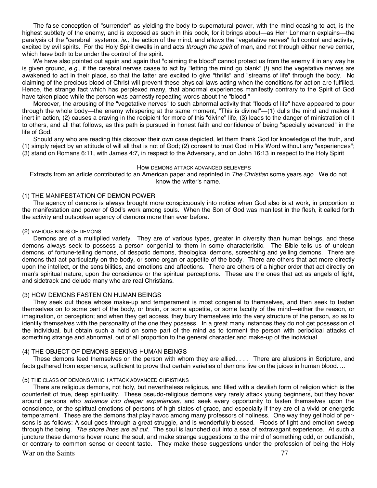The false conception of "surrender" as yielding the body to supernatural power, with the mind ceasing to act, is the highest subtlety of the enemy, and is exposed as such in this book, for it brings about—as Herr Lohmann explains—the paralysis of the "cerebral" systems, *ie.,* the action of the mind, and allows the "vegetative nerves" full control and activity, excited by evil spirits. For the Holy Spirit dwells in and acts *through the spirit* of man, and not through either nerve center, which have both to be under the control of the spirit.

We have also pointed out again and again that "claiming the blood" cannot protect us from the enemy if in any way he is given ground, *e.g.,* if the cerebral nerves cease to act by "letting the mind go blank" (!) and the vegetative nerves are awakened to act in their place, so that the latter are excited to give "thrills" and "streams of life" through the body. No claiming of the precious blood of Christ will prevent these physical laws acting when the conditions for action are fulfilled. Hence, the strange fact which has perplexed many, that abnormal experiences manifestly contrary to the Spirit of God have taken place while the person was earnestly repeating words about the "blood."

Moreover, the arousing of the "vegetative nerves" to such abnormal activity that "floods of life" have appeared to pour through the whole body—the enemy whispering at the same moment, "This is divinel"— $(1)$  dulls the mind and makes it inert in action, (2) causes a craving in the recipient for more of this "divine" life, (3) leads to the danger of ministration of it to others, and all that follows, as this path is pursued in honest faith and confidence of being "specially advanced" in the life of God.

Should any who are reading this discover their own case depicted, let them thank God for knowledge of the truth, and (1) simply reject by an attitude of will all that is not of God; (2) consent to trust God in His Word without any "experiences"; (3) stand on Romans 6:11, with James 4:7, in respect to the Adversary, and on John 16:13 in respect to the Holy Spirit

#### How DEMONS ATTACK ADVANCED BELIEVERS

Extracts from an article contributed to an American paper and reprinted in *The Christian* some years ago. We do not know the writer's name.

## (1) THE MANIFESTATION OF DEMON POWER

The agency of demons is always brought more conspicuously into notice when God also is at work, in proportion to the manifestation and power of God's work among souls. When the Son of God was manifest in the flesh, it called forth the activity and outspoken agency of demons more than ever before.

### (2) VARIOUS KINDS OF DEMONS

Demons are of a multiplied variety. They are of various types, greater in diversity than human beings, and these demons always seek to possess a person congenial to them in some characteristic. The Bible tells us of unclean demons, of fortune-telling demons, of despotic demons, theological demons, screeching and yelling demons. There are demons that act particularly on the body, or some organ or appetite of the body. There are others that act more directly upon the intellect, or the sensibilities, and emotions and affections. There are others of a higher order that act directly on man's spiritual nature, upon the conscience or the spiritual perceptions. These are the ones that act as angels of light, and sidetrack and delude many who are real Christians.

# (3) HOW DEMONS FASTEN ON HUMAN BEINGS

They seek out those whose make-up and temperament is most congenial to themselves, and then seek to fasten themselves on to some part of the body, or brain, or some appetite, or some faculty of the mind—either the reason, or imagination, or perception; and when they get access, they bury themselves into the very structure of the person, so as to identify themselves with the personality of the one they possess. In a great many instances they do not get possession of the individual, but obtain such a hold on some part of the mind as to torment the person with periodical attacks of something strange and abnormal, out of all proportion to the general character and make-up of the individual.

# (4) THE OBJECT OF DEMONS SEEKING HUMAN BEINGS

These demons feed themselves on the person with whom they are allied. . . . There are allusions in Scripture, and facts gathered from experience, sufficient to prove that certain varieties of demons live on the juices in human blood. ...

#### (5) THE CLASS OF DEMONS WHICH ATTACK ADVANCED CHRISTIANS

There are religious demons, not holy, but nevertheless religious, and filled with a devilish form of religion which is the counterfeit of true, deep spirituality. These pseudo-religious demons very rarely attack young beginners, but they hover around persons who *advance into deeper experiences,* and seek every opportunity to fasten themselves upon the conscience, or the spiritual emotions of persons of high states of grace, and especially if they are of a vivid or energetic temperament. These are the demons that play havoc among many professors of holiness. One way they get hold of persons is as follows: A soul goes through a great struggle, and is wonderfully blessed. Floods of light and emotion sweep through the being. *The shore lines are all cut.* The soul is launched out into a sea of extravagant experience. At such a juncture these demons hover round the soul, and make strange suggestions to the mind of something odd, or outlandish, or contrary to common sense or decent taste. They make these suggestions under the profession of being the Holy

#### War on the Saints 77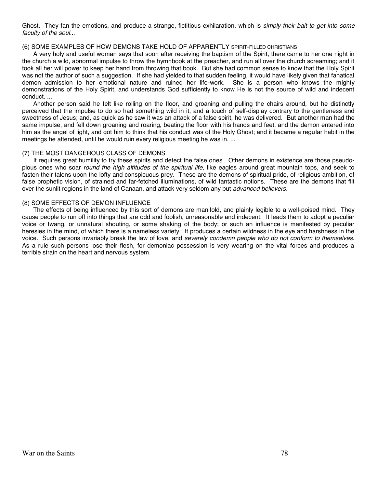Ghost. They fan the emotions, and produce a strange, fictitious exhilaration, which is *simply their bait to get into some faculty of the soul.*..

## (6) SOME EXAMPLES OF HOW DEMONS TAKE HOLD OF APPARENTLY SPIRIT-FILLED CHRISTIANS

A very holy and useful woman says that soon after receiving the baptism of the Spirit, there came to her one night in the church a wild, abnormal impulse to throw the hymnbook at the preacher, and run all over the church screaming; and it took all her will power to keep her hand from throwing that book. But she had common sense to know that the Holy Spirit was not the author of such a suggestion. If she had yielded to that sudden feeling, it would have likely given that fanatical demon admission to her emotional nature and ruined her life-work. She is a person who knows the mighty demonstrations of the Holy Spirit, and understands God sufficiently to know He is not the source of wild and indecent conduct. ...

Another person said he felt like rolling on the floor, and groaning and pulling the chairs around, but he distinctly perceived that the impulse to do so had something wild in it, and a touch of self-display contrary to the gentleness and sweetness of Jesus; and, as quick as he saw it was an attack of a false spirit, he was delivered. But another man had the same impulse, and fell down groaning and roaring, beating the floor with his hands and feet, and the demon entered into him as the angel of light, and got him to think that his conduct was of the Holy Ghost; and it became a regular habit in the meetings he attended, until he would ruin every religious meeting he was in. ...

## (7) THE MOST DANGEROUS CLASS OF DEMONS

It requires great humility to try these spirits and detect the false ones. Other demons in existence are those pseudopious ones who soar *round the high altitudes of the spiritual life,* like eagles around great mountain tops, and seek to fasten their talons upon the lofty and conspicuous prey. These are the demons of spiritual pride, of religious ambition, of false prophetic vision, of strained and far-fetched illuminations, of wild fantastic notions. These are the demons that flit over the sunlit regions in the land of Canaan, and attack very seldom any but *advanced believers.*

## (8) SOME EFFECTS OF DEMON INFLUENCE

The effects of being influenced by this sort of demons are manifold, and plainly legible to a well-poised mind. They cause people to run off into things that are odd and foolish, unreasonable and indecent. It leads them to adopt a peculiar voice or twang, or unnatural shouting, or some shaking of the body; or such an influence is manifested by peculiar heresies in the mind, of which there is a nameless variety. It produces a certain wildness in the eye and harshness in the voice. Such persons invariably break the law of love, and *severely condemn people who do not conform to themselves.*  As a rule such persons lose their flesh, for demoniac possession is very wearing on the vital forces and produces a terrible strain on the heart and nervous system.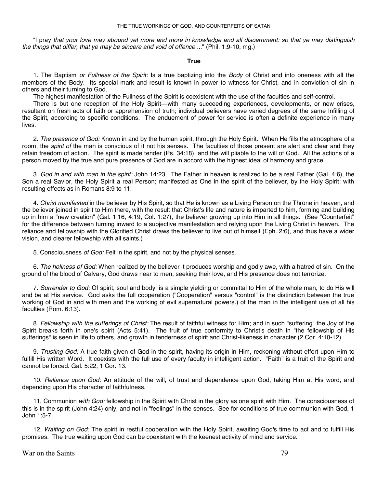³,SUD\*that your love may abound yet more and more in knowledge and all discernment: so that ye may distinguish the things that differ, that ye may be sincere and void of offence* ..." (Phil. 1:9-10, mg.)

#### **True**

1. The Baptism *or Fullness of the Spirit:* Is a true baptizing into the *Body* of Christ and into oneness with all the members of the Body. Its special mark and result is known in power to witness for Christ, and in conviction of sin in others and their turning to God.

The highest manifestation of the Fullness of the Spirit is coexistent with the use of the faculties and self-control.

There is but one reception of the Holy Spirit—with many succeeding experiences, developments, or new crises, resultant on fresh acts of faith or apprehension of truth; individual believers have varied degrees of the same Infilling of the Spirit, according to specific conditions. The enduement of power for service is often a definite experience in many lives.

2. *The presence of God:* Known in and by the human spirit, through the Holy Spirit. When He fills the atmosphere of a room, the *spirit of* the man is conscious of it not his senses. The faculties of those present are alert and clear and they retain freedom of action. The spirit is made tender (Ps. 34:18), and the will pliable to the will of God. All the actions of a person moved by the true and pure presence of God are in accord with the highest ideal of harmony and grace.

3. *God in and with man in the spirit:* John 14:23. The Father in heaven is realized to be a real Father (Gal. 4:6), the Son a real Savior, the Holy Spirit a real Person; manifested as One in the spirit of the believer, by the Holy Spirit: with resulting effects as in Romans 8:9 to 11.

4. *Christ manifested* in the believer by His Spirit, so that He is known as a Living Person on the Throne in heaven, and the believer joined in spirit to Him there, with the result that Christ's life and nature is imparted to him, forming and building up in him a "new creation" (Gal. 1:16, 4:19, Col. 1:27), the believer growing up into Him in all things. (See "Counterfeit" for the difference between turning inward to a subjective manifestation and relying upon the Living Christ in heaven. The reliance and fellowship with the Glorified Christ draws the believer to live out of himself (Eph. 2:6), and thus have a wider vision, and clearer fellowship with all saints.)

5. Consciousness *of God:* Felt in the spirit, and not by the physical senses.

6. *The holiness of God:* When realized by the believer it produces worship and godly awe, with a hatred of sin. On the ground of the blood of Calvary, God draws near to men, seeking their love, and His presence does not terrorize.

7. *Surrender to God:* Of spirit, soul and body, is a simple yielding or committal to Him of the whole man, to do His will and be at His service. God asks the full cooperation ("Cooperation" versus "control" is the distinction between the true working of God in and with men and the working of evil supernatural powers.) of the man in the intelligent use of all his faculties (Rom. 6:13).

8. *Fellowship with the sufferings of Christ:* The result of faithful witness for Him; and in such "suffering" the Joy of the Spirit breaks forth in one's spirit (Acts 5:41). The fruit of true conformity to Christ's death in "the fellowship of His sufferings" is seen in life to others, and growth in tenderness of spirit and Christ-likeness in character (2 Cor. 4:10-12).

9. *Trusting God:* A true faith given of God in the spirit, having its origin in Him, reckoning without effort upon Him to fulfill His written Word. It coexists with the full use of every faculty in intelligent action. "Faith" is a fruit of the Spirit and cannot be forced. Gal. 5:22, 1 Cor. 13.

10. *Reliance upon God:* An attitude of the will, of trust and dependence upon God, taking Him at His word, and depending upon His character of faithfulness.

11. Communion *with God:* fellowship in the Spirit with Christ in the glory as one spirit with Him. The consciousness of this is in the spirit (John 4:24) only, and not in "feelings" in the senses. See for conditions of true communion with God, 1 John 1:5-7.

12. *Waiting on God:* The spirit in restful cooperation with the Holy Spirit, awaiting God's time to act and to fulfill His promises. The true waiting upon God can be coexistent with the keenest activity of mind and service.

## War on the Saints 79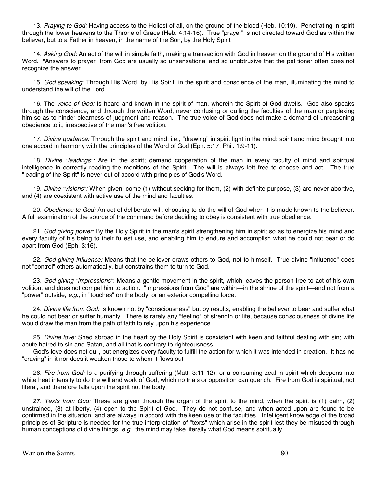13. *Praying to God:* Having access to the Holiest of all, on the ground of the blood (Heb. 10:19). Penetrating in spirit through the lower heavens to the Throne of Grace (Heb. 4:14-16). True "prayer" is not directed toward God as within the believer, but to a Father in heaven, in the name of the Son, by the Holy Spirit

14. *Asking God:* An act of the will in simple faith, making a transaction with God in heaven on the ground of His written Word. "Answers to prayer" from God are usually so unsensational and so unobtrusive that the petitioner often does not recognize the answer.

15. *God speaking:* Through His Word, by His Spirit, in the spirit and conscience of the man, illuminating the mind to understand the will of the Lord.

16. The *voice of God:* Is heard and known in the spirit of man, wherein the Spirit of God dwells. God also speaks through the conscience, and through the written Word, never confusing or dulling the faculties of the man or perplexing him so as to hinder clearness of judgment and reason. The true voice of God does not make a demand of unreasoning obedience to it, irrespective of the man's free volition.

17. *Divine guidance:* Through the spirit and mind; i.e., "drawing" in spirit light in the mind: spirit and mind brought into one accord in harmony with the principles of the Word of God (Eph. 5:17; Phil. 1:9-11).

18. *Divine "leadings":* Are in the spirit; demand cooperation of the man in every faculty of mind and spiritual intelligence in correctly reading the monitions of the Spirit. The will is always left free to choose and act. The true "leading of the Spirit" is never out of accord with principles of God's Word.

19. *Divine "visions":* When given, come (1) without seeking for them, (2) with definite purpose, (3) are never abortive, and (4) are coexistent with active use of the mind and faculties.

20. *Obedience to God:* An act of deliberate will, choosing to do the will of God when it is made known to the believer. A full examination of the source of the command before deciding to obey is consistent with true obedience.

21. *God giving power:* By the Holy Spirit in the man's spirit strengthening him in spirit so as to energize his mind and every faculty of his being to their fullest use, and enabling him to endure and accomplish what he could not bear or do apart from God (Eph. 3:16).

22. *God giving influence:* Means that the believer draws others to God, not to himself. True divine "influence" does not "control" others automatically, but constrains them to turn to God.

23. *God giving "impressions"*: Means a gentle movement in the spirit, which leaves the person free to act of his own volition, and does not compel him to action. "Impressions from God" are within—in the shrine of the spirit—and not from a "power" outside, *e.g.,* in "touches" on the body, or an exterior compelling force.

24. *Divine life from God:* Is known not by "consciousness" but by results, enabling the believer to bear and suffer what he could not bear or suffer humanly. There is rarely any "feeling" of strength or life, because consciousness of divine life would draw the man from the path of faith to rely upon his experience.

25. *Divine love:* Shed abroad in the heart by the Holy Spirit is coexistent with keen and faithful dealing with sin; with acute hatred to sin and Satan, and all that is contrary to righteousness.

God's love does not dull, but energizes every faculty to fulfill the action for which it was intended in creation. It has no "craving" in it nor does it weaken those to whom it flows out

26. *Fire from God:* Is a purifying through suffering (Matt. 3:11-12), or a consuming zeal in spirit which deepens into white heat intensity to do the will and work of God, which no trials or opposition can quench. Fire from God is spiritual, not literal, and therefore falls upon the spirit not the body.

27. *Texts from God:* These are given through the organ of the spirit to the mind, when the spirit is (1) calm, (2) unstrained, (3) at liberty, (4) open to the Spirit of God. They do not confuse, and when acted upon are found to be confirmed in the situation, and are always in accord with the keen use of the faculties. Intelligent knowledge of the broad principles of Scripture is needed for the true interpretation of "texts" which arise in the spirit lest they be misused through human conceptions of divine things, *e.g.,* the mind may take literally what God means spiritually.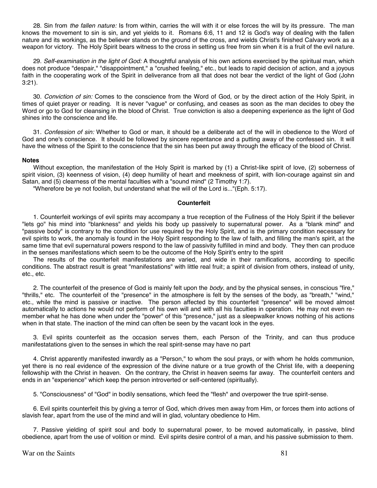28. Sin from *the fallen nature:* Is from within, carries the will with it or else forces the will by its pressure. The man knows the movement to sin is sin, and yet yields to it. Romans 6:6, 11 and 12 is God's way of dealing with the fallen nature and its workings, as the believer stands on the ground of the cross, and wields Christ's finished Calvary work as a weapon for victory. The Holy Spirit bears witness to the cross in setting us free from sin when it is a fruit of the evil nature.

29. *Self-examination in the light of God:* A thoughtful analysis of his own actions exercised by the spiritual man, which does not produce "despair," "disappointment," a "crushed feeling," etc., but leads to rapid decision of action, and a joyous faith in the cooperating work of the Spirit in deliverance from all that does not bear the verdict of the light of God (John 3:21).

30. *Conviction of sin:* Comes to the conscience from the Word of God, or by the direct action of the Holy Spirit, in times of quiet prayer or reading. It is never "vague" or confusing, and ceases as soon as the man decides to obey the Word or go to God for cleansing in the blood of Christ. True conviction is also a deepening experience as the light of God shines into the conscience and life.

31. *Confession of sin:* Whether to God or man, it should be a deliberate act of the will in obedience to the Word of God and one's conscience. It should be followed by sincere repentance and a putting away of the confessed sin. It will have the witness of the Spirit to the conscience that the sin has been put away through the efficacy of the blood of Christ.

#### **Notes**

Without exception, the manifestation of the Holy Spirit is marked by (1) a Christ-like spirit of love, (2) soberness of spirit vision, (3) keenness of vision, (4) deep humility of heart and meekness of spirit, with lion-courage against sin and Satan, and (5) clearness of the mental faculties with a "sound mind" (2 Timothy 1:7).

"Wherefore be ye not foolish, but understand what the will of the Lord is..."(Eph. 5:17).

# **Counterfeit**

1. Counterfeit workings of evil spirits may accompany a true reception of the Fullness of the Holy Spirit if the believer "lets go" his mind into "blankness" and yields his body up passively to supernatural power. As a "blank mind" and "passive body" is contrary to the condition for use required by the Holy Spirit, and is the primary condition necessary for evil spirits to work, the anomaly is found in the Holy Spirit responding to the law of faith, and filling the man's spirit, at the same time that evil supernatural powers respond to the law of passivity fulfilled in mind and body. They then can produce in the senses manifestations which seem to be the outcome of the Holy Spirit's entry to the spirit

The results of the counterfeit manifestations are varied, and wide in their ramifications, according to specific conditions. The abstract result is great "manifestations" with little real fruit; a spirit of division from others, instead of unity, etc., etc.

2. The counterfeit of the presence of God is mainly felt upon the *body,* and by the physical senses, in conscious "fire," "thrills," etc. The counterfeit of the "presence" in the atmosphere is felt by the senses of the body, as "breath," "wind," etc., while the mind is passive or inactive. The person affected by this counterfeit "presence" will be moved almost automatically to actions he would not perform of his own will and with all his faculties in operation. He may not even remember what he has done when under the "power" of this "presence," just as a sleepwalker knows nothing of his actions when in that state. The inaction of the mind can often be seen by the vacant look in the eyes.

3. Evil spirits counterfeit as the occasion serves them, each Person of the Trinity, and can thus produce manifestatations given to the senses in which the real spirit-sense may have no part

4. Christ apparently manifested inwardly as a "Person," to whom the soul prays, or with whom he holds communion, yet there is no real evidence of the expression of the divine nature or a true growth of the Christ life, with a deepening fellowship with the Christ in heaven. On the contrary, the Christ in heaven seems far away. The counterfeit centers and ends in an "experience" which keep the person introverted or self-centered (spiritually).

5. "Consciousness" of "God" in bodily sensations, which feed the "flesh" and overpower the true spirit-sense.

6. Evil spirits counterfeit this by giving a terror of God, which drives men away from Him, or forces them into actions of slavish fear, apart from the use of the mind and will in glad, voluntary obedience to Him.

7. Passive yielding of spirit soul and body to supernatural power, to be moved automatically, in passive, blind obedience, apart from the use of volition or mind. Evil spirits desire control of a man, and his passive submission to them.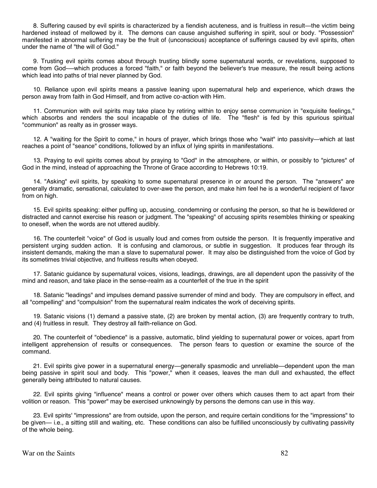8. Suffering caused by evil spirits is characterized by a fiendish acuteness, and is fruitless in result—the victim being hardened instead of mellowed by it. The demons can cause anguished suffering in spirit, soul or body. "Possession" manifested in abnormal suffering may be the fruit of (unconscious) acceptance of sufferings caused by evil spirits, often under the name of "the will of God."

9. Trusting evil spirits comes about through trusting blindly some supernatural words, or revelations, supposed to come from God-—which produces a forced "faith," or faith beyond the believer's true measure, the result being actions which lead into paths of trial never planned by God.

10. Reliance upon evil spirits means a passive leaning upon supernatural help and experience, which draws the person away from faith in God Himself, and from active co-action with Him.

11. Communion with evil spirits may take place by retiring within to enjoy sense communion in "exquisite feelings," which absorbs and renders the soul incapable of the duties of life. The "flesh" is fed by this spurious spiritual "communion" as realty as in grosser ways.

12. A "waiting for the Spirit to come," in hours of prayer, which brings those who "wait" into passivity—which at last reaches a point of "seance" conditions, followed by an influx of lying spirits in manifestations.

13. Praying to evil spirits comes about by praying to "God" in the atmosphere, or within, or possibly to "pictures" of God in the mind, instead of approaching the Throne of Grace according to Hebrews 10:19.

14. "Asking" evil spirits, by speaking to some supernatural presence in or around the person. The "answers" are generally dramatic, sensational, calculated to over-awe the person, and make him feel he is a wonderful recipient of favor from on high.

15. Evil spirits speaking: either puffing up, accusing, condemning or confusing the person, so that he is bewildered or distracted and cannot exercise his reason or judgment. The "speaking" of accusing spirits resembles thinking or speaking to oneself, when the words are not uttered audibly.

16. The counterfeit "voice" of God is usually loud and comes from outside the person. It is frequently imperative and persistent urging sudden action. It is confusing and clamorous, or subtle in suggestion. It produces fear through its insistent demands, making the man a slave to supernatural power. It may also be distinguished from the voice of God by its sometimes trivial objective, and fruitless results when obeyed.

17. Satanic guidance by supernatural voices, visions, leadings, drawings, are all dependent upon the passivity of the mind and reason, and take place in the sense-realm as a counterfeit of the true in the spirit

18. Satanic "leadings" and impulses demand passive surrender of mind and body. They are compulsory in effect, and all "compelling" and "compulsion" from the supernatural realm indicates the work of deceiving spirits.

19. Satanic visions (1) demand a passive state, (2) are broken by mental action, (3) are frequently contrary to truth, and (4) fruitless in result. They destroy all faith-reliance on God.

20. The counterfeit of "obedience" is a passive, automatic, blind yielding to supernatural power or voices, apart from intelligent apprehension of results or consequences. The person fears to question or examine the source of the command.

21. Evil spirits give power in a supernatural energy—generally spasmodic and unreliable—dependent upon the man being passive in spirit soul and body. This "power," when it ceases, leaves the man dull and exhausted, the effect generally being attributed to natural causes.

22. Evil spirits giving "influence" means a control or power over others which causes them to act apart from their volition or reason. This "power" may be exercised unknowingly by persons the demons can use in this way.

23. Evil spirits' "impressions" are from outside, upon the person, and require certain conditions for the "impressions" to be given— i.e., a sitting still and waiting, etc. These conditions can also be fulfilled unconsciously by cultivating passivity of the whole being.